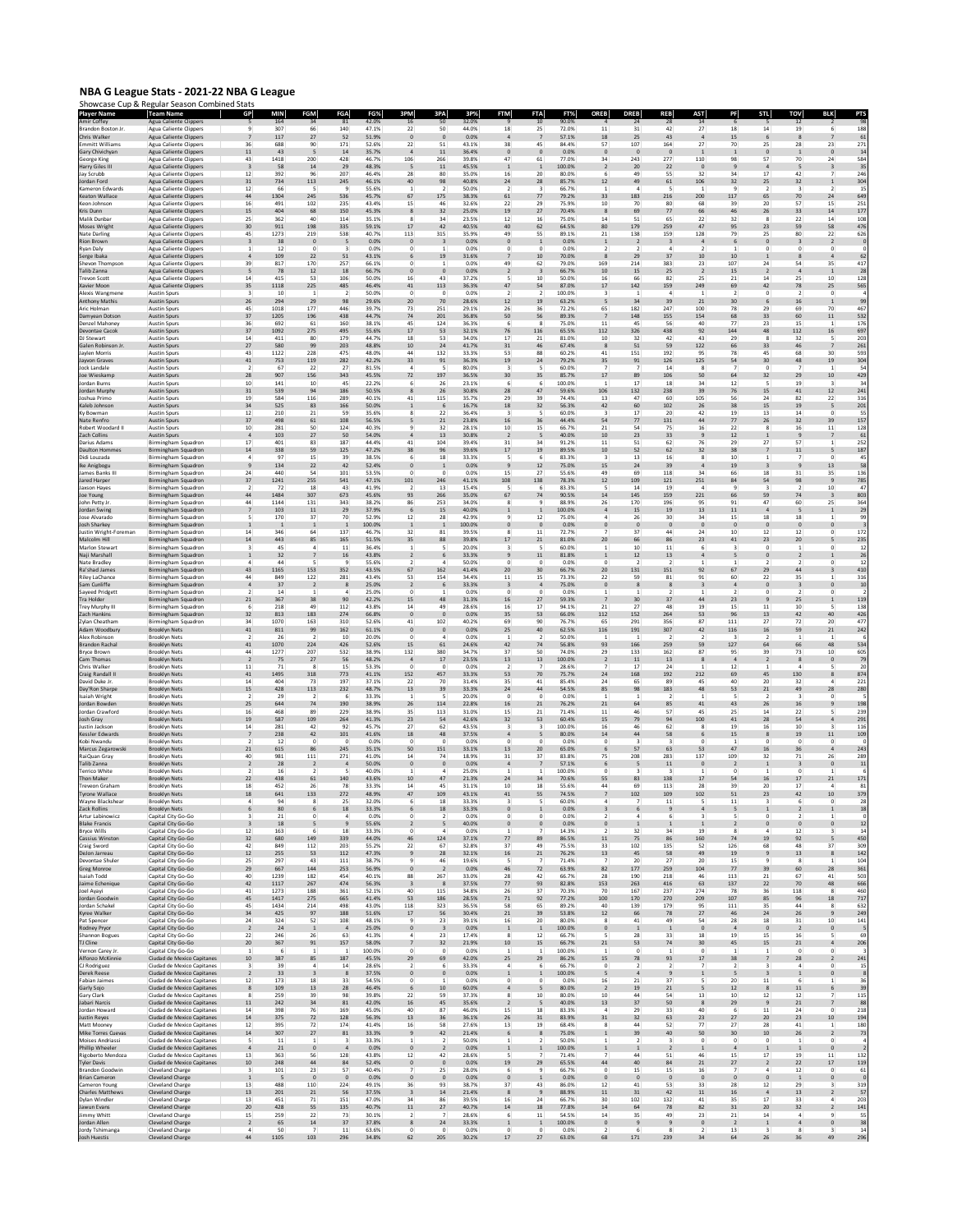## **NBA G League Stats - 2021-22 NBA G League** Showcase Cup & Regular Season Combined Stats

| Player Name<br>mir Coffey                    | <b>Team Name</b><br><b>Agua Caliente Clippers</b>              | GP                              | <b>MIN</b><br>164 | FGM<br>34                       | FGA<br>81             | FG%<br>42.0%            | 3PM                            | 3PA<br>-50                    | 3P <sub>2</sub><br>32.09 |                                       | 10                      | FT%<br>90.0%    | <b>OREB</b>                      | <b>DREB</b>           | <b>REB</b>                       | AST                          | PF                                         |                                  | TOV                                   |                                        |                       |
|----------------------------------------------|----------------------------------------------------------------|---------------------------------|-------------------|---------------------------------|-----------------------|-------------------------|--------------------------------|-------------------------------|--------------------------|---------------------------------------|-------------------------|-----------------|----------------------------------|-----------------------|----------------------------------|------------------------------|--------------------------------------------|----------------------------------|---------------------------------------|----------------------------------------|-----------------------|
| Brandon Boston Jr<br>Chris Walker            | Agua Caliente Clippers<br>Agua Caliente Clippers               | $\mathbf{Q}$                    | 307<br>117        | 66<br>27                        | 140<br>52             | 47.1%<br>51.9%          | 22                             | 50<br>$\mathbf{0}$            | 44.0%<br>0.0%            | 18<br>$\overline{4}$                  | 25                      | 72.0%<br>57.1%  | 11<br>18                         | 31<br>25              | 42<br>43                         | 27<br>$\overline{a}$         | 18<br>15                                   | 14<br>6                          | 19<br>8                               | 6                                      | 188<br>61             |
| mmitt Williams                               | Agua Caliente Clippers                                         | $\overline{7}$<br>36            | 688               | 90                              | 171                   | 52.6%                   | $\circ$<br>22                  | 51                            | 43.1%                    | 38                                    | 45                      | 84.4%           | 57                               | 107                   | 164                              | 27                           | 70                                         | 25                               | 28                                    | 23                                     | 271                   |
| Gary Chivichyan<br>George King               | <b>Agua Caliente Clippers</b><br>Agua Caliente Clippers        | 11<br>43                        | 43<br>1418        | -5<br>200                       | 14<br>428             | 35.7%<br>46.7%          | 106                            | 11<br>266                     | 36.4%<br>39.8%           | $\mathbf{0}$<br>47                    | $\Omega$<br>61          | 0.0%<br>77.0%   | $\mathbf 0$<br>34                | $\Omega$<br>243       | $\mathbf{0}$<br>277              | $\overline{1}$<br>110        | $\mathbf{1}$<br>98                         | $\circ$<br>57                    | $\overline{1}$<br>70                  | $\mathbf{0}$<br>24                     | 14<br>584             |
| Harry Giles III<br>Jay Scrubb                | <b>Agua Caliente Clippers</b><br>Agua Caliente Clippers        | $\overline{\mathbf{3}}$<br>12   | 58<br>392         | 14<br>96                        | 29<br>207             | 48.3%<br>46.4%          | $\overline{5}$<br>28           | 11<br>80                      | 45.5%<br>35.0%           | $\overline{1}$<br>16                  | 1<br>20                 | 100.0%<br>80.0% | $\overline{2}$<br>6              | 20<br>49              | 22<br>55                         | $\mathbf{0}$<br>32           | $\overline{9}$<br>34                       | $\overline{4}$<br>17             | 5<br>42                               | $\overline{3}$<br>$\overline{7}$       | 35<br>246             |
| Jordan Ford<br>Kameron Edwards               | Agua Caliente Clippers<br>Agua Caliente Clippers               | 31<br>12                        | 734<br>66         | 113                             | 245                   | 46.1%<br>55.6%          | 40                             | 98                            | 40.8%<br>50.0%           | $24\,$<br>2                           | 28                      | 85.7%<br>66.7%  | 12<br>$\mathbf{1}$               | 49<br>4               | 61                               | 106<br>-1                    | 32<br>9                                    | 25<br>$\overline{2}$             | 32<br>$\overline{\mathbf{3}}$         | $\,$ 1                                 | 304<br>15             |
| Keaton Wallace<br>Keon Johnson               | <b>Agua Caliente Clippers</b><br><b>Agua Caliente Clippers</b> | 44<br>16                        | 1304<br>491       | 245<br>102                      | 536<br>235            | 45.7%<br>43.4%          | 67<br>15                       | 175<br>46                     | 38.3%<br>32.6%           | 61<br>22                              | 77<br>29                | 79.2%<br>75.9%  | 33<br>10                         | 183<br>70             | 216<br>80                        | 200<br>68                    | 117<br>39                                  | 65<br>20                         | 70<br>57                              | 24<br>15                               | 649<br>251            |
| Kris Dunn<br>Malik Dunba                     | Agua Caliente Clippers<br>Agua Caliente Clippers               | 15<br>25                        | 404<br>362        | 68<br>40                        | 150<br>114            | 45.3%<br>35.1%          |                                | 32<br>34                      | 25.0%<br>23.5%           | 19<br>12                              | 27<br>16                | 70.4%<br>75.0%  | 8<br>14                          | 69<br>51              | $77\,$<br>65                     | 66<br>22                     | 46<br>32                                   | ${\bf 26}$                       | 33<br>22                              | $\bf{^{14}}$<br>14                     | 177<br>108            |
| Moses Wright                                 | <b>Agua Caliente Clippers</b>                                  | 30                              | 911               | 198                             | 335                   | 59.1%                   | 17                             | 42                            | 40.5%                    | 40<br>49                              | 62                      | 64.5%           | 80                               | 179                   | 259                              | 47                           | 95                                         | 23                               | 59                                    | 58                                     | 476                   |
| Nate Darling<br><b>Rion Brown</b>            | Agua Caliente Clippers<br><b>Agua Caliente Clippers</b>        | 45<br>$\overline{\mathbf{3}}$   | 1273<br>38        | 219<br>$\mathbf{0}$             | 538<br>- 5            | 40.7%<br>0.0%           | 113<br>$\Omega$                | 315                           | 35.9%<br>0.0%            | $\mathbf{0}$                          | 55<br>$\mathbf{1}$      | 89.1%<br>0.0%   | 21<br>$\mathbf{1}$               | 138<br>$\overline{2}$ | 159<br>$\overline{\mathbf{3}}$   | 128<br>$\Delta$              | 79<br>6                                    | 25<br>$\mathbf{0}$               | 80<br>$\overline{\mathbf{3}}$         | 22<br>$\overline{2}$                   | 626                   |
| Ryan Daly<br>Serge Ibaka                     | <b>Agua Caliente Clippers</b><br><b>Agua Caliente Clippers</b> | 1<br>$\overline{a}$             | 12<br>109         | $^{\circ}$<br>22                | $\overline{a}$<br>51  | 0.0%<br>43.1%           | 0                              | 19                            | 0.0%<br>31.6%            | 0<br>$\overline{7}$                   | $\Omega$<br>10          | 0.0%<br>70.0%   | $\overline{2}$<br>8              | $\mathcal{P}$<br>29   | $\mathfrak{a}$<br>$37\,$         | $\overline{2}$<br>10         | $\mathbf{1}$<br>10                         | 0<br>$\mathbf{1}$                | $^{\circ}$<br>$\bf{8}$                | $^{\circ}$                             | 62                    |
| Shevon Thompson<br>Talib Zanna               | <b>Agua Caliente Clippers</b><br><b>Agua Caliente Clippers</b> | 39<br>-5                        | 817<br>78         | 170<br>12                       | 257<br>18             | 66.1%<br>66.7%          | 0                              |                               | 0.0%<br>0.0%             | 49<br>$\overline{2}$                  | 62<br>3                 | 79.0%<br>66.7%  | 169<br>10                        | 214<br>15             | 383<br>25                        | 23                           | 107<br>15                                  | 24<br>$\overline{2}$             | 54<br>$\overline{a}$                  | 35<br>$\mathbf{1}$                     | 417<br>28             |
| <b>Trevon Scott</b><br>Xavier Moor           | <b>Agua Caliente Clippers</b><br>Agua Caliente Clippers        | 14<br>35                        | 415<br>1118       | 53<br>225                       | 106<br>485            | 50.0%<br>46.4%          | 16<br>41                       | 43<br>113                     | 37.2%<br>36.3%           | 5<br>47                               | 10<br>54                | 50.0%<br>87.0%  | 16<br>17                         | 66<br>142             | 82<br>159                        | 25<br>249                    | 21<br>69                                   | 14<br>42                         | 25<br>78                              | 10<br>25                               | 128<br>565            |
| <b>Nexis Wangmene</b><br>Anthony Mathis      | <b>Austin Spurs</b><br><b>Austin Spurs</b>                     | 26                              | 10<br>294         | 29                              | 98                    | 50.0%<br>29.6%          | 20                             | 70                            | 0.0%<br>28.6%            | $12$                                  | 19                      | 100.0%<br>63.2% | 5                                | 34                    | 39                               | 21                           | 30                                         | $\circ$<br>6                     | 16                                    | $\overline{1}$                         | 99                    |
| Aric Holman<br>Damyean Dotson                | Austin Spurs<br><b>Austin Spurs</b>                            | 45<br>37                        | 1018<br>1205      | 177<br>196                      | 446<br>438            | 39.7%<br>44.7%          | 73<br>74                       | 251<br>201                    | 29.1%<br>36.8%           | 26<br>50                              | 36<br>56                | 72.2%<br>89.3%  | 65<br>$\overline{7}$             | 182<br>148            | 247<br>155                       | 100<br>154                   | 78<br>68                                   | 29<br>33                         | 69<br>60                              | 70<br>11                               | 467<br>532            |
| Denzel Mahone                                | <b>Austin Spurs</b>                                            | 36                              | 692               | 61                              | 160                   | 38.1%                   | 45                             | 124                           | 36.3%                    | 6                                     | R                       | 75.0%           | 11                               | 45                    | 56                               | 40                           | 77                                         | 23                               | 15                                    | $\mathbf{1}$                           | 176                   |
| Devontae Cacol<br>DJ Stewart                 | <b>Austin Spurs</b><br><b>Austin Spurs</b>                     | 37<br>14                        | 1092<br>411       | 275<br>80                       | 495<br>179            | 55.6%<br>44.7%          | 17<br>18                       | 53<br>53                      | 32.1%<br>34.0%           | 76<br>17                              | 116<br>21               | 65.5%<br>81.0%  | 112<br>10                        | 326<br>32             | 438<br>42                        | 92<br>43                     | 144<br>29                                  | 48<br>8                          | 112<br>32                             | 16<br>5                                | 697<br>203            |
| Galen Robinson Jı<br>Javien Morris           | <b>Austin Spurs</b><br><b>Austin Spurs</b>                     | 27<br>43                        | 580<br>1122       | 99<br>228                       | 203<br>475            | 48.8%<br>48.0%          | 10<br>44                       | 24<br>132                     | 41.7%<br>33.3%           | 31<br>53                              | 46<br>88                | 67.4%<br>60.2%  | 8<br>41                          | 51<br>151             | 59<br>192                        | 122<br>95                    | 66<br>78                                   | 33<br>45                         | 46<br>68                              | 30                                     | 261<br>593            |
| Jayvon Graves<br>lock Landale                | <b>Austin Spurs</b><br><b>Austin Spurs</b>                     | $^{\rm 41}$                     | 753               | 119<br>22                       | 282<br>27             | 42.2%<br>81.5%          | 33                             | 91                            | 36.3%<br>80.0%           | 19                                    | 24                      | 79.2%<br>60.0%  | 35                               | 91                    | 126<br>14                        | 125                          | 54                                         | 30                               | 48                                    | $19\,$                                 | 304<br>54             |
| Joe Wieskamp<br>ordan Burns                  | <b>Austin Spurs</b><br>Austin Spurs                            | 28<br>10                        | 907<br>141        | 156<br>10                       | 343<br>45             | 45.5%<br>22.2%          | 72                             | 197<br>26                     | 36.5%<br>23.1%           | 30<br>6                               | 35<br>6                 | 85.7%<br>100.0% | 17<br>1                          | 89<br>17              | 106<br>18                        | 50<br>34                     | 64<br>12                                   | 32<br>5                          | 29<br>19                              | 10<br>3                                | 429<br>34             |
| Jordan Murph<br>Joshua Primo                 | <b>Austin Spurs</b><br><b>Austin Spurs</b>                     | 31<br>19                        | 539<br>584        | 94<br>116                       | 186<br>289            | 50.5%<br>40.1%          | 41                             | 26<br>115                     | 30.8%<br>35.7%           | 28<br>29                              | 47<br>39                | 59.6%<br>74.4%  | 106<br>13                        | 132<br>47             | 238<br>60                        | 39<br>105                    | 76<br>56                                   | 15<br>24                         | 41<br>82                              | 12<br>22                               | 241<br>316            |
| Gleb Johnsor                                 | <b>Austin Spurs</b>                                            | 34<br>12                        | 525               | 83                              | 166                   | 50.0%                   |                                |                               | 16.7%                    | 18                                    | 32                      | 56.3%<br>60.0%  | 42<br>3                          | 60<br>17              | 102<br>20                        | 26                           | 38<br>19                                   | 15<br>13                         | 19                                    | $\mathsf S$<br>$^{\circ}$              | 201<br>55             |
| Ky Bowman<br>Nate Renfro<br>Robert Woodard I | <b>Austin Spurs</b><br><b>Austin Spurs</b>                     | 37<br>10                        | 210<br>498<br>281 | 21<br>61<br>50                  | 59<br>108<br>124      | 35.6%<br>56.5%<br>40.3% | ۹                              | 22<br>21<br>32                | 36.4%<br>23.8%<br>28.1%  | 16<br>10                              | 5<br>36<br>15           | 44.4%<br>66.7%  | 54<br>21                         | 77<br>54              | 131<br>75                        | 42<br>$\bf{44}$<br>16        | 77<br>22                                   | 26<br>8                          | 14<br>32<br>16                        | 39<br>11                               | 157<br>128            |
| Zach Collins                                 | <b>Austin Spurs</b><br><b>Austin Spurs</b>                     | $\overline{a}$                  | 103               | $27\,$                          | 50                    | 54.0%                   |                                | 13                            | 30.8%                    | $\overline{2}$                        | 5                       | 40.0%           | 10                               | 23                    | 33                               | $\overline{9}$               | $12\,$                                     | $\mathbf{1}$                     | $\,9$                                 |                                        | 61                    |
| Darius Adams<br>Daulton Homme:               | Birmingham Squadron<br>Birmingham Squadron                     | 17<br>14                        | 401<br>338        | 83<br>59                        | 187<br>125            | 44.4%<br>47.2%          | 41<br>38                       | 104<br>96                     | 39.4%<br>39.6%           | 31<br>17                              | 34<br>19                | 91.2%<br>89.5%  | 11<br>10                         | 51<br>52              | 62<br>62                         | 76<br>32                     | 29<br>38                                   | 27<br>$\overline{7}$             | 57<br>$11\,$                          | 5                                      | 252<br>187            |
| Didi Louzada<br>Ike Anigbogu                 | Birmingham Squadron<br>Birmingham Squadron                     | 4<br>$\overline{9}$             | 97<br>134         | 15<br>22                        | 39<br>42              | 38.5%<br>52.4%          | $\mathbf{0}$                   | 18<br>$\mathbf{1}$            | 33.3%<br>0.0%            | 5<br>$\overline{9}$                   | 6<br>12                 | 83.3%<br>75.0%  | 3<br>15                          | 13<br>24              | 16<br>39                         | -8<br>$\Delta$               | 10<br>19                                   | 1                                | $\overline{7}$<br>$\overline{9}$      | $^{\circ}$<br>13                       | 45<br>58              |
| lames Banks III<br>lared Harper              | Birmingham Squadron<br><b>Birmingham Squadron</b>              | 24<br>37                        | 440<br>1241       | 54<br>255                       | 101<br>541            | 53.5%<br>47.1%          | $\circ$<br>101                 | $\Omega$<br>246               | 0.0%<br>41.1%            | 15<br>108                             | 27<br>138               | 55.6%<br>78.3%  | 49<br>$12\,$                     | 69<br>109             | 118<br>121                       | 34<br>251                    | 66<br>$\bf 84$                             | 18<br>54                         | 31<br>98                              | 35<br>$\overline{9}$                   | 136<br>785            |
| Jaxson Hayes<br>Joe Young                    | Birmingham Squadron<br>Birmingham Squadron                     | 2<br>44                         | -72<br>1484       | 18<br>307                       | 43<br>673             | 41.9%<br>45.6%          | 93                             | 13<br>266                     | 15.4%<br>35.0%           | 5<br>67                               | 6<br>74                 | 83.3%<br>90.5%  | 5<br>14                          | 14<br>145             | 19<br>159                        | $\overline{4}$<br>221        | $\overline{9}$<br>66                       | $\overline{\mathbf{3}}$<br>59    | $\overline{2}$<br>$74\,$              | 10<br>$\overline{\mathbf{3}}$          | 47<br>803             |
| John Petty Jr.<br>Jordan Swing               | Birmingham Squadron<br>Birmingham Squadron                     | 44<br>$\overline{7}$            | 1144<br>103       | 131<br>11                       | 343<br>29             | 38.2%<br>37.9%          | 86                             | 253<br>15                     | 34.0%<br>40.0%           | 8<br>$\mathbf 1$                      | ۹                       | 88.9%<br>100.0% | 26<br>$\sqrt{4}$                 | 170<br>15             | 196<br>19                        | 95<br>$13\,$                 | 91<br>$11\,$                               | 47<br>$\overline{a}$             | 60<br>5                               | 25<br>$\mathbf{1}$                     | 364<br>29             |
| ose Alvarado                                 | Birmingham Squadron                                            |                                 | 170               | 37                              | 70                    | 52.9%<br>100.0%         | 12                             | 28                            | 42.9%<br>100.0%          |                                       | 12                      | 75.0%           | $\overline{a}$                   | 26<br>$\mathbf 0$     | 30<br>$\mathbf{0}$               | 34<br>$\mathbf 0$            | 15<br>$\mathbf{0}$                         | 18<br>$\circ$                    | 18<br>$\mathbf 0$                     |                                        | 99                    |
| Josh Sharkey<br>Justin Wright-Foreman        | Birmingham Squadron<br>Birmingham Squadron                     | 1<br>14                         | -1<br>346         | <sup>1</sup><br>64              | -1<br>137             | 46.7%                   | <sup>1</sup><br>32             | $\overline{1}$<br>81          | 39.5%                    | $\mathbf 0$<br>8                      | $\mathbf 0$<br>11       | 0.0%<br>72.7%   | $\mathbf 0$                      | 37                    | 44                               | 24                           | 10                                         | 12                               | 12                                    | $\mathbf{0}$<br>$^{\circ}$             | 172                   |
| Malcolm Hill<br>Marlon Stewart               | Birmingham Squadron<br><b>Birmingham Squadron</b>              | 14<br>$\overline{\mathbf{3}}$   | 443<br>45         | 85<br>$\mathfrak{a}$            | 165<br>11             | 51.5%<br>36.4%          | 35<br>$\mathbf{1}$             | 88                            | 39.8%<br>20.0%           | 17<br>3                               | 21<br>5                 | 81.0%<br>60.0%  | 20<br>$\mathbf{1}$               | 66<br>10              | 86<br>11                         | 23<br>6                      | 41<br>$\overline{\mathbf{3}}$              | 23<br>$\circ$                    | 20<br>$\mathbf{1}$                    | $^{\circ}$                             | 235<br>12             |
| Naji Marshall<br>Nate Bradley                | Birmingham Squadron<br>Birmingham Squadron                     | $\overline{4}$                  | 32<br>44          | $\overline{7}$<br>-5            | 16                    | 43.8%<br>55.6%          | $\overline{2}$                 |                               | 33.3%<br>50.0%           | $\overline{9}$<br>$\mathbf 0$         | $11\,$<br>0             | 81.8%<br>0.0%   | $\,$ 1<br>0                      | 12<br>$\overline{2}$  | 13<br>$\overline{2}$             | 1                            | 5<br>$\mathbf{1}$                          | $\circ$<br>$\overline{2}$        | $\overline{2}$<br>$\overline{2}$      | $^{\circ}$                             | 26<br>12              |
| Ra'shad James<br><b>Riley La Chance</b>      | Birmingham Squadror<br>Birmingham Squadron                     | 43<br>44                        | 1165<br>849       | 153<br>122                      | 352<br>281            | 43.5%<br>43.4%          | 67<br>53                       | 162<br>154                    | 41.4%<br>34.4%           | 20<br>11                              | 30<br>15                | 66.7%<br>73.3%  | 20<br>22                         | 131<br>59             | 151<br>81                        | 92<br>91                     | 67<br>60                                   | 29<br>22                         | 44<br>35                              | 1.                                     | 410<br>316            |
| Sam Cunliffe<br>Sayeed Pridgett              | <b>Birmingham Squadron</b><br>Birmingham Squadron              | $\overline{a}$                  | $37\,$<br>14      | $\overline{2}$                  |                       | 25.0%<br>25.0%          | $\overline{2}$                 |                               | 33.3%<br>0.0%            | 3                                     | $\sqrt{4}$              | 75.0%<br>0.0%   | $\bf 0$                          | 8                     | 8                                | $\overline{\mathbf{3}}$      | $\overline{a}$                             | $\circ$                          | $\overline{\mathbf{3}}$               | $\mathbf 0$                            | 10                    |
| <b>Tra Holder</b><br>Trey Murphy III         | Birmingham Squadron<br>Birmingham Squadron                     | 21<br>-6                        | 367<br>218        | 38<br>49                        | 90<br>112             | 42.2%<br>43.8%          | 15<br>14                       | 48<br>49                      | 31.3%<br>28.6%           | 16<br>16                              | 27<br>17                | 59.3%<br>94.1%  | $\overline{7}$<br>21             | 30<br>27              | $37\,$<br>48                     | $\bf{44}$<br>19              | 23<br>15                                   | $\overline{9}$<br>11             | 25<br>10                              | 1<br>5                                 | 119<br>138            |
| Zach Hankins<br>Zylan Cheatham               | Birmingham Squadron                                            | 32<br>34                        | 813<br>1070       | 183                             | 274<br>310            | 66.8%<br>52.6%          | $\mathbf{0}$<br>41             | $\Omega$<br>102               | 0.0%<br>40.2%            | 35<br>69                              | 53<br>90                | 66.0%<br>76.7%  | 112<br>65                        | 152<br>291            | 264<br>356                       | 53<br>87                     | 96<br>111                                  | 13<br>27                         | 42<br>72                              | 40<br>20                               | 426<br>477            |
| Adam Woodbury                                | Birmingham Squadron<br><b>Brooklyn Nets</b>                    | 41                              | 811               | 163<br>99                       | 162                   | 61.1%                   | $\circ$                        | $\overline{0}$                | 0.0%                     | $25\,$                                | 40                      | 62.5%           | 116                              | 191                   | 307                              | 42                           | 116                                        | 16                               | 59                                    | $21\,$                                 | 242                   |
| Alex Robinson<br>Brandon Racha               | <b>Brooklyn Nets</b><br><b>Brooklyn Nets</b>                   | -2<br>41                        | -26<br>1070       | $\overline{2}$<br>224           | 10<br>426             | 20.0%<br>52.6%          | 15                             | 61                            | 0.0%<br>24.6%            | 42                                    | 2<br>74                 | 50.0%<br>56.8%  | 1<br>93                          | 166                   | $\overline{2}$<br>259            | -2<br>59                     | 3<br>127                                   | $\overline{2}$<br>64             | $\mathbf{1}$<br>66                    | 1<br>48                                | 534                   |
| <b>Bryce Brown</b><br>Cam Thomas             | <b>Brooklyn Nets</b><br><b>Brooklyn Nets</b>                   | 44<br>$\overline{2}$            | 1277<br>75        | 207<br>$27\,$                   | 532<br>56             | 38.9%<br>48.2%          | 132<br>$\overline{a}$          | 380<br>17                     | 34.7%<br>23.5%           | 37<br>$13\,$                          | 50<br>13                | 74.0%<br>100.0% | 29<br>$\sqrt{2}$                 | 133<br>11             | 162<br>13                        | 87<br>8                      | 95<br>$\overline{a}$                       | 39<br>$\overline{2}$             | 73<br>$\boldsymbol{8}$                | 10<br>$\circ$                          | 605<br>79             |
| Chris Walke<br>Craig Randall II              | <b>Brooklyn Nets</b><br><b>Brooklyn Nets</b>                   | 11<br>41                        | 71<br>1495        | 318                             | 15<br>773             | 53.3%<br>41.1%          | 152                            | 457                           | 0.0%<br>33.3%            | 53                                    | 70                      | 28.6%<br>75.7%  | 24                               | 17<br>168             | 24<br>192                        | 212                          | 12<br>69                                   | 45                               | 130                                   | 8                                      | 2 <sub>c</sub><br>874 |
| David Duke Jr.<br>Day'Ron Sharpe             | <b>Brooklyn Nets</b><br><b>Brooklyn Nets</b>                   | 14<br>15                        | 404<br>428        | 73<br>113                       | 197<br>232            | 37.1%<br>48.7%          | 22<br>13                       | 70<br>39                      | 31.4%<br>33.3%           | 35<br>24                              | 41<br>44                | 85.4%<br>54.5%  | 24<br>85                         | 65<br>98              | 89<br>183                        | 45<br>48                     | 40<br>53                                   | 20<br>21                         | 32<br>49                              | 4<br>28                                | 221<br>280            |
| Isaiah Wright<br>lordan Bowder               | <b>Brooklyn Nets</b><br><b>Brooklyn Nets</b>                   | $\overline{2}$<br>25            | 29<br>644         | $\overline{2}$<br>74            | -6<br>190             | 33.3%<br>38.9%          | $\mathbf{1}$<br>26             | 114                           | 20.0%<br>22.8%           | $^{\circ}$<br>16                      | $\Omega$<br>21          | 0.0%<br>76.2%   | $\mathbf{1}$<br>21               | 64                    | $\overline{2}$<br>85             | $\mathbf{1}$<br>41           | 5<br>43                                    | $\overline{2}$<br>26             | $\overline{\mathbf{3}}$<br>$16\,$     | $^{\circ}$<br>$\overline{9}$           | 198                   |
| Jordan Crawford<br>Josh Gray                 | <b>Brooklyn Nets</b><br><b>Brooklyn Nets</b>                   | 16<br>19                        | 468<br>587        | 89<br>109                       | 229<br>264            | 38.9%<br>41.3%          | 35<br>23                       | 113<br>54                     | 31.0%<br>42.6%           | 15<br>32                              | 21<br>53                | 71.4%<br>60.4%  | 11<br>15                         | 46<br>79              | 57<br>94                         | 45<br>100                    | 25<br>$41\,$                               | 14<br>28                         | $\bf{22}$<br>54                       |                                        | 239<br>291            |
| Justin Jackson                               | <b>Brooklyn Nets</b><br><b>Brooklyn Nets</b>                   | 14                              | 281<br>238        | 42                              | 92                    | 45.7%                   | 27<br>18                       | 62<br>48                      | 43.5%                    | $\overline{\mathbf{3}}$<br>$\sqrt{4}$ | $\mathbf{R}$<br>5       | 100.0%<br>80.0% | 16<br>$14\,$                     | 46<br>44              | 62<br>58                         | 8<br>6                       | 19                                         | 16                               | 10                                    | $\mathbf{R}$                           | 116                   |
| Kessler Edward:<br>obi Nwandu                | <b>Brooklyn Nets</b>                                           | $\overline{z}$                  | 12                | 42<br>$\bf{0}$                  | $101\,$               | 41.6%<br>0.0%           | $\circ$                        |                               | 37.5%<br>0.0%            | $\mathbf 0$                           |                         | 0.0%            | $\bf 0$                          |                       |                                  |                              | $15\,$                                     | 8                                | 19<br>$\theta$                        | $11\,$                                 | 109                   |
| Marcus Zegarowsk<br>RaiQuan Gray             | <b>Brooklyn Nets</b><br><b>Brooklyn Nets</b>                   | 21<br>40                        | 615<br>981        | 86<br>111                       | 245<br>271            | 35.1%<br>41.0%          | 50<br>14                       | 151<br>74                     | 33.1%<br>18.9%           | 13<br>31                              | 20<br>37                | 65.0%<br>83.8%  | 6<br>75                          | 57<br>208             | 63<br>283                        | 53<br>137                    | 47<br>109                                  | 16<br>32                         | 36<br>$71\,$                          | $\overline{a}$<br>26                   | 243<br>289            |
| Talib Zanna<br><b>Terrico White</b>          | <b>Brooklyn Nets</b><br><b>Brooklyn Nets</b>                   | $\overline{2}$<br>$\mathcal{P}$ | 28<br>16          | $\overline{2}$<br>$\mathcal{P}$ | $\mathbf{A}$          | 50.0%<br>40.0%          | $\Omega$                       | $^{\circ}$<br>4               | 0.0%<br>25.0%            | $\overline{a}$                        | 7<br>$\mathbf{1}$       | 57.1%<br>100.0% | 6<br>$^{\circ}$                  | 5                     | 11<br>$\mathbf{R}$               | $\mathbf{0}$<br>$\mathbf{1}$ | $\overline{2}$<br>$^{\circ}$               | $\mathbf{1}$<br>$\mathbf{1}$     | $\overline{\mathbf{3}}$<br>$^{\circ}$ | $\mathbf{0}$                           | 11                    |
| Thon Maker<br>Treveon Graham                 | <b>Brooklyn Nets</b><br><b>Brooklyn Nets</b>                   | 22<br>18                        | 438<br>452        | 61<br>26                        | 140<br>78             | 43.6%<br>33.3%          | 10<br>14                       | 47<br>45                      | 21.3%<br>31.1%           | 24<br>10                              | 34<br>18                | 70.6%<br>55.6%  | 55<br>44                         | 83<br>69              | 138<br>113                       | 17<br>28                     | 54<br>39                                   | 16<br>20                         | 17<br>17                              | 21<br>$\overline{4}$                   | 171<br>81             |
| <b>Tyrone Wallace</b><br>Wayne Blackshear    | <b>Brooklyn Nets</b><br><b>Brooklyn Nets</b>                   | 18<br>$\mathfrak{a}$            | 641<br>94         | 133<br>-8                       | 272<br>25             | 48.9%<br>32.0%          | 47<br>6                        | 109<br>18                     | 43.1%<br>33.3%           | 41<br>$\overline{\mathbf{3}}$         | 55<br>$\mathsf{S}$      | 74.5%<br>60.0%  | $\overline{7}$<br>$\overline{a}$ | 102                   | 109<br>11                        | 102                          | 51<br>11                                   | 23<br>$\mathbf{R}$               | 42<br>6                               | $10\,$                                 | 379<br>28             |
| <b>Zack Rollins</b><br>Artur Labinowicz      | <b>Brooklyn Nets</b><br>Capital City Go-Go                     |                                 | 80<br>21          | $\mathbf 0$                     | 18                    | 33.3%<br>0.0%           | 0                              | 18                            | 33.3%<br>0.0%            | $\Omega$<br>0                         | 0                       | 0.0%<br>0.0%    | $\overline{2}$                   | $\ddot{a}$            | 6                                | $\Delta$                     | 5                                          | $\bf{0}$                         | $\overline{2}$                        |                                        | 18                    |
| <b>Blake Francis</b><br><b>Bryce Wills</b>   | Capital City Go-Go<br>Capital City Go-Go                       | -3<br>12                        | 18<br>163         | 5<br>-6                         | $\overline{9}$<br>18  | 55.6%<br>33.3%          | $\overline{2}$<br>$^{\circ}$   | 5<br>4                        | 40.0%<br>0.0%            | $\mathbf 0$<br>$\mathbf{1}$           | 0<br>7                  | 0.0%<br>14.3%   | $\mathbf 0$<br>2                 | $\overline{1}$<br>32  | 1<br>34                          | $\overline{1}$<br>19         | $\overline{2}$<br>8                        | $\circ$<br>$\overline{4}$        | $\mathbf 0$<br>12                     | $\mathbf 0$<br>3                       | 12<br>14              |
| Cassius Winston<br>Craig Sword               | Capital City Go-Go<br>Capital City Go-Go                       | 32<br>42                        | 680<br>849        | 149<br>112                      | 339<br>203            | 44.0%<br>55.2%          | 46<br>22                       | 124<br>67                     | 37.1%<br>32.8%           | 77<br>37                              | 89<br>49                | 86.5%<br>75.5%  | 11<br>33                         | 75<br>102             | 86<br>135                        | 160<br>52                    | 74<br>126                                  | 19<br>68                         | 92<br>48                              | 5<br>37                                | 450<br>309            |
| DeJon Jarreau                                | Capital City Go-Go                                             | $12\,$                          | 255               | 53                              | $112\,$               | 47.3%                   | $\overline{9}$                 | 28                            | 32.1%                    | 16                                    | $21\,$                  | 76.2%           | $13\,$                           | 45                    | 58                               | 49                           | $19\,$                                     | $\mathsf 9$                      | 13                                    | $\boldsymbol{8}$                       | 142                   |
| Devontae Shuler<br>Greg Monroe               | Capital City Go-Go<br>Capital City Go-Go                       | 25<br>$29\,$                    | 297<br>667        | 43<br>$144\,$                   | 111<br>253            | 38.7%<br>56.9%          | $\overline{9}$<br>$\mathbf{0}$ | 46<br>$\overline{2}$          | 19.6%<br>0.0%            | 5<br>46                               | $\overline{7}$<br>72    | 71.4%<br>63.9%  | $\overline{7}$<br>82             | 20<br>177             | $27\,$<br>259                    | 20<br>$104\,$                | 15<br>$77\,$                               | $\overline{9}$<br>39             | 8<br>60                               | -1<br>${\bf 28}$                       | 104<br>361            |
| Isaiah Todd<br>Jaime Echenique               | Capital City Go-Go<br>Capital City Go-Go                       | 40<br>42                        | 1239<br>1117      | 182<br>267                      | 454<br>474            | 40.1%<br>56.3%          | 88<br>$\overline{\mathbf{3}}$  | 267                           | 33.0%<br>37.5%           | 28<br>77                              | 42<br>93                | 66.7%<br>82.8%  | 28<br>153                        | 190<br>263            | 218<br>416                       | 46<br>63                     | 113<br>137                                 | 21<br>22                         | 67<br>70                              | 41<br>48                               | 503<br>666            |
| Joel Ayayi<br>Jordan Goodwir                 | Capital City Go-Go<br>Capital City Go-Go                       | $41\,$<br>45                    | 1273<br>1417      | 188<br>275                      | 361<br>665            | 52.1%<br>41.4%          | 40<br>53                       | 115<br>186                    | 34.8%<br>28.5%           | 26<br>$71\,$                          | 37<br>92                | 70.3%<br>77.2%  | 70<br>100                        | 167<br>170            | 237<br>270                       | 274<br>209                   | 78<br>107                                  | 36<br>85                         | 118<br>96                             | 8<br>18                                | 460<br>717            |
| Jordan Schakel<br>Kyree Walker               | Capital City Go-Go<br>Capital City Go-Go                       | 45<br>34                        | 1434<br>425       | 214<br>97                       | 498<br>188            | 43.0%<br>51.6%          | 118<br>17                      | 323<br>56                     | 36.5%<br>30.4%           | 58<br>21                              | 65<br>39                | 89.2%<br>53.8%  | 40<br>12                         | 139<br>66             | 179<br>78                        | 95<br>27                     | 111<br>46                                  | 35<br>24                         | 44<br>26                              | 8<br>$\overline{9}$                    | 632<br>249            |
| Pat Spencer<br>Rodney Pryor                  | Capital City Go-Go<br>Capital City Go-Go                       | 24<br>$\overline{2}$            | 324<br>24         | 52<br>$\mathbf{1}$              | 108<br>$\overline{a}$ | 48.1%<br>25.0%          | 9<br>$\pmb{0}$                 | 23<br>$\overline{\mathbf{3}}$ | 39.1%<br>0.0%            | 16<br>$\,$ 1 $\,$                     | 20<br>$\,1\,$           | 80.0%<br>100.0% | 8<br>$\mathbf 0$                 | 41<br>$\,$ 1          | 49<br>$\,$ 1                     | 54<br>$\mathbf 0$            | 28<br>$\overline{a}$                       | 18<br>$\mathfrak o$              | 31<br>$\overline{2}$                  | 10<br>$\mathbf 0$                      | 141                   |
| Shannon Bogues<br>TJ Cline                   | Capital City Go-Go<br>Capital City Go-Go                       | $22\,$<br>20 <sub>2</sub>       | 246<br>367        | 26<br>91                        | 63<br>157             | 41.3%<br>58.0%          | $\overline{4}$<br>7            | 23<br>32                      | 17.4%<br>21.9%           | 8<br>$10\,$                           | 12<br>15                | 66.7%<br>66.7%  | 5<br>21                          | $\bf 28$<br>53        | 33<br>$74\,$                     | 18<br>30                     | $19\,$<br>45                               | 15<br>15                         | 16<br>$21\,$                          | 5<br>$\overline{a}$                    | 69<br>206             |
| Vernon Carey Jr.<br>Alfonzo McKinnie         | Capital City Go-Go<br>Ciudad de Mexico Capitanes               | $\overline{1}$<br>10            | 6<br>387          | $\overline{1}$<br>85            | <sup>1</sup><br>187   | 100.0%<br>45.5%         | $^{\circ}$<br>29               | $^{\circ}$<br>69              | 0.0%<br>42.0%            | $\mathbf{1}$<br>25                    | $\mathbf{1}$<br>29      | 100.0%<br>86.2% | $\mathbf{1}$<br>15               | $^{\circ}$<br>78      | 1<br>93                          | $^{\circ}$<br>17             | $\overline{1}$<br>38                       | $\overline{1}$<br>$\overline{7}$ | $^{\circ}$<br>28                      | $\circ$<br>$\overline{2}$              | 241                   |
| CJ Rodriguez                                 | Ciudad de Mexico Capitanes<br>Ciudad de Mexico Capitanes       | $\overline{\mathbf{3}}$         | 39                | $\overline{a}$                  | 14                    | 28.6%                   | $\overline{2}$                 | 6                             | 33.3%                    | $\ddot{a}$                            | 6                       | 66.7%           | $\bf 0$                          | $\overline{2}$        | $\overline{2}$<br>$\overline{9}$ |                              | $\overline{2}$<br>$\overline{\phantom{a}}$ | $\overline{\mathbf{3}}$          | $\overline{a}$                        | $\circ$                                | 15                    |
| Derek Reese<br>Fabian Jaimes                 | Ciudad de Mexico Capitanes                                     | $\overline{2}$<br>12            | 33<br>173         | $\overline{\mathbf{3}}$<br>18   | 8<br>33               | 37.5%<br>54.5%          | $\mathbf 0$<br>$^{\circ}$      | $\bf{0}$<br>1                 | 0.0%<br>0.0%             | $\mathbf 1$<br>$\mathbf 0$            | $\mathbf{1}$<br>$\circ$ | 100.0%<br>0.0%  | 5<br>16                          | $\overline{a}$<br>21  | 37                               | $\mathbf{1}$<br>-5           | 20                                         | $\overline{3}$<br>$11$           | $\mathbf{1}$<br>6<br>11               | $\mathbf 0$<br>1                       | 36                    |
| Garly Sojo<br>Gary Clark                     | Ciudad de Mexico Capitanes<br>Ciudad de Mexico Capitanes       | 8<br>8                          | 109<br>259        | 13<br>39                        | 28<br>98              | 46.4%<br>39.8%          | 6<br>22                        | 10<br>59                      | 60.0%<br>37.3%           | $\overline{a}$<br>8                   | 5<br>10                 | 80.0%<br>80.0%  | $\overline{2}$<br>10             | 19<br>44              | 21<br>54                         | 5<br>13                      | 12<br>10                                   | 8<br>12                          | 12                                    | 6<br>$\overline{7}$                    | 39<br>115             |
| Jabari Narcis<br>Jordan Howard               | Ciudad de Mexico Capitanes<br>Ciudad de Mexico Capitanes       | 11<br>14                        | 242<br>398        | 34<br>76                        | $\bf 81$<br>169       | 42.0%<br>45.0%          | 16<br>40                       | 45<br>87                      | 35.6%<br>46.0%           | $\sqrt{2}$<br>$15\,$                  | 5<br>$18\,$             | 40.0%<br>83.3%  | $13\,$<br>$\sqrt{4}$             | 37<br>29              | 50<br>33                         | $\boldsymbol{8}$<br>40       | 29<br>6                                    | $\overline{9}$<br>$11\,$         | $21\,$<br>$\bf{24}$                   | $\circ$                                | 88<br>218             |
| Justin Reyes<br>Matt Mooney                  | Ciudad de Mexico Capitanes<br>Ciudad de Mexico Capitanes       | $14\,$<br>12                    | 375<br>395        | $72\,$<br>72                    | 128<br>174            | 56.3%<br>41.4%          | $13\,$<br>16                   | 36<br>58                      | 36.1%<br>27.6%           | 26<br>13                              | 31<br>19                | 83.9%<br>68.4%  | $31\,$<br>8                      | 32<br>44              | 63<br>52                         | $23$<br>77                   | 27<br>27                                   | $20\,$<br>28                     | 23<br>41                              | 10<br>$\mathbf{1}$                     | 194<br>180            |
| Mike Torres Cuevas<br>Moises Andriassi       | Ciudad de Mexico Capitanes<br>Ciudad de Mexico Capitanes       | 14<br>5                         | 307<br>11         | $27\,$                          | $\bf 81$              | 33.3%<br>33.3%          | $\overline{9}$                 | 42<br>$\overline{2}$          | 21.4%<br>50.0%           | 6                                     | 8<br>$\overline{2}$     | 75.0%<br>50.0%  | $\mathbf 1$<br>$\,$ 1            | 39                    | 40                               | 50<br>$\mathbf{0}$           | 30<br>$\bf{0}$                             | 10<br>$\circ$                    | $26\,$<br>$\mathbf{1}$                | $\overline{2}$<br>O                    | 73                    |
| Phillip Wheeler<br>Rigoberto Mendoza         | Ciudad de Mexico Capitanes<br>Ciudad de Mexico Capitanes       | $\overline{4}$<br>$13\,$        | 21<br>363         | $\mathbf 0$<br>56               | $\overline{4}$<br>128 | 0.0%<br>43.8%           | $\mathbf 0$<br>12              | $\overline{2}$<br>42          | 0.0%<br>28.6%            | $\mathbf 1$<br>5                      | $\mathbf 1$<br>7        | 100.0%<br>71.4% | $\mathbf 1$<br>$\overline{7}$    | $\mathbf 1$<br>44     | $\overline{2}$<br>51             | $\overline{1}$<br>46         | $\overline{a}$<br>15                       | $\mathbf{1}$<br>17               | $\overline{1}$<br>19                  | $\mathbf{0}$<br>11                     | 132                   |
| <b>Tyler Davis</b><br>Brandon Goodwin        | Ciudad de Mexico Capitanes<br>Cleveland Charge                 | 10<br>$\overline{\mathbf{3}}$   | 248<br>101        | 44<br>23                        | 84<br>57              | 52.4%<br>40.4%          | $\mathbf{0}$<br>$\overline{7}$ | $\mathbf{0}$<br>25            | 0.0%<br>28.0%            | 19<br>6                               | 29<br>$\overline{9}$    | 65.5%<br>66.7%  | 44<br>$^{\circ}$                 | 40<br>15              | 84<br>15                         | 21<br>16                     | 27<br>$\overline{7}$                       | $\overline{2}$<br>$\mathbf{A}$   | 22<br>12                              | 17<br>$\Omega$                         | 119<br>61             |
| <b>Brian Cameron</b>                         | Cleveland Charge<br>Cleveland Charge                           | $\overline{1}$<br>$13\,$        | 5<br>488          | $\mathbf 0$<br>110              | $\mathbf 0$<br>224    | 0.0%<br>49.1%           | $\mathbf 0$<br>36              | $\mathbf{0}$<br>93            | 0.0%<br>38.7%            | $\mathbf 0$<br>37                     | $\,1\,$<br>43           | 0.0%<br>86.0%   | $\mathbf 0$<br>$12\,$            | $\mathbf 0$<br>41     | $\mathbf 0$<br>53                | $\mathbf 0$<br>33            | $\mathbf 0$<br>${\bf 28}$                  | $\circ$<br>12                    | $\mathbf{1}$<br>29                    | $\mathbf 0$<br>$\overline{\mathbf{3}}$ | $\epsilon$<br>319     |
| Cameron Young<br>Charles Matthews            | Cleveland Charge                                               | $13\,$                          | $201\,$           | 21                              | 56                    | 37.5%                   | $\overline{\mathbf{3}}$        | 14                            | 21.4%                    | 8                                     | $\overline{9}$          | 88.9%           | $11\,$                           | 31                    | $42\,$                           | 11                           | 16                                         | $\overline{a}$                   | 13                                    | $\overline{2}$                         | 57                    |
| Dylan Windler<br>Jawun Evans                 | Cleveland Charge<br>Cleveland Charge                           | 13<br>20                        | 451<br>428        | 71<br>55                        | 151<br>135            | 47.0%<br>40.7%          | 34<br>$11\,$                   | 86<br>27                      | 39.5%<br>40.7%           | 16<br>$14\,$                          | 24<br>18                | 66.7%<br>77.8%  | 30<br>14                         | 102<br>64             | 132<br>78                        | 41<br>82                     | 35<br>31                                   | 17<br>20                         | 33<br>32                              | $\overline{4}$<br>$\overline{2}$       | 203<br>141            |
| immy Whitt<br>Jordan Allen                   | Cleveland Charge<br>Cleveland Charge                           | 15<br>$\overline{2}$            | 259<br>65         | 22<br>$14$                      | 73<br>37              | 30.1%<br>37.8%          | $\overline{2}$<br>8            | 24                            | 28.6%<br>33.3%           | 6<br>$\mathbf 1$                      | 11<br>$\mathbf 1$       | 54.5%<br>100.0% | $14\,$<br>$\mathbf 0$            | 35<br>$9$             | 49<br>$\overline{9}$             | 23<br>$\mathbf 0$            | $^{21}$<br>$\overline{2}$                  | 14<br>$\mathbf{1}$               | $\overline{a}$<br>$\sqrt{4}$          | $\mathbf 0$                            | 55<br>$\frac{38}{14}$ |
| Jordy Tshimanga<br><b>Josh Huestis</b>       | Cleveland Charge<br><b>Cleveland Charge</b>                    | $\overline{a}$<br>44            | 50<br>1105        | -7<br>103                       | 11<br>296             | 63.6%<br>34.8%          | $^{\circ}$<br>62               | $^{\circ}$<br>205             | 0.0%<br>30.2%            | $\mathbf 0$<br>17                     | $\circ$<br>27           | 0.0%<br>63.0%   | 2<br>68                          | 6<br>171              | -8<br>239                        | -2<br>34                     | 13<br>64                                   | 3<br>26                          | 8<br>36                               | 3<br>49                                | 296                   |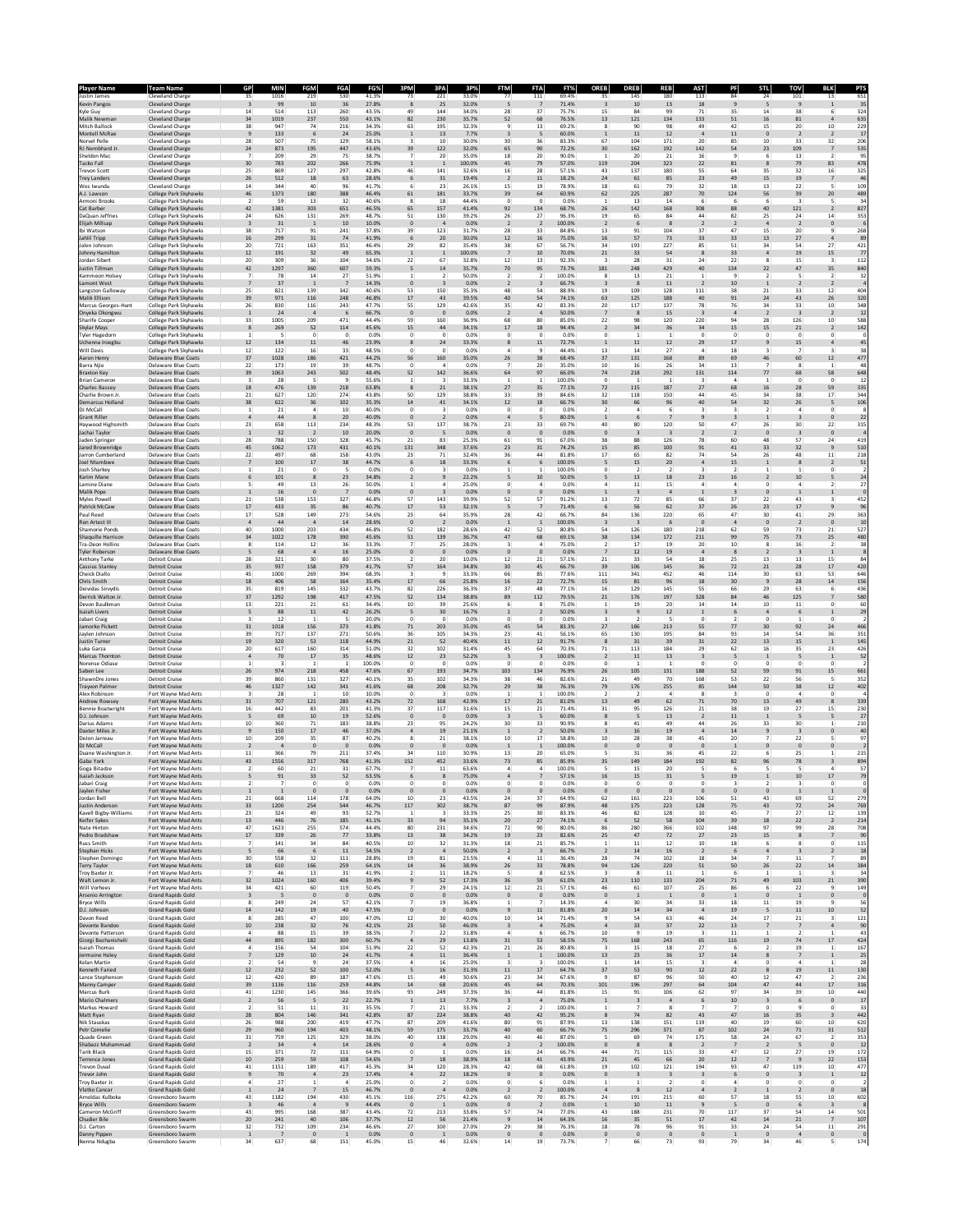| Player Name<br>ustin James                | Team Name<br>Cleveland Charge                         | 35                               | MIN<br>1016    | ΞGΜ<br>219            | FGA<br>530<br>41.3%                    | 73                               | 3P/<br>221                                | 3P%<br>33.0%    | FTM<br>77                        | 111                           | FT9<br>69.49             | <b>OREB</b><br>35              | <b>DREE</b><br>145            | REB<br>180                                | AST<br>113                              | SΤ<br>84                      | 101<br>24                                                       | 13                                 | 651                     |
|-------------------------------------------|-------------------------------------------------------|----------------------------------|----------------|-----------------------|----------------------------------------|----------------------------------|-------------------------------------------|-----------------|----------------------------------|-------------------------------|--------------------------|--------------------------------|-------------------------------|-------------------------------------------|-----------------------------------------|-------------------------------|-----------------------------------------------------------------|------------------------------------|-------------------------|
| Kevin Pangos<br>Kvle Guv                  | <b>Cleveland Charge</b><br>Cleveland Charge           | $\overline{\mathbf{3}}$<br>14    | 99<br>514      | 10<br>113             | 36<br>27.8%<br>260<br>43.5%            | 8<br>49                          | 25<br>144                                 | 32.0%<br>34.0%  | 5<br>28                          | 7<br>37                       | 71.4%<br>75.7%           | $\overline{\mathbf{3}}$<br>15  | 10<br>84                      | 13<br>99                                  | 18<br>71                                | $9$<br>35                     | 5<br>9<br>14<br>38                                              | $\mathbf{1}$<br>-6                 | 35<br>324               |
| Malik Newman<br>Mitch Ballock             | Cleveland Charge<br>Cleveland Charge                  | 34<br>38                         | 1019<br>947    | 237<br>74             | 550<br>43.1%<br>216<br>34.3%           | 82<br>63                         | 230<br>195                                | 35.7%           | 52<br>$\mathbf{Q}$               | 68<br>13                      | 76.5%<br>69.2%           | 13<br>R                        | 121<br>90                     | 134<br>98                                 | 133<br>49                               | 51<br>42                      | 16<br>81<br>15                                                  | $\overline{4}$                     | 635<br>229              |
| Montell McRa                              | <b>Cleveland Charge</b>                               | $\overline{9}$                   | 133            | 6                     | 24<br>25.0%                            | $\mathbf{1}$                     | $13\,$                                    | 32.3%<br>7.7%   | $\overline{\mathbf{3}}$          |                               | 60.0%                    |                                | 11                            | 12                                        |                                         | $11\,$                        | 20<br>$\pmb{0}$<br>$\overline{2}$                               | $10\,$                             | 17                      |
| Norvel Pelle<br>RJ Nembhard J             | Cleveland Charge<br>Cleveland Charge                  | 28<br>24                         | 507<br>873     | 75<br>195             | 129<br>58.1%<br>447<br>43.6%           | 39                               | 10<br>122                                 | 30.0%<br>32.0%  | 30<br>65                         | 36<br>90                      | 83.3%<br>72.2%           | 67<br>30                       | 104<br>162                    | 171<br>192                                | 20<br>142                               | 85<br>54                      | 10<br>33<br>109<br>23                                           | 32                                 | 206<br>535              |
| Sheldon Mac<br>Tacko Fall                 | Cleveland Charge<br>Cleveland Charge                  | $\overline{7}$<br>30             | 209<br>783     | 29<br>202             | 75<br>38.7%<br>266<br>75.9%            |                                  | 20<br>$\overline{1}$                      | 35.0%<br>100.0% | 18<br>45                         | 20<br>79                      | 90.0%<br>57.0%           | $\mathbf{1}$<br>119            | 20<br>204                     | 21<br>323                                 | 16<br>22                                | 9<br>81                       | 6<br>13<br>79<br>8                                              | $\overline{2}$<br>83               | 95<br>478               |
| revon Scott<br><b>Trey Landers</b>        | <b>Cleveland Charge</b><br>Cleveland Charge           | 25<br>26                         | 869<br>512     | 127<br>18             | 297<br>42.8%<br>63<br>28.6%            | 46<br>6                          | 141<br>31                                 | 32.6%<br>19.4%  | 16<br>$\overline{2}$             | 28<br>11                      | 57.1%<br>18.2%           | 43<br>24                       | 137<br>61                     | 180<br>85                                 | 55<br>23                                | 64<br>49                      | 35<br>32<br>$19\,$<br>15                                        | 16<br>$\overline{7}$               | 325<br>46               |
| Wes Iwundu                                | Cleveland Charge                                      | 14                               | 344            | 40                    | 96<br>41.7%                            |                                  | 23                                        | 26.1%           | 15                               | 19                            | 78.9%                    | 18                             | 61                            | 79                                        | 32                                      | 18                            | 22<br>13                                                        | 5                                  | 109                     |
| A.J. Lawson<br>Armoni Brooks              | College Park Skyhawks<br>College Park Skyhawk         | 46<br>$\mathcal{L}$              | 1373<br>59     | 180<br>13             | 388<br>46.4%<br>32<br>40.6%            | 61                               | 181<br>18                                 | 33.7%<br>44.4%  | 39<br>$\mathbf{0}$               | 64<br>$\Omega$                | 60.9%<br>0.0%            | 62<br>$\overline{1}$           | 225<br>13                     | 287<br>14                                 | 70<br>6                                 | 124<br>6                      | 56<br>39<br>6<br>$\mathbf{R}$                                   | 20<br>5                            | 489<br>34               |
| Cat Barber<br>DaQuan Jeffries             | College Park Skyhawks<br>College Park Skyhawks        | 42<br>24                         | 1381<br>626    | 303<br>131            | 651<br>46.5%<br>48.7%<br>269           | 65<br>51                         | 157<br>130                                | 41.4%<br>39.2%  | 92<br>26                         | 134<br>27                     | 68.7%<br>96.3%           | 26<br>19                       | 142<br>65                     | 168<br>84                                 | 308<br>44                               | 88<br>82                      | 121<br>40<br>25<br>24                                           | 14                                 | 827<br>353              |
| Elijah Millsap<br>Ibi Watson              | College Park Skyhawks<br>College Park Skyhawks        | $\overline{\mathbf{3}}$<br>38    | 31<br>717      | $\overline{1}$<br>91  | 10<br>10.0%<br>241<br>37.8%            | $\mathbf{0}$<br>39               | $\overline{4}$<br>123                     | 0.0%<br>31.7%   | $\overline{2}$<br>28             | $\overline{2}$<br>33          | 100.0%<br>84.8%          | <sup>2</sup><br>13             | 6<br>91                       | 8<br>104                                  | $\overline{2}$<br>37                    | $\overline{2}$<br>47          | $\overline{2}$<br>$\overline{4}$<br>15<br>20                    | $\circ$<br>9                       | 268                     |
| Jahlil Tripp<br>alen Johnson              | College Park Skyhawks<br>College Park Skyhawks        | 16<br>20                         | 299<br>721     | 31<br>163             | 74<br>41.9%<br>351<br>46.4%            | 6<br>29                          | 20<br>82                                  | 30.0%<br>35.4%  | 12<br>38                         | 16<br>67                      | 75.0%<br>56.7%           | 16<br>34                       | 57<br>193                     | 73<br>227                                 | 33<br>85                                | 33<br>51<br>34                | 13<br>27<br>54                                                  | $\overline{4}$<br>27               | 89<br>421               |
| Johnny Hamilton                           | <b>College Park Skyhawks</b>                          | $12\,$                           | 191            | 32                    | 49<br>65.3%                            | $\mathbf{1}$                     | $\overline{1}$                            | 100.0%          | $\overline{7}$                   | 10                            | 70.0%                    | 21                             | 33                            | 54                                        | 8                                       | 33                            | 19<br>$\overline{4}$<br>$\mathbf{\mathsf{R}}$                   | 15<br>$\mathbf{R}$                 | 77                      |
| Jordan Sibert<br>Justin Tillman           | College Park Skyhawks<br>College Park Skyhawks        | 20<br>42                         | 309<br>1297    | 36<br>360             | 104<br>34.6%<br>607<br>59.3%           | 22<br>.5                         | 67<br>14                                  | 32.8%<br>35.7%  | 12<br>70                         | 13<br>95                      | 92.3%<br>73.7%           | 181                            | 28<br>248                     | 31<br>429                                 | 24<br>40                                | 22<br>134                     | 15<br>22<br>47                                                  | 35                                 | 112<br>840              |
| Kammeon Holsey<br>Lamont West             | College Park Skyhawk<br>College Park Skyhawks         | $\overline{7}$<br>$\overline{7}$ | 78<br>37       | 14                    | 27<br>51.9%<br>14.3%                   |                                  | $\overline{\phantom{a}}$                  | 50.0%<br>0.0%   | $\overline{2}$<br>$\overline{2}$ | $\mathcal{L}$                 | 100.0%<br>66.7%          |                                | 13                            | 21<br>11                                  | $\mathbf{1}$                            | $\mathbf{q}$<br>10            | $\overline{\phantom{a}}$<br>$\overline{2}$                      | $\overline{2}$                     | 32                      |
| Langston Galloway<br>Malik Ellison        | College Park Skyhawks<br>College Park Skyhawks        | 25<br>39                         | 821<br>971     | 139<br>116            | 342<br>40.6%<br>248<br>46.8%           | 53<br>17                         | 150<br>43                                 | 35.3%<br>39.5%  | 48<br>40                         | 54<br>54                      | 88.9%<br>74.1%           | 19<br>63                       | 109<br>125                    | 128<br>188                                | 111<br>40                               | 38<br>91                      | 21<br>33<br>43<br>24                                            | 12<br>26                           | 404<br>320              |
| Marcus Georges-Hunt<br>Onyeka Okongwi     | College Park Skyhawks<br>College Park Skyhawks        | 26<br>$\mathbf{1}$               | 830<br>24      | 116<br>$\overline{a}$ | 243<br>47.7%<br>6<br>66.7%             | 55<br>$\circ$                    | 129<br>$\overline{\mathbf{0}}$            | 42.6%<br>0.0%   | 35<br>$\sqrt{2}$                 | 42<br>$\overline{4}$          | 83.3%<br>50.0%           | 20                             | 117<br>8                      | 137<br>15                                 | 78<br>$\overline{\mathbf{3}}$           | 76<br>$\overline{4}$          | 34<br>33<br>$\overline{2}$<br>$\overline{\mathbf{3}}$           | 10<br>$\overline{2}$               | 348<br>12               |
| Sharife Cooper<br>Skylar Mays             | College Park Skyhawks<br><b>College Park Skyhawks</b> | 33<br>8                          | 1005<br>269    | 209<br>52             | 471<br>44.4%<br>114<br>45.6%           | 59<br>15                         | 160<br>$44\,$                             | 36.9%<br>34.1%  | 68<br>$17\,$                     | 80<br>18                      | 85.0%<br>94.4%           | 22                             | 98<br>34                      | 120<br>36                                 | 220<br>34                               | 94<br>15                      | 28<br>126<br>$21\,$<br>15                                       | 10<br>$\overline{2}$               | 588<br>142              |
| Tyler Hagedorn                            | College Park Skyhawks                                 | -1.                              |                | $\Omega$              | $\Omega$<br>0.0%                       | $\Omega$                         | $^{\circ}$                                | 0.0%            | $^{\circ}$                       | $\Omega$                      | 0.0%                     | $\Omega$                       | $\mathbf{1}$                  | $\mathbf{1}$                              | $\Omega$                                | $\circ$                       | $\circ$<br>$^{\circ}$                                           | $\Omega$                           |                         |
| Jchenna Iroegbu<br>Will Davis             | College Park Skyhawks<br>College Park Skyhawk         | 12<br>12                         | 134<br>122     | 11<br>16              | 46<br>23.9%<br>33<br>48.5%             | $\Omega$                         | 24<br>$\Omega$                            | 33.3%<br>0.0%   | 8<br>$\Delta$                    | 11<br>۹                       | 72.7%<br>44.4%           | 13                             | 11<br>14                      | 12<br>27                                  | 29<br>4                                 | 17<br>18                      | 15<br>$\overline{7}$<br>$\mathbf{R}$                            |                                    | 45<br>38                |
| Aaron Henry<br>Barra Njie                 | <b>Delaware Blue Coats</b><br>Delaware Blue Coats     | 37<br>22                         | 1028<br>173    | 186<br>19             | 421<br>44.2%<br>48.7%<br>39            | 56                               | 160<br>4                                  | 35.0%<br>0.0%   | 26                               | 38<br>20                      | 68.4%<br>35.0%           | 37<br>10                       | 131<br>16                     | 168<br>26                                 | 89<br>34                                | 69<br>13                      | 46<br>60<br>8                                                   | 12<br>-1                           | 477<br>48               |
| Braxton Key<br><b>Brian Cameron</b>       | <b>Delaware Blue Coats</b><br>Delaware Blue Coats     | 39<br>$\overline{\mathbf{3}}$    | 1063<br>28     | 243<br>-5             | 502<br>48.4%<br>9<br>55.6%             | 52<br>1                          | 142<br>$\overline{\mathbf{3}}$            | 36.6%<br>33.3%  | 64<br>$\mathbf{1}$               | 97<br>-1.                     | 66.0%<br>100.0%          | 74<br>$^{\circ}$               | 218<br>$\mathbf{1}$           | 292<br>-1                                 | 131<br>3                                | 114<br>$\overline{a}$         | 77<br>68<br>$\mathbf{1}$<br>$^{\circ}$                          | 58<br>$\circ$                      | 648<br>12               |
| Charles Bassey<br>Charlie Brown Jr        | <b>Delaware Blue Coats</b><br>Delaware Blue Coats     | 18<br>21                         | 476<br>627     | 139<br>120            | 218<br>63.8%<br>274<br>43.8%           | 50                               | 21<br>129                                 | 38.1%<br>38.8%  | 27<br>33                         | 35<br>39                      | 77.1%<br>84.6%           | 72<br>32                       | 115<br>118                    | 187<br>150                                | 27<br>44                                | 68<br>45                      | 16<br>28<br>34<br>38                                            | 59<br>17                           | 335<br>344              |
| Demarcus Holland                          | <b>Delaware Blue Coats</b>                            | 38                               | 622            | 36                    | 102<br>35.3%                           | 14                               | $41\,$                                    | 34.1%           | $12\,$                           | 18                            | 66.7%                    | 30                             | 66                            | 96                                        | $40\,$                                  | 54                            | 32<br>$26\,$                                                    | 5                                  | 106                     |
| DJ McCall<br><b>Grant Rille</b>           | Delaware Blue Coats<br><b>Delaware Blue Coats</b>     | $\mathbf{1}$<br>$\overline{4}$   | 21<br>44       | $\mathfrak{a}$<br>8   | 10<br>40.0%<br>20<br>40.0%             | $\Omega$<br>$\circ$              | $\mathbf{R}$<br>$\overline{2}$            | 0.0%<br>0.0%    | $^{\circ}$<br>$\overline{4}$     | $\Omega$                      | 0.0%<br>80.0%            | $\overline{\phantom{a}}$       | 4                             | 6                                         | 3<br>9                                  | $\mathbf{a}$<br>3             | $\mathcal{L}$<br>$\mathfrak{a}$<br>1<br>3                       | $\Omega$<br>$\circ$                | 22                      |
| Haywood Highsmith<br>Jachai Taylor        | Delaware Blue Coats<br><b>Delaware Blue Coats</b>     | 23<br>$\overline{1}$             | 658<br>32      | 113                   | 234<br>48.3%<br>10<br>20.0%            | 53<br>$\circ$                    | 137<br>5                                  | 38.7%<br>0.0%   | 23<br>$\mathbf{0}$               | 33<br>$\epsilon$              | 69.7%<br>0.0%            | 40                             | 80                            | 120                                       | 50                                      | 47                            | $\bf 26$<br>30<br>$\pmb{0}$<br>$\overline{\mathbf{3}}$          | $\bf{22}$<br>$\circ$               | 315                     |
| Jaden Springer<br>Jared Brownridge        | Delaware Blue Coats<br><b>Delaware Blue Coats</b>     | 28<br>45                         | 788<br>1062    | 150<br>173            | 328<br>45.7%<br>431<br>40.1%           | $^{21}$<br>131                   | 83<br>348                                 | 25.3%<br>37.6%  | 61<br>23                         | 91<br>31                      | 67.0%<br>74.2%           | 38<br>15                       | 88<br>85                      | 126<br>100                                | 78<br>91                                | 60<br>41                      | 48<br>57<br>33<br>32                                            | 24<br>$\overline{9}$               | 419<br>510              |
| Jarron Cumberland<br>Joel Ntambwe         | Delaware Blue Coats<br><b>Delaware Blue Coats</b>     | 22<br>$\overline{\phantom{a}}$   | 497<br>100     | 68<br>$17\,$          | 158<br>43.0%<br>38<br>44.7%            | 23<br>6                          | 71<br>18                                  | 32.4%<br>33.3%  | 36<br>6                          | 44                            | 81.8%<br>100.0%          | 17                             | 65<br>15                      | 82<br>20                                  | 74<br>$\ddot{a}$                        | 54<br>15                      | 26<br>48<br>8<br>$\mathbf 1$                                    | 11<br>$\overline{2}$               | 218<br>51               |
| Josh Sharkey<br>Karim Mane                | Delaware Blue Coats<br><b>Delaware Blue Coats</b>     | $\,$ 1<br>6                      | 21<br>101      | $\bf{0}$<br>8         | 5<br>0.0%<br>23<br>34.8%               |                                  | $\overline{\mathbf{3}}$<br>$\overline{9}$ | 0.0%<br>22.2%   | 5                                | 10                            | 100.0%<br>50.0%          |                                | 13                            | 18                                        | 23                                      | $\overline{2}$<br>16          | 10<br>$\overline{2}$                                            | $\bf{0}$                           | 24                      |
| Lamine Diane<br>Malik Pope                | Delaware Blue Coats<br><b>Delaware Blue Coats</b>     | 5<br>$\mathbf{1}$                | 49<br>16       | 13<br>$\overline{0}$  | 26<br>50.0%<br>0.0%                    | $\circ$                          | $\Delta$<br>$\overline{\mathbf{3}}$       | 25.0%<br>0.0%   | $^{\circ}$<br>$\mathbf{0}$       | $\mathbf 0$                   | 0.0%<br>0.0%             |                                | 11                            | 15<br>$\overline{a}$                      | 4<br>$\mathbf{1}$                       | $\overline{a}$<br>3           | $\circ$<br>$\mathfrak{a}$<br>$\mathbf{0}$<br>$\mathbf{1}$       |                                    | 27                      |
| Myles Powel                               | Delaware Blue Coats                                   | 21                               | 538            | 153                   | 327<br>46.8%                           | 57                               | 143                                       | 39.9%           | 52                               | 57                            | 91.2%                    | 13                             | 72                            | 85                                        | 66                                      | 37                            | 22<br>43                                                        |                                    | 452                     |
| Patrick McCaw<br>Paul Reed                | <b>Delaware Blue Coats</b><br>Delaware Blue Coats     | 17<br>17                         | 433<br>528     | 35<br>149             | 86<br>40.7%<br>273<br>54.6%            | 17<br>23                         | 53<br>64                                  | 32.1%<br>35.9%  | 5<br>28                          | 42                            | 71.49<br>66.7%           | 84                             | 56<br>136                     | 62<br>220                                 | 37<br>65                                | 26<br>47                      | 23<br>17<br>30<br>41                                            | 29                                 | 96<br>363               |
| Ron Artest III<br>Shamorie Ponds          | <b>Delaware Blue Coats</b><br>Delaware Blue Coats     | $\overline{4}$<br>40             | 44<br>1000     | $\mathbf{A}$<br>203   | 14<br>28.6%<br>434<br>46.8%            | $\circ$<br>52                    | $\overline{2}$<br>182                     | 0.0%<br>28.6%   | $\overline{1}$<br>42             | $\mathbf{1}$<br>52            | 100.0%<br>80.8%          | $\overline{\mathbf{3}}$<br>54  | - 3<br>126                    | - 6<br>180                                | $\mathbf{0}$<br>218                     | $\overline{4}$<br>62          | $\circ$<br>$\overline{2}$<br>59<br>73                           | $\mathbf 0$<br>21                  | 10<br>527               |
| Shaquille Harrison<br>Tra-Deon Hollins    | Delaware Blue Coats<br>Delaware Blue Coats            | 34<br>8                          | 1022<br>114    | 178<br>12             | 390<br>45.6%<br>36<br>33.3%            | 51                               | 139<br>25                                 | 36.7%<br>28.0%  | 47<br>$\overline{\mathbf{3}}$    | 68                            | 69.1%<br>75.0%           | 38<br>$\overline{2}$           | 134<br>17                     | 172<br>19                                 | 211<br>20                               | 99<br>10                      | 75<br>73<br>8<br>16                                             | 25<br>$\overline{2}$               | 480<br>38               |
| <b>Tyler Roberson</b><br>Anthony Tarke    | <b>Delaware Blue Coats</b><br>Detroit Cruise          | 5<br>28                          | 68<br>321      | $\overline{4}$<br>30  | $16\,$<br>25.0%<br>80<br>37.5%         | $\circ$                          | $\,$ 0<br>20                              | 0.0%<br>10.0%   | $\mathbf{0}$<br>12               | $\mathbf{0}$<br>21            | 0.0%<br>57.1%            | 21                             | 12<br>33                      | 19<br>54                                  | $\overline{4}$<br>18                    | $\bf{8}$<br>25                | $\overline{\mathbf{3}}$<br>$\overline{2}$<br>13<br>13           | $\mathbf{1}$<br>15                 | 84                      |
| Cassius Stanley<br>Cheick Diallo          | <b>Detroit Cruise</b><br>Detroit Cruise               | 35<br>45                         | 937<br>1000    | 158<br>269            | 379<br>41.7%<br>394<br>68.3%           | 57                               | 164<br>$\mathbf{q}$                       | 34.8%<br>33.3%  | 30<br>66                         | 45<br>85                      | 66.7%<br>77.6%           | 39<br>111                      | 106<br>341                    | 145<br>452                                | 36<br>46                                | 72<br>114                     | 21<br>28<br>30<br>63                                            | 17<br>53                           | 420<br>646              |
| Chris Smith                               | <b>Detroit Cruise</b>                                 | 18                               | 406            | 58                    | 164<br>35.4%                           | 17                               | 66                                        | 25.8%           | 16                               | 22                            | 72.7%                    | 15                             | 81                            | 96                                        | 18                                      | 30                            | $\overline{9}$<br>28                                            | 14                                 | 156                     |
| Deividas Sirvydis<br>Derrick Walton Jr    | Detroit Cruise<br><b>Detroit Cruise</b>               | 35<br>37                         | 819<br>1292    | 145<br>198            | 332<br>43.7%<br>417<br>47.5%           | 82<br>52                         | 226<br>134                                | 36.3%<br>38.8%  | 37<br>89                         | 48<br>112                     | 77.1%<br>79.5%           | 16<br>21                       | 129<br>176                    | 145<br>197                                | 55<br>328                               | 66<br>84                      | 29<br>63<br>125<br>46                                           | -6                                 | 436<br>580              |
| Devon Baulkman<br><b>Isaiah Livers</b>    | Detroit Cruise<br><b>Detroit Cruise</b>               | 13<br>5                          | 221<br>88      | 21<br>$11\,$          | 61<br>34.4%<br>42<br>26.2%             | 10<br>5                          | 39<br>30                                  | 25.6%<br>16.7%  | 6<br>$\mathbf 1$                 | 8                             | 75.0%<br>50.0%           | -1                             | 19<br>$\overline{9}$          | 20<br>12                                  | 14<br>$\mathbf 1$                       | 14<br>6                       | 10<br>11<br>$\sqrt{4}$<br>6                                     | $\circ$                            | 60<br>29                |
| labari Crais<br>Jamorko Picket            | Detroit Cruise<br>Detroit Cruise                      | 3<br>31                          | 12<br>1018     | 156                   | 5<br>20.0%<br>373<br>41.8%             | $\circ$<br>71                    | $\mathbf{0}$<br>203                       | 0.0%<br>35.0%   | $\bf{0}$<br>45                   | $\circ$<br>54                 | 0.0%<br>83.3%            | 27                             | 186                           | 5<br>213                                  | 0<br>55                                 | $\mathbf 2$<br>77             | $\mathbf 0$<br>92<br>30                                         | $\circ$<br>24                      | 466                     |
| Javien Johnson<br>Justin Turner           | Detroit Cruise<br><b>Detroit Cruise</b>               | 39<br>19                         | 717<br>320     | 137<br>53             | 271<br>50.6%<br>118<br>44.9%           | 36<br>21                         | 105<br>52                                 | 34.3%<br>40.4%  | 23<br>11                         | 41<br>12                      | 56.1%<br>91.7%           | 65                             | 130<br>31                     | 195<br>39                                 | 84<br>31                                | 93<br>22                      | 14<br>54<br>15<br>13                                            | 36<br>$\mathbf{1}$                 | 351<br>145              |
| uka Garza<br>Marcus Thorntor              | Detroit Cruise<br><b>Detroit Cruise</b>               | 20<br>$\overline{a}$             | 617<br>70      | 160<br>$17\,$         | 314<br>51.0%<br>35<br>48.6%            | 32<br>12                         | 102<br>23                                 | 31.4%<br>52.2%  | 45<br>$\overline{\mathbf{3}}$    | 64                            | 70.3%<br>100.0%          | 71                             | 113<br>11                     | 184<br>13                                 | 29<br>$\overline{\mathbf{3}}$           | 62<br>5                       | $16\,$<br>35<br>5<br>$\mathbf 1$                                | 23                                 | 426<br>52               |
| Norense Odiase                            | Detroit Cruise                                        | 1                                |                |                       | 100.0%<br>-1                           | $^{\circ}$                       | $\circ$                                   | 0.0%            | 0                                |                               | 0.0%                     | 0                              |                               |                                           | 0                                       | 0                             | $\circ$<br>$^{\circ}$                                           | $^{\circ}$                         |                         |
| Saben Lee<br>ShawnDre Jones               | <b>Detroit Cruise</b><br>Detroit Cruise               | 26<br>39                         | 974<br>860     | 218<br>131            | 458<br>47.6%<br>327<br>40.1%           | 67<br>35                         | 193<br>102                                | 34.7%<br>34.3%  | 103<br>38                        | 134<br>46                     | 76.9%<br>82.6%           | 26<br>21                       | 105<br>49                     | 131<br>70                                 | 188<br>168                              | 52<br>53                      | 91<br>59<br>22<br>56                                            | 15<br>-5                           | 661<br>352              |
| Trayvon Palmer<br>Alex Robinson           | <b>Detroit Cruise</b><br>Fort Wayne Mad Ants          | 46<br>3                          | 1327<br>28     | 142                   | 341<br>41.6%<br>10<br>10.0%            | 68<br>$\circ$                    | 208<br>$\overline{\mathbf{3}}$            | 32.7%<br>0.0%   | 29<br>$\overline{1}$             | 38                            | 76.3%<br>100.0%          | 79                             | 176                           | 255<br>4                                  | 85<br>8                                 | 144<br>3                      | 50<br>38<br>$\mathsf{o}\,$<br>$\overline{a}$                    | 12<br>$\circ$                      | 402                     |
| Andrew Rowsey<br>Bennie Boatwright        | Fort Wayne Mad Ants<br>Fort Wayne Mad Ants            | 31<br>16                         | 707<br>442     | 121<br>83             | 280<br>43.2%<br>201<br>41.3%           | 72<br>37                         | 168<br>117                                | 42.9%<br>31.6%  | 17<br>15                         | 21<br>21                      | 81.0%<br>71.4%           | 13<br>31                       | 49<br>95                      | 62<br>126                                 | 71<br>21                                | 70<br>38                      | 49<br>13<br>19<br>27                                            | 8<br>15                            | 339<br>230              |
| D.J. Johnson<br>Darius Adams              | Fort Wayne Mad Ants<br>Fort Wayne Mad Ant             | 5<br>10                          | 69<br>360      | 10<br>71              | 19<br>52.6%<br>183<br>38.8%            | $\mathbf{0}$<br>23               | $\overline{\mathbf{0}}$<br>95             | 0.0%<br>24.2%   | $\overline{\mathbf{3}}$<br>30    | -5<br>33                      | 60.0%<br>90.99           |                                | -5<br>41                      | 13<br>49                                  | <sup>2</sup><br>44                      | 11<br>26                      | 5<br>$\mathbf{1}$<br>33<br>30                                   | -5<br>$\mathbf{1}$                 | 27<br>210               |
| Daxter Miles Jr<br>DeJon Jarreau          | Fort Wayne Mad Ants                                   | $\overline{9}$<br>10             | 150<br>209     | 17                    | 46<br>37.0%<br>87                      |                                  | 19<br>21                                  | 21.1%<br>38.1%  | $\overline{1}$                   |                               | 50.09<br>58.8%           |                                | 16<br>28                      | 19<br>38                                  | 45                                      | $14\,$                        | $\overline{9}$<br>$\overline{\mathbf{3}}$<br>22                 |                                    | 40<br>97                |
| DJ McCall                                 | Fort Wayne Mad Ants<br>Fort Wayne Mad Ants            | $\overline{2}$                   | $\overline{4}$ | 35<br>$\mathbf{0}$    | 40.2%<br>$\mathbf{0}$<br>0.0%          | $\circ$                          | $\overline{\mathbf{0}}$                   | 0.0%            | 10<br>$\overline{1}$             | 17<br>1                       | 100.0%                   | 10<br>$\mathbf{0}$             | $\mathbf{0}$                  | $\mathbf{0}$                              | $\mathbf{0}$                            | 20<br>$\mathbf{1}$            | $\mathbf{0}$<br>$\mathbf{0}$                                    |                                    |                         |
| Duane Washington Jr.<br>Gabe York         | Fort Wayne Mad Ants<br>Fort Wayne Mad Ants            | 11<br>43                         | 366<br>1556    | 79<br>317             | 211<br>37.4%<br>768<br>41.3%           | 34<br>152                        | 110<br>452                                | 30.9%<br>33.6%  | 13<br>73                         | 20<br>85                      | 65.0%<br>85.9%           | 35                             | 31<br>149                     | 36<br>184                                 | 45<br>192                               | 22<br>82                      | 6<br>25<br>78<br>96                                             | -1                                 | 215<br>894              |
| Goga Bitadze<br>Isaiah Jackson            | Fort Wayne Mad Ants<br>Fort Wayne Mad Ants            | $\boldsymbol{2}$<br>5            | 60<br>91       | 21<br>33              | 31<br>67.7%<br>52<br>63.5%             | 6                                | 11<br>8                                   | 63.6%<br>75.0%  | 4                                |                               | 100.0%<br>57.1%          | 16                             | 15<br>15                      | 20<br>31                                  | 5                                       | 6<br>19                       | 10                                                              | 17                                 | 57<br>79                |
| ahari Cr<br>Jaylen Fisher                 | Fort Wayne Mad Ants                                   | $\mathbf{1}$                     | $\mathbf{1}$   | $\mathbf{0}$          | $\mathbf{0}$<br>0.0%                   | $\mathbf{0}$                     | $\overline{0}$                            | n n%<br>0.0%    | $\mathbf{0}$                     | $\mathbf{0}$                  | 0.0 <sup>9</sup><br>0.0% | $\mathbf{0}$                   | $\mathbf{0}$                  | $\mathbf{0}$                              | $\mathbf{0}$                            | $\mathbf{0}$                  | $\mathbf{0}$<br>$\mathbf{1}$                                    | $\mathbf{1}$                       |                         |
| Jordan Bell<br>Justin Anderson            | Fort Wayne Mad Ants<br>Fort Wayne Mad Ants            | 21<br>33                         | 668<br>1200    | 114<br>254            | 178<br>64.0%<br>544<br>46.7%           | 10<br>117                        | 23<br>302                                 | 43.5%<br>38.7%  | 24<br>87                         | 37<br>99                      | 64.9%<br>87.9%           | 62<br>48                       | 161<br>175                    | 223<br>223                                | 106<br>128                              | 51<br>75                      | 43<br>69<br>43<br>$72\,$                                        | 52<br>$24\,$                       | 279<br>769              |
| Kavell Bigby-Williams<br>Keifer Sykes     | Fort Wayne Mad Ants<br>Fort Wayne Mad Ants            | 23<br>13                         | 324<br>446     | 49<br>76              | 93<br>52.7%<br>185<br>41.1%            | 1<br>33                          | 3<br>94                                   | 33.3%<br>35.1%  | 25<br>20                         | 30<br>27                      | 83.3%<br>74.1%           | 46<br>6                        | 82<br>52                      | 128<br>58                                 | 10<br>104                               | 45<br>39                      | 27<br>7<br>18<br>22                                             | 12<br>$\overline{2}$               | 139<br>214              |
| Nate Hinton<br>Pedro Bradshaw             | Fort Wayne Mad Ants                                   | 47<br>17                         | 1623           | 255<br>26             | 574<br>44.4%<br>77<br>33.8%            | 80<br>13                         | 231<br>38                                 | 34.6%<br>34.2%  | 72<br>19                         | 90<br>23                      | 80.0%<br>82.6%           | 86<br>25                       | 280<br>47                     | 366<br>72                                 | 102<br>27                               | 148<br>23                     | 97<br>99<br>15<br>8                                             | 28<br>$\overline{7}$               | 708<br>90               |
| <b>Russ Smith</b>                         | Fort Wayne Mad Ants<br>Fort Wayne Mad Ants            | $\overline{7}$                   | 339<br>141     | 34                    | 84<br>40.5%                            | 10                               | 32                                        | 31.3%           | 18                               | 21                            | 85.7%                    | $\mathbf{1}$                   | 11                            | 12                                        | 10                                      | 18                            | 6<br>8                                                          | $\circ$                            | 115                     |
| Stephan Hicks<br>Stephen Domingo          | Fort Wayne Mad Ants<br>Fort Wayne Mad Ants            | $\overline{5}$<br>30             | 66<br>558      | $\,$ 6<br>32          | 54.5%<br>11<br>111<br>28.8%            | $\overline{2}$<br>19             | $\overline{4}$<br>81                      | 50.0%<br>23.5%  | $\overline{2}$<br>$\overline{a}$ | $\overline{\mathbf{3}}$<br>11 | 66.7%<br>36.4%           | $\overline{2}$<br>28           | 14<br>74                      | 16<br>102                                 | $\overline{2}$<br>18                    | $\,$ 6 $\,$<br>34             | $\sqrt{4}$<br>$\overline{\mathbf{3}}$<br>$\overline{7}$<br>11   | $\overline{2}$<br>$\overline{7}$   | 18<br>89                |
| Terry Taylor<br>Troy Baxter Jr.           | Fort Wayne Mad Ants<br>Fort Wayne Mad Ants            | 18<br>$\overline{7}$             | 610<br>46      | 166<br>13             | 259<br>64.1%<br>31<br>41.9%            | 14<br>$\mathcal{L}$              | 36<br>11                                  | 38.9%<br>18.2%  | 26<br>-51                        | 33<br>$\mathbf{\hat{z}}$      | 78.8%<br>62.5%           | 94<br>$\mathbf{R}$             | 126<br>$\mathbf{\hat{z}}$     | 220<br>11                                 | 51<br>$\overline{1}$                    | 50<br>6                       | 26<br>22<br>$\vert$ 1<br>$\overline{1}$                         | 14<br>$\mathbf{R}$                 | 384<br>34               |
| Walt Lemon Jr<br>Will Vorhees             | Fort Wayne Mad Ants<br>Fort Wayne Mad Ants            | 32<br>34                         | 1024<br>421    | 160<br>60             | 406<br>39.4%<br>50.4%<br>119           | $\overline{9}$                   | 52<br>29                                  | 17.3%<br>24.1%  | 36<br>12                         | 59<br>21                      | 61.0%<br>57.1%           | 23<br>46                       | 110<br>61                     | 133<br>107                                | 204<br>25                               | 71<br>86                      | 103<br>49<br>22<br>6                                            | 21<br>9                            | 390<br>149              |
| Arsenio Arrington<br><b>Bryce Wills</b>   | <b>Grand Rapids Gold</b><br><b>Grand Rapids Gold</b>  | $\overline{\mathbf{3}}$<br>8     | 5<br>249       | $\mathbf{0}$<br>24    | 0.0%<br>$\mathbf{0}$<br>57<br>42.1%    | $\mathbf{0}$<br>$\overline{7}$   | $\mathbf{0}$<br>19                        | 0.0%<br>36.8%   | $\mathbf 0$<br>$\mathbf{1}$      | $\mathbf{0}$<br>-7            | 0.0%<br>14.3%            | $\mathbf{0}$<br>$\overline{a}$ | $\overline{1}$<br>30          | $\overline{1}$<br>34                      | $\mathbf{0}$<br>33                      | <sup>1</sup><br>18            | $\circ$<br><sup>1</sup><br>11<br>19                             | $\circ$<br>9                       | $\overline{0}$<br>56    |
| D.J. Johnson<br>Davon Reed                | <b>Grand Rapids Gold</b><br><b>Grand Rapids Gold</b>  | 14<br>8                          | 142<br>285     | 19<br>47              | 40<br>47.5%<br>100<br>47.0%            | $\mathbf 0$<br>12                | $\mathbf{0}$<br>30                        | 0.0%<br>40.0%   | $\overline{9}$<br>10             | 11<br>14                      | 81.8%<br>71.4%           | 20<br>$\overline{9}$           | 14<br>54                      | 34<br>63                                  | $\overline{4}$<br>46                    | 19<br>24                      | 5<br>$11\,$<br>17<br>21                                         | 10<br>$\overline{\mathbf{3}}$      | 52<br>121               |
| Devonte Bandoo                            | <b>Grand Rapids Gold</b>                              | $10\,$                           | 238            | $32\,$                | 42.1%<br>76                            | $23\,$                           | 50                                        | 46.0%           | $\overline{\mathbf{3}}$          | $\overline{a}$                | 75.0%                    | $\overline{4}$                 | $33$                          | $37\,$                                    | 22                                      | $13\,$                        | $\overline{7}$<br>$\overline{7}$                                | $\overline{4}$                     | 90                      |
| Devonte Patterson<br>Giorgi Bezhanishvili | <b>Grand Rapids Gold</b><br><b>Grand Rapids Gold</b>  | $\overline{a}$<br>44             | 88<br>895      | 15<br>182             | 39<br>38.5%<br>300<br>60.7%            | $\overline{7}$<br>$\overline{4}$ | 22<br>29                                  | 31.8%<br>13.8%  | $\overline{a}$<br>31             | 6<br>53                       | 66.7%<br>58.5%           | 10<br>75                       | $\mathbf{q}$<br>168           | 19<br>243                                 | $\overline{\mathbf{3}}$<br>65           | 11<br>116                     | $\mathbf{1}$<br>$\overline{2}$<br>19<br>74                      | $\vert$ 1<br>17                    | 43<br>424               |
| <b>Isaiah Thomas</b><br>Jermaine Haley    | <b>Grand Rapids Gold</b><br><b>Grand Rapids Gold</b>  | $\mathfrak{a}$<br>$\overline{7}$ | 156<br>129     | 54<br>$10\,$          | 104<br>51.9%<br>24<br>41.7%            | 22<br>$\overline{a}$             | 52<br>11                                  | 42.3%<br>36.4%  | 21<br>$\,$ 1                     | 26<br>$\mathbf{1}$            | 80.8%<br>100.0%          | $\mathbf{R}$<br>13             | 15<br>23                      | 18<br>36                                  | 27<br>17                                | 6<br>14                       | $\overline{2}$<br>19<br>$\bf 8$<br>$\overline{7}$               | $\vert$ 1<br>$\mathbf{1}$          | 167<br>25               |
| Kelan Martin<br>Kenneth Faried            | <b>Grand Rapids Gold</b><br><b>Grand Rapids Gold</b>  | 2<br>12                          | 54<br>232      | 9<br>52               | 24<br>37.5%<br>100<br>52.0%            | $\overline{a}$<br>5              | 16<br>16                                  | 25.0%<br>31.3%  | 3<br>11                          | 3<br>17                       | 100.0%<br>64.7%          | -1<br>37                       | 14<br>53                      | 15<br>90                                  | 3<br>12                                 | $\sim$<br>22                  | 0<br>$\overline{a}$<br>19<br>8                                  | -1<br>$11\,$                       | 28<br>130               |
| Lance Stephenson<br>Manny Camper          | <b>Grand Rapids Gold</b><br><b>Grand Rapids Gold</b>  | 12<br>39                         | 420<br>1136    | 89<br>116             | 187<br>47.6%<br>259<br>44.8%           | 15<br>14                         | 49<br>68                                  | 30.6%<br>20.6%  | 23<br>45                         | 34<br>64                      | 67.6%<br>70.3%           | -9<br>101                      | 87<br>196                     | 96<br>297                                 | 50<br>64                                | 40<br>104                     | 12<br>47<br>47<br>44                                            | $\overline{2}$<br>17               | 236<br>316              |
| Marcus Burk<br>Mario Chalmers             | <b>Grand Rapids Gold</b><br><b>Grand Rapids Gold</b>  | 41<br>$\overline{2}$             | 1230<br>56     | 145<br>5              | 366<br>39.6%<br>$22\,$<br>22.7%        | 93<br>$\mathbf{1}$               | 249<br>13                                 | 37.3%<br>7.7%   | 36<br>$\overline{\mathbf{3}}$    | 44<br>$\overline{a}$          | 81.8%<br>75.0%           | 15<br>$\mathbf{1}$             | 91<br>$\overline{\mathbf{3}}$ | 106<br>$\overline{4}$                     | 62<br>6                                 | 97<br>$10\,$                  | 34<br>39<br>$\,$ 6 $\,$<br>$\overline{\mathbf{3}}$              | 10<br>$\mathbb O$                  | 440<br>$17$             |
| Markus Howard<br>Matt Ryan                | <b>Grand Rapids Gold</b><br><b>Grand Rapids Gold</b>  | $\overline{2}$<br>28             | 51<br>804      | 11<br>146             | 31<br>35.5%<br>341<br>42.8%            | -7<br>87                         | 21<br>224                                 | 33.3%<br>38.8%  | $\overline{2}$<br>40             | $\mathcal{L}$<br>42           | 100.0%<br>95.2%          | <sup>1</sup><br>-8             | $\overline{7}$<br>74          | 8<br>82                                   | 7<br>43                                 | $\overline{7}$<br>47          | $\circ$<br>9<br>16<br>35                                        | $\circ$<br>$\overline{\mathbf{3}}$ | 33<br>442               |
| Nik Stauskas<br>Petr Cornelie             | <b>Grand Rapids Gold</b><br><b>Grand Rapids Gold</b>  | 26<br>29                         | 988<br>960     | 200<br>194            | 419<br>47.7%<br>403<br>48.1%           | 87<br>59                         | 209<br>175                                | 41.6%<br>33.7%  | 80<br>40                         | 91<br>60                      | 87.9%<br>66.7%           | 13<br>75                       | 138<br>296                    | 151<br>371                                | 119<br>87                               | 40<br>102                     | 19<br>60<br>24<br>71                                            | 10<br>31                           | 620<br>512              |
| Quade Green                               | <b>Grand Rapids Gold</b>                              | 31                               | 759            | 125                   | 329<br>38.0%                           | 40                               | 138                                       | 29.0%           | 40                               | 46                            | 87.0%                    |                                | 69                            | 74                                        | 175                                     | 58                            | 24<br>67                                                        | $\overline{2}$                     | 353                     |
| Shabazz Muhammad<br>Tarik Black           | <b>Grand Rapids Gold</b><br><b>Grand Rapids Gold</b>  | $\overline{2}$<br>15             | 34<br>371      | $\overline{4}$<br>72  | 28.6%<br>14<br>111<br>64.9%            | $\mathbf{0}$<br>$^{\circ}$       | $\sqrt{4}$<br>$\overline{1}$              | 0.0%<br>0.0%    | $\overline{2}$<br>16             | $\overline{2}$<br>24          | 100.0%<br>66.7%          | $\mathbf{0}$<br>44             | 8<br>71                       | 8<br>115                                  | $\overline{2}$<br>33                    | $\overline{7}$<br>47          | $\overline{2}$<br>5<br>12<br>27                                 | $\circ$<br>19                      | 12<br>172               |
| Terrence Jones<br>Trevon Duval            | <b>Grand Rapids Gold</b><br><b>Grand Rapids Gold</b>  | 10<br>41                         | 259<br>1151    | 59<br>189             | 108<br>54.6%<br>417<br>45.3%           | $\overline{7}$<br>34             | 18<br>120                                 | 38.9%<br>28.3%  | 18<br>42                         | 41<br>68                      | 43.9%<br>61.8%           | 21<br>19                       | 45<br>102                     | 66<br>121                                 | 20<br>194                               | 12<br>93                      | $\overline{9}$<br>$\overline{7}$<br>47<br>119                   | 22<br>10                           | 153<br>477              |
| Trevor John<br>Troy Baxter Jr.            | <b>Grand Rapids Gold</b><br><b>Grand Rapids Gold</b>  | $9$<br>$\overline{a}$            | 70<br>27       | $\sqrt{4}$<br>1       | 17.4%<br>23<br>$\overline{4}$<br>25.0% | $\overline{a}$<br>$^{\circ}$     | $22\,$<br>$\overline{2}$                  | 18.2%<br>0.0%   | $\mathbf{0}$<br>$^{\circ}$       | $\mathbf 0$<br>-6             | 0.0%<br>0.0%             | $\mathbf 0$<br><sup>1</sup>    | $\overline{\mathbf{3}}$<br>1  | $\overline{\mathbf{3}}$<br>$\overline{2}$ | $\overline{\mathbf{3}}$<br>$\mathbf{0}$ | $\,$ 6 $\,$<br>$\overline{a}$ | $\mathbf 0$<br>$\overline{\mathbf{3}}$<br>$\circ$<br>$^{\circ}$ | $1\,$<br>$\circ$                   | 12                      |
| Vlatko Cancar<br>Arnoldas Kulboka         | <b>Grand Rapids Gold</b><br>Greensboro Swarm          | $\mathbf{1}$<br>43               | 24<br>1182     | -7<br>194             | 15<br>46.7%<br>430<br>45.1%            | $\mathbf{0}$<br>116              | $\overline{4}$<br>275                     | 0.0%<br>42.2%   | $\overline{2}$<br>60             | $\overline{2}$<br>70          | 100.0%<br>85.7%          | $\overline{a}$<br>24           | -8<br>191                     | 12<br>215                                 | $\overline{4}$<br>60                    | $\overline{2}$<br>57          | $\mathbf{1}$<br>$\overline{2}$<br>18<br>55                      | $\circ$<br>10                      | 18<br>602               |
| <b>Bryce Wills</b><br>Cameron McGriff     | Greensboro Swarm<br>Greensboro Swarm                  | $\overline{\mathbf{3}}$<br>43    | 46<br>995      | 168                   | 44.4%<br>43.4%<br>387                  | $\circ$<br>72                    | $\overline{1}$<br>213                     | 0.0%<br>33.8%   | $\mathbf 0$<br>57                | $\overline{2}$<br>74          | 0.0%<br>77.0%            | 43                             | 10<br>188                     | 11<br>231                                 | $\mathsf g$<br>70                       | 5<br>117                      | $\mathbf 0$<br>$\epsilon$<br>37<br>54                           | 14                                 | 501                     |
| Chudier Bile<br>D.J. Carton               | Greensboro Swarm<br>Greensboro Swarm                  | 20<br>32                         | 241<br>732     | 40<br>109             | 37.7%<br>106<br>234<br>46.6%           | 12<br>27                         | 56<br>100                                 | 21.4%<br>27.0%  | 9<br>29                          | 14<br>38                      | 64.3%<br>76.3%           | 16<br>18                       | 35<br>78                      | 51<br>96                                  | 17<br>91                                | 42<br>33 <sup>1</sup>         | 21<br>14<br>24<br>54                                            | $\overline{7}$<br>11               | 107<br>291              |
| Danny Pippen                              | Greensboro Swarm                                      | $\,$ 1 $\,$                      | $\,$ 7         | $\,0\,$               | $\,$ 1<br>0.0%                         | $\,0\,$                          | $\mathbf{1}$                              | 0.0%            | $\,$ 0                           | $\mathbf 0$                   | 0.0%                     | $\mathbf 0$                    | $\,$ 0                        | $\mathbf 0$                               | $\mathbf 0$                             | $\,$ 1 $\,$                   | $\mathbf 0$<br>$\sqrt{4}$                                       | $\mathbf 0$                        | $\overline{\mathbf{0}}$ |
| Ikenna Ndugba                             | Greensboro Swarm                                      | 34                               | 637            | 68                    | 151<br>45.0%                           | 15                               | 46                                        | 32.6%           | 14                               | 19                            | 73.7%                    | $\overline{7}$                 | 66                            | 73                                        | 93                                      | 79                            | 34<br>46                                                        | $\mathsf{s}$                       | 174                     |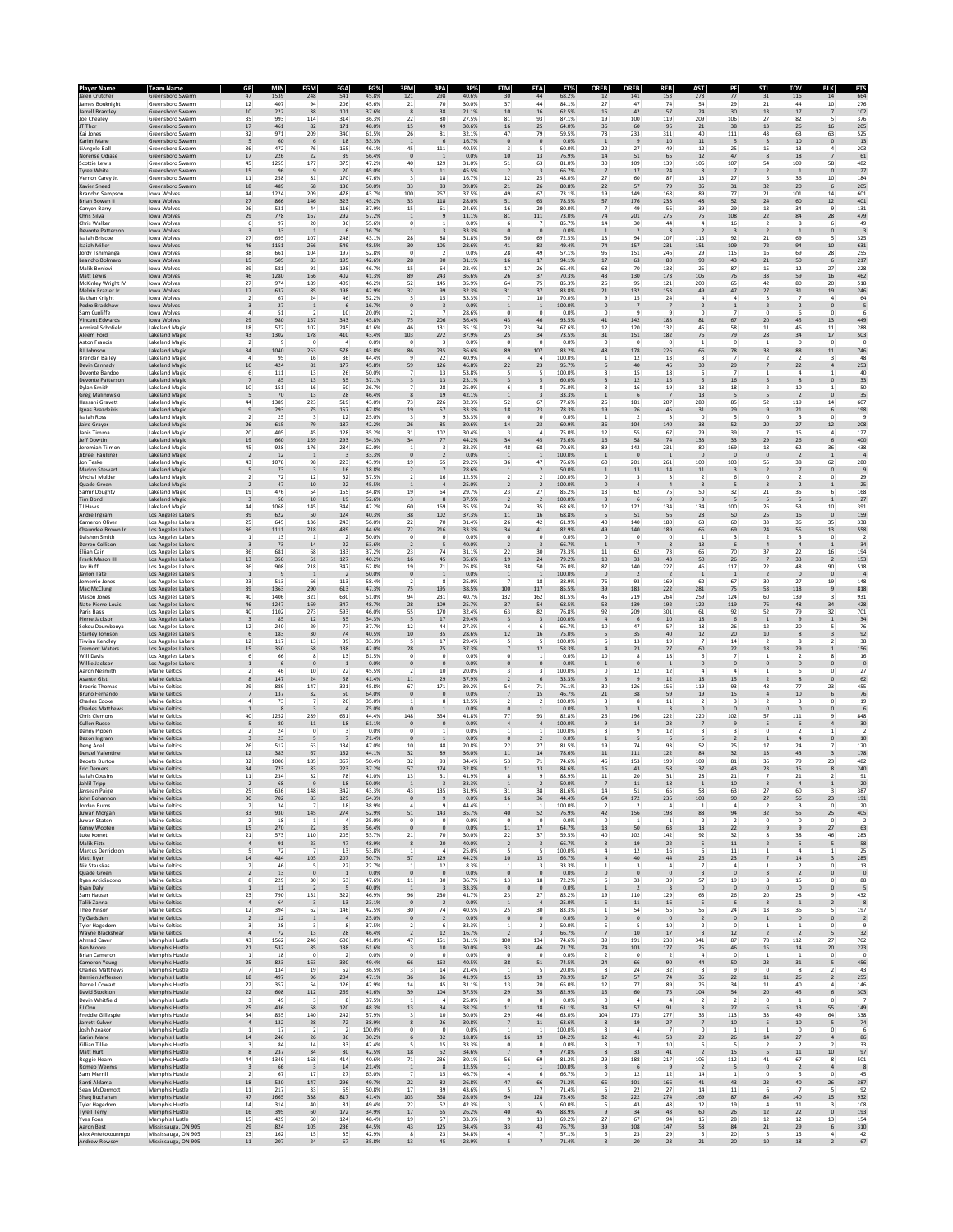| <b>Player Name</b><br>Jalen Crutcher      | Team Name<br>Greensboro Swarm                  | GP<br>47                                  | MIN<br>1539           | <b>FGM</b><br>248              | <b>FGA</b><br>541              | FG%<br>45.8%   | 3PM<br>121                       | 3PA<br>298                       | <b>FTM</b><br>3P%<br>40.6% | <b>FTA</b><br>30<br>44                                                     | FT%<br>68.2%     | <b>OREB</b><br>12             | <b>DREB</b><br>141             | REB<br>153                     | <b>AST</b><br>278                         | <b>STL</b><br>PF<br>77<br>31   | τον<br>116                                                       | <b>BLK</b><br>14                       | 664                 |
|-------------------------------------------|------------------------------------------------|-------------------------------------------|-----------------------|--------------------------------|--------------------------------|----------------|----------------------------------|----------------------------------|----------------------------|----------------------------------------------------------------------------|------------------|-------------------------------|--------------------------------|--------------------------------|-------------------------------------------|--------------------------------|------------------------------------------------------------------|----------------------------------------|---------------------|
| James Bouknight                           | Greensboro Swarm                               | 12                                        | 407                   | 94                             | 206                            | 45.6%          | 21                               | 70                               | 30.0%                      | 37<br>44                                                                   | 84.1%            | 27                            | 47                             | 74                             | 54                                        | 29                             | 44<br>21                                                         | 10                                     | 276                 |
| Jarrell Brantley<br>Joe Chealey           | Greensboro Swarm<br>Greensboro Swarm           | 10<br>35                                  | 222<br>993            | 38<br>114                      | 101<br>314                     | 37.6%<br>36.3% | 8<br>22                          | 38<br>80                         | 21.1%<br>27.5%             | 10<br>16<br>81<br>93                                                       | 62.5%<br>87.1%   | 15<br>19                      | 42<br>100                      | 57<br>119                      | 24<br>209                                 | 30<br>13<br>106                | $17\,$<br>27<br>82                                               | $\overline{7}$<br>5                    | 102<br>376          |
| JT Thor                                   | Greensboro Swarm                               | $17\,$                                    | 461                   | 82                             | 171                            | 48.0%          | 15                               | 49                               | 30.6%                      | 16<br>25                                                                   | 64.0%            | 36                            | 60                             | 96                             | 21                                        | $38\,$                         | 26<br>13                                                         | 16                                     | 205                 |
| Kai Jones<br>Karim Mane                   | Greensboro Swarm<br>Greensboro Swarm           | 32<br>5                                   | 971<br>60             | 209<br>6                       | 340<br>18                      | 61.5%<br>33.3% | 26<br>$\mathbf{1}$               | 81<br>$\epsilon$                 | 32.1%<br>16.7%             | 47<br>79<br>$\mathbf 0$                                                    | 59.5%<br>0.0%    | 78                            | 233<br>9                       | 311<br>10                      | 40<br>11                                  | 111<br>5                       | 43<br>63<br>10<br>$\overline{\mathbf{3}}$                        | 63<br>$\circ$                          | 525<br>13           |
| LiAngelo Ball<br>Norense Odias            | Greensboro Swarm<br>Greensboro Swarm           | 36<br>17                                  | 472<br>226            | 76<br>22                       | 165<br>39                      | 46.1%<br>56.4% | 45<br>$\circ$                    | 111<br>$\overline{1}$            | 40.5%<br>0.0%              | 10<br>13                                                                   | 60.0%<br>76.9%   | 22<br>14                      | 27<br>51                       | 49<br>65                       | 12<br>12                                  | 25<br>47                       | 15<br>13<br>$\boldsymbol{8}$<br>18                               | $\overline{7}$                         | 203<br>61           |
| Scottie Lewis                             | Greensboro Swarm                               | 45                                        | 1255                  | 177                            | 375                            | 47.2%          | 40                               | 129                              | 31.0%                      | 51<br>63                                                                   | 81.0%            | 30                            | 109                            | 139                            | 106                                       | 107                            | 109<br>54                                                        | 58                                     | 482                 |
| <b>Tyree White</b><br>Vernon Carey Jr.    | Greensboro Swarm<br>Greensboro Swarm           | 15<br>$11\,$                              | 96<br>258             | $\overline{9}$<br>81           | 20<br>170                      | 45.0%<br>47.6% | 5<br>$\overline{\mathbf{3}}$     | 11<br>18                         | 45.5%<br>16.7%             | $\overline{2}$<br>12<br>25                                                 | 66.7%<br>48.0%   | $\overline{7}$<br>27          | 17<br>60                       | 24<br>87                       | $\overline{\mathbf{3}}$<br>13             | 7<br>27                        | $\overline{2}$<br>$\mathbf{1}$<br>36<br>5                        | $\mathbf{0}$<br>10                     | 27<br>184           |
| Xavier Sneed<br><b>Brandon Sampson</b>    | Greensboro Swarm<br>Iowa Wolves                | 18<br>44                                  | 489<br>1224           | 68<br>209                      | 136<br>478                     | 50.0%<br>43.7% | 33<br>100                        | 83<br>267                        | 39.8%<br>37.5%             | 21<br>26<br>49<br>67                                                       | 80.8%<br>73.1%   | 22<br>19                      | 57<br>149                      | 79<br>168                      | 35<br>89                                  | $31\,$<br>$77\,$               | $20\,$<br>32<br>$21\,$<br>101                                    | 6<br>14                                | 205<br>601          |
| Brian Bowen II                            | Iowa Wolves                                    | $27\,$                                    | 866                   | 146                            | 323                            | 45.2%          | 33                               | 118                              | 28.0%                      | 51<br>65                                                                   | 78.5%            | 57                            | 176                            | 233                            | 48                                        | 52                             | 24<br>60                                                         | $12\,$                                 | 401                 |
| Canvon Barry<br>Chris Silva               | Iowa Wolves<br>Iowa Wolves                     | 26<br>29                                  | 531<br>778            | 44<br>167                      | 116<br>292                     | 37.9%<br>57.2% | 15<br>$\mathbf{1}$               | 61<br>$\overline{9}$             | 24.6%<br>11.1%             | 16<br>20<br>81<br>111                                                      | 80.0%<br>73.0%   | 7<br>74                       | 49<br>201                      | 56<br>275                      | 39<br>75                                  | 29<br>108                      | 13<br>34<br>84<br>22                                             | $\overline{9}$<br>28                   | 131<br>479          |
| Chris Walke<br>Devonte Patterson          | Iowa Wolves<br>Iowa Wolves                     |                                           | 97<br>33              | 20<br>$\mathbf{1}$             | 36                             | 55.6%<br>16.7% |                                  | $\overline{\mathbf{3}}$          | 0.0%<br>33.3%              | $\bf{0}$                                                                   | 85.7%<br>0.0%    | 14                            | 30<br>$\overline{2}$           | 44<br>$\overline{\mathbf{3}}$  | $\overline{2}$                            | 16<br>$\overline{\mathbf{3}}$  | $\mathbf 1$                                                      |                                        | 49                  |
| <b>Isaiah Briscoe</b><br>Isaiah Miller    | Iowa Wolves<br><b>Iowa Wolves</b>              | $27\,$<br>46                              | 695<br>1151           | 107                            | 248<br>549                     | 43.1%          | 28                               | 88                               | 31.8%<br>28.6%             | 50<br>69<br>41                                                             | 72.5%            | 13                            | 94<br>157                      | 107<br>231                     | 115                                       | 92<br>109                      | $21\,$<br>69<br>94                                               | 5<br>10                                | 325                 |
| <b>Jordy Tshimanga</b>                    | Iowa Wolves                                    | 38                                        | 661                   | 266<br>104                     | 197                            | 48.5%<br>52.8% | 30<br>$^{\circ}$                 | 105<br>$\overline{2}$            | 0.0%                       | 83<br>28<br>49                                                             | 49.4%<br>57.1%   | 74<br>95                      | 151                            | 246                            | 151<br>29                                 | 115                            | 72<br>69<br>16                                                   | 28                                     | 631<br>255          |
| Leandro Bolmaro<br>Malik Benlevi          | Iowa Wolves<br>Iowa Wolves                     | 15<br>39                                  | 505<br>581            | 83<br>91                       | 195<br>195                     | 42.6%<br>46.7% | 28<br>15                         | 90<br>64                         | 31.1%<br>23.4%             | 16<br>17<br>17<br>26                                                       | 94.1%<br>65.4%   | 17<br>68                      | 63<br>70                       | 80<br>138                      | 90<br>25                                  | 43<br>87                       | $21\,$<br>50<br>15<br>12                                         | 6<br>27                                | 217<br>228          |
| Matt Lewis                                | Iowa Wolves<br>Iowa Wolves                     | $46\,$<br>27                              | 1280<br>974           | 166<br>189                     | 402<br>409                     | 41.3%<br>46.2% | 89<br>52                         | 243<br>145                       | 36.6%<br>35.9%             | 26<br>37<br>64<br>75                                                       | 70.3%<br>85.3%   | 43<br>26                      | 130<br>95                      | 173<br>121                     | 105<br>200                                | 76<br>65                       | 59<br>33<br>42<br>80                                             | 16<br>20                               | 462<br>518          |
| McKinley Wright IV<br>Melvin Frazier Jr   | Iowa Wolves                                    | 17                                        | 637                   | 85                             | 198                            | 42.9%          | 32                               | 99                               | 32.3%                      | $31\,$<br>37                                                               | 83.8%            | 21                            | 132                            | 153                            | 49                                        | 47                             | $27\,$<br>$31\,$                                                 | 19                                     | 246                 |
| Nathan Knight<br>Pedro Bradshaw           | Iowa Wolves<br>Iowa Wolves                     |                                           | 67<br>27              | 24<br>$\overline{1}$           | 46<br>6                        | 52.2%<br>16.7% |                                  | 15<br>$\overline{\mathbf{3}}$    | 33.3%<br>0.0%              | 10                                                                         | 70.09<br>100.0%  |                               | 15<br>$\overline{\phantom{a}}$ | 24<br>$\overline{7}$           | $\overline{2}$                            |                                | $\overline{2}$                                                   | $\theta$                               | 64                  |
| Sam Cunliffe<br><b>Vincent Edwards</b>    | Iowa Wolves                                    | $\overline{4}$<br>29                      | 51<br>980             | -2<br>157                      | 10<br>343                      | 20.0%<br>45.8% | $\overline{2}$<br>75             | 206                              | 28.6%<br>36.4%             | $^{\circ}$<br>0<br>43<br>46                                                | 0.0%<br>93.5%    | 0<br>41                       | 9<br>142                       | 9<br>183                       | 0<br>81                                   | 67                             | 0<br>6<br>20<br>45                                               | $\circ$<br>13                          | 449                 |
| Admiral Schofield                         | Iowa Wolves<br>Lakeland Magio                  | 18                                        | 572                   | 102                            | 245                            | 41.6%          | 46                               | 131                              | 35.1%                      | 23<br>34                                                                   | 67.6%            | 12                            | 120                            | 132                            | 45                                        | 58                             | 46<br>11                                                         | $11\,$                                 | 288                 |
| Aleem Ford<br>Aston Francis               | Lakeland Magic<br><b>Lakeland Magio</b>        | 43                                        | 1302                  | 178<br>$\theta$                | 410                            | 43.4%<br>0.0%  | 103<br>$\circ$                   | 272<br>$\overline{\mathbf{3}}$   | 37.9%<br>0.0%              | 25<br>34<br>$\bf{0}$                                                       | 73.5%<br>0.0%    | 31<br>0                       | 151<br>$\bf{0}$                | 182<br>$\bf{0}$                | 76                                        | 79<br>$\bf 0$                  | 34<br>${\bf 28}$<br>$\bf{0}$                                     | 17<br>$\circ$                          | 503                 |
| <b>BJ Johnson</b>                         | <b>Lakeland Magio</b><br>Lakeland Magi         | 34<br>$\mathfrak{a}$                      | 1040                  | 253                            | 578                            | 43.8%          | 86<br>۹                          | 235                              | 36.6%                      | 107<br>89<br>$\Delta$                                                      | 83.2%            | 48                            | 178                            | 226                            | 66<br>$\mathbf{R}$                        | 78<br>$\overline{ }$           | 88<br>38<br>$\overline{2}$<br>$\overline{2}$                     | $11\,$                                 | 746                 |
| <b>Brendan Bailey</b><br>Devin Cannady    | Lakeland Magic                                 | 16                                        | 95<br>424             | 16<br>81                       | 36<br>177                      | 44.4%<br>45.8% | 59                               | 22<br>126                        | 40.9%<br>46.8%             | $\mathbf{A}$<br>$22\,$<br>23                                               | 100.0%<br>95.79  | 1                             | 12<br>40                       | 13<br>46                       | 30                                        | 29                             | 22                                                               | $\overline{\mathbf{3}}$                | 48<br>253           |
| Devonte Bandoo<br>Devonte Patterson       | <b>Lakeland Magio</b><br>Lakeland Magic        |                                           | 111<br>85             | 13<br>13                       | 26<br>35                       | 50.0%<br>37.1% |                                  | 13<br>13                         | 53.8%<br>23.1%             |                                                                            | 100.09<br>60.0%  |                               | 15<br>12                       | 18<br>15                       |                                           | 16                             | 8                                                                |                                        | 40<br>33            |
| Dylan Smith<br><b>Greg Malinowsk</b>      | Lakeland Magio<br><b>Lakeland Magio</b>        | 10<br>5                                   | 151<br>70             | 16<br>13                       | 60<br>28                       | 26.7%<br>46.4% |                                  | 28<br>19                         | 25.0%<br>42.1%             | 6                                                                          | 75.0%<br>33.3%   | 3<br>$\overline{1}$           | 16<br>6                        | 19<br>$\overline{7}$           | 13<br>13                                  | $18\,$<br>5                    | 10<br>-2<br>$\overline{2}$                                       | 1<br>$\mathbf{0}$                      | 50                  |
| Hassani Gravett                           | Lakeland Magio                                 | 44                                        | 1389                  | 223                            | 519                            | 43.0%          | 73                               | 226                              | 32.3%                      | $\mathbf{1}$<br>52<br>67                                                   | 77.6%            | 26                            | 181                            | 207                            | 280                                       | 85                             | 52<br>119                                                        | $14\,$                                 | 35<br>607           |
| Ignas Brazdeikis<br><b>Isaiah Ross</b>    | <b>Lakeland Magio</b><br><b>Lakeland Magio</b> | $\overline{9}$<br>$\overline{2}$          | 293<br>25             | 75<br>$\overline{\mathbf{3}}$  | 157<br>12                      | 47.8%<br>25.0% | 19<br>$\overline{\mathbf{3}}$    | 57<br>$\overline{9}$             | 33.3%<br>33.3%             | 18<br>23<br>$\bf{0}$                                                       | 78.3%<br>0.0%    | 19                            | 26                             | 45<br>3                        | $31\,$<br>$\mathbf 0$                     | 29                             | $\mathsf{9}$<br>$21\,$<br>$\mathbf 0$<br>$\overline{\mathbf{3}}$ | 6<br>$\circ$                           | 198                 |
| Jaire Grayer<br>Janis Timma               | <b>Lakeland Magio</b><br>Lakeland Magio        | 26<br>20                                  | 615<br>405            | 79<br>45                       | 187<br>128                     | 42.2%<br>35.2% | 26<br>31                         | 85<br>102                        | 30.6%<br>30.4%             | 14<br>23<br>$\mathbf{R}$<br>$\mathbf{A}$                                   | 60.9%<br>75.0%   | 36<br>12                      | 104<br>55                      | 140<br>67                      | 38<br>29                                  | 52<br>39                       | $27\,$<br>20<br>$\overline{7}$<br>15                             | 12<br>$\overline{4}$                   | 208<br>127          |
| Jeff Dowtin                               | Lakeland Magic                                 | 19                                        | 660                   | 159                            | 293                            | 54.3%          | 34                               | 77                               | 44.2%                      | 34<br>45                                                                   | 75.6%            | 16                            | 58                             | 74                             | 133                                       | $33\,$                         | 26<br>29                                                         | 6                                      | 400                 |
| Jeremiah Tilmor<br>Jibreel Faulkner       | <b>Lakeland Magio</b><br>Lakeland Magic        | 45<br>$\overline{2}$                      | 928<br>12             | 176<br>$\overline{1}$          | 284<br>$\overline{\mathbf{3}}$ | 62.0%<br>33.3% |                                  | $\overline{2}$                   | 33.3%<br>0.0%              | 48<br>68<br>$\overline{1}$                                                 | 70.69<br>100.0%  | 89                            | 142<br>$\overline{\mathbf{0}}$ | 231                            | 80<br>$\bf{0}$                            | 169<br>$\mathbf{0}$            | 18<br>62<br>$\mathbf 0$<br>$\overline{2}$                        | 36<br>$\overline{1}$                   | 438                 |
| Jon Teske<br>Marlon Stewart               | Lakeland Magio<br><b>Lakeland Magio</b>        | 43<br>5                                   | 1078<br>73            | 98<br>$\overline{\mathbf{3}}$  | 223<br>16                      | 43.9%<br>18.8% | 19<br>$\overline{2}$             | 65<br>$\overline{7}$             | 29.2%<br>28.6%             | 36<br>47<br>$\overline{1}$                                                 | 76.6%<br>50.0%   | 60<br>$\mathbf{1}$            | 201<br>13                      | 261<br>14                      | 100<br>11                                 | 103<br>$\overline{\mathbf{3}}$ | 55<br>38<br>$\overline{2}$<br>$\overline{7}$                     | 62<br>$\mathbf{0}$                     | 280                 |
| Mychal Mulder                             | Lakeland Magio                                 | $\overline{2}$                            | 72                    | 12                             | 32                             | 37.5%          | $\overline{2}$                   | 16                               | 12.5%                      | $\mathcal{P}$<br>$\mathcal{P}$                                             | 100.0%           | 0                             | $\overline{\mathbf{3}}$        | 3                              | $\overline{2}$                            | 6                              | $^{\circ}$<br>$\overline{2}$                                     | $^{\circ}$                             | 29                  |
| Quade Green<br>Samir Doughty              | <b>Lakeland Magio</b><br><b>Lakeland Magio</b> | $\overline{2}$<br>19                      | 47<br>476             | $10\,$<br>54                   | 22<br>155                      | 45.5%<br>34.8% | $\mathbf{1}$<br>19               | $\overline{a}$<br>64             | 25.0%<br>29.7%             | $\overline{2}$<br>$23\,$<br>27                                             | 100.0%<br>85.2%  | $\bf{0}$<br>13                | $\ddot{a}$<br>62               | $\sqrt{4}$<br>75               | $\overline{\mathbf{3}}$<br>50             | 5<br>32<br>21                  | $\overline{\mathbf{3}}$<br>$\overline{2}$<br>35                  | $\,$ 1<br>6                            | 25<br>168           |
| <b>Tim Bond</b><br><b>TJ Haws</b>         | <b>Lakeland Magic</b><br>Lakeland Magio        | $\overline{\mathbf{3}}$<br>44             | $50\,$<br>1068        | $10$<br>145                    | 19<br>344                      | 52.6%<br>42.2% | $\overline{\mathbf{3}}$<br>60    | 8<br>169                         | 37.5%<br>35.5%             | $\overline{2}$<br>24<br>35                                                 | 100.0%<br>68.6%  | $\overline{\mathbf{3}}$<br>12 | 6<br>122                       | $\overline{9}$<br>134          | $\overline{\mathbf{3}}$<br>134            | 5<br>100<br>26                 | 5<br>-5<br>53                                                    | $\mathbf{1}$<br>10                     | 27<br>391           |
| Andre Ingram                              | Los Angeles Lakers                             | 39                                        | 622                   | 50                             | 124                            | 40.3%          | 38                               | 102                              | 37.3%                      | $11\,$<br>16                                                               | 68.8%            | 5                             | 51                             | 56                             | 28                                        | 50                             | 25<br>$16\,$                                                     | $\mathbf 0$                            | 159                 |
| Cameron Oliver<br>Chaundee Brown Jr       | Los Angeles Lakers<br>Los Angeles Lakers       | 25<br>36                                  | 645<br>1111           | 136<br>218                     | 243<br>489                     | 56.0%<br>44.6% | 22<br>72                         | 70<br>216                        | 31.4%<br>33.3%             | 26<br>42<br>34<br>41                                                       | 61.99<br>82.9%   | 40<br>49                      | 140<br>140                     | 180<br>189                     | 63<br>66                                  | 60<br>69                       | 33<br>36<br>$\bf{24}$<br>55                                      | 35<br>13                               | 338<br>558          |
| Daishon Smith<br><b>Darren Collison</b>   | Los Angeles Lakers                             | $\mathbf{1}$<br>$\overline{\mathbf{3}}$   | 13<br>73              | $\overline{1}$<br>14           | $\overline{2}$<br>22           | 50.0%<br>63.6% | 0<br>$\overline{2}$              | $^{\circ}$<br>-5                 | 0.0%<br>40.0%              | $^{\circ}$<br>0<br>$\overline{2}$                                          | 0.0%<br>66.7%    | 0<br>$\overline{1}$           | 0                              | 0<br>8                         | 1<br>13                                   | 3<br>6                         | $\overline{2}$<br>3<br>$\overline{4}$                            | $\mathbf 0$<br>$\mathbf{1}$            | 34                  |
| Elijah Cain                               | Los Angeles Lakers<br>Los Angeles Lakers       | 36                                        | 681                   | 68                             | 183                            | 37.2%          | 23                               | 74                               | 31.1%                      | 22<br>30                                                                   | 73.3%            | 11                            | 62                             | 73                             | 65                                        | 70<br>37                       | 22                                                               | 16                                     | 194                 |
| Frank Mason III<br>Jay Huff               | Los Angeles Lakers<br>Los Angeles Lakers       | $13\,$<br>36                              | 350<br>908            | 51<br>218                      | 127<br>347                     | 40.2%<br>62.8% | 16<br>19                         | 45<br>71                         | 35.6%<br>26.8%             | 19<br>24<br>38<br>50                                                       | 79.2%<br>76.0%   | 10<br>87                      | 33<br>140                      | 43<br>227                      | 50<br>46                                  | 26<br>117                      | $_{33}$<br>$\overline{7}$<br>22<br>48                            | $\overline{2}$<br>90                   | 153<br>518          |
| Jaylon Tate<br>Jemerrio Jones             | Los Angeles Lakers<br>Los Angeles Lakers       | $\mathbf{1}$<br>23                        | $\overline{9}$<br>513 | $\overline{1}$<br>66           | $\overline{2}$<br>113          | 50.0%<br>58.4% | $\circ$<br>$\mathcal{P}$         | $\overline{1}$<br><sub>R</sub>   | 0.0%<br>25.0%              | $\overline{1}$<br>18                                                       | 100.0%<br>38.9%  | $\mathbf{0}$<br>76            | $\overline{2}$<br>93           | $\overline{2}$<br>169          | $\mathbf 1$<br>62                         | $\mathbf{1}$<br>67             | $\mathbf 0$<br>$\overline{2}$<br>30<br>27                        | $\mathfrak o$<br>19                    | 148                 |
| Mac McClung                               | Los Angeles Lakers                             | 39                                        | 1363                  | 290                            | 613                            | 47.3%          | 75                               | 195                              | 38.5%                      | 100<br>117                                                                 | 85.5%            | 39                            | 183                            | 222                            | 281                                       | 75                             | 53<br>118                                                        | $\overline{9}$                         | 818                 |
| Mason Jones<br>Nate Pierre-Louis          | Los Angeles Lakers<br>Los Angeles Lakers       | 40<br>46                                  | 1406<br>1247          | 321<br>169                     | 630<br>347                     | 51.0%<br>48.7% | 94<br>28                         | 231<br>109                       | 40.7%<br>25.7%             | 132<br>162<br>37<br>54                                                     | 81.5%<br>68.5%   | 45<br>53                      | 219<br>139                     | 264<br>192                     | 259<br>122                                | 124<br>119                     | 60<br>139<br>76<br>48                                            | 34                                     | 931<br>428          |
| Paris Bass<br>Pierre Jackson              | Los Angeles Lakers                             | 40<br>$\overline{\mathbf{3}}$             | 1102<br>85            | 273<br>12                      | 593<br>35                      | 46.0%<br>34.3% | 55<br>5                          | 170<br>17                        | 32.4%<br>29.4%             | 63<br>82<br>$\overline{\mathbf{3}}$                                        | 76.8%<br>100.0%  | 92<br>$\overline{a}$          | 209<br>6                       | 301<br>10                      | 61<br>18                                  | 92<br>6                        | 79<br>52<br>$\overline{9}$<br>$\mathbf{1}$                       | 32<br>$\mathbf{1}$                     | 701                 |
| Sekou Doumbouya                           | Los Angeles Lakers<br>Los Angeles Lakers       | 12                                        | 240                   | 29                             | 77                             | 37.7%          | 12                               | 44                               | 27.3%                      | $\Delta$<br>6                                                              | 66.7%            | 10                            | 47                             | 57                             | 18                                        | 26                             | 20<br>12                                                         | 5                                      | 34<br>76            |
| Stanley Johnson<br><b>Tiwian Kendley</b>  | Los Angeles Lakers<br>Los Angeles Lakers       | 6<br>12                                   | 183<br>117            | 30<br>13                       | 74<br>39                       | 40.5%<br>33.3% | 10                               | 35<br>17                         | 28.6%<br>29.4%             | $12\,$<br>16                                                               | 75.0%<br>100.0%  | 5                             | 35<br>13                       | 40<br>19                       | $12\,$                                    | $20\,$<br>14                   | $10\,$<br>$\bf8$<br>8                                            |                                        | 92<br>38            |
| <b>Tremont Waters</b><br>Will Davis       | Los Angeles Lakers<br>Los Angeles Lakers       | 15<br>6                                   | 350<br>66             | 58<br>-8                       | 138<br>13                      | 42.0%<br>61.5% | 28<br>$^{\circ}$                 | 75<br>$^{\circ}$                 | 37.3%<br>0.0%              | 12<br>$\Omega$                                                             | 58.3%<br>0.0%    | 10                            | 23<br>8                        | 27<br>18                       | 60<br>6                                   | $22\,$<br>$\overline{ }$       | 18<br>29<br>$\overline{2}$                                       | $\boldsymbol{\mathcal{R}}$             | 156<br>16           |
| Willie Jackson                            | Los Angeles Lakers                             |                                           | 6                     | $\overline{0}$                 | $\mathbf{1}$                   | 0.0%           | $\theta$                         | $\theta$                         | 0.0%                       | $\mathbf 0$                                                                | 0.0%             | $\mathbf{1}$                  | $\bf{0}$                       | $\mathbf 1$                    | $\pmb{0}$                                 | $\mathbf 0$                    | $\mathbf{0}$                                                     |                                        |                     |
| Aaron Nesmith<br>Asante Gist              | Maine Celtics<br>Maine Celtics                 | 8                                         | 46<br>147             | 10<br>24                       | 22<br>58                       | 45.5%<br>41.4% | 11                               | 10<br>29                         | 20.0%<br>37.9%             |                                                                            | 100.09<br>33.3%  | $\mathbf 0$                   | 12<br>$\overline{9}$           | 12<br>12                       | 18                                        | 15                             | 8                                                                |                                        | 27<br>62            |
| Brodric Thomas<br>Bruno Fernando          | Maine Celtics<br><b>Maine Celtics</b>          | 29<br>$\overline{7}$                      | 889<br>137            | 147<br>32                      | 321<br>50                      | 45.8%<br>64.0% | 67<br>$\mathbf{0}$               | 171<br>$\mathbf{0}$              | 39.2%<br>0.0%              | 54<br>71<br>$\overline{7}$<br>15                                           | 76.1%<br>46.7%   | 30<br>21                      | 126<br>38                      | 156<br>59                      | 119<br>19                                 | 93<br>15                       | 48<br>77<br>10<br>$\mathbf{A}$                                   | 23<br>6                                | 455<br>76           |
| Charles Cooke                             | Maine Celtics                                  | $\mathfrak{a}$                            | 73                    | $\overline{7}$                 | 20                             | 35.0%          | $\mathbf{1}$                     | 8                                | 12.5%                      | $\mathcal{P}$                                                              | 100.0%           | 3                             | 8                              | 11                             | $\overline{2}$                            | 3                              | $\overline{\phantom{a}}$<br>3                                    | $^{\circ}$                             | 19                  |
| Charles Matthew<br>Chris Clemons          | Maine Celtics<br>Maine Celtics                 | $\mathbf{1}$<br>40                        | 8<br>1252             | $\overline{\mathbf{3}}$<br>289 | $\overline{4}$<br>651          | 75.0%<br>44.4% | $\bf{0}$<br>148                  | $\overline{1}$<br>354            | 0.0%<br>41.8%              | $\mathbf 0$<br>$77\,$<br>93                                                | 0.0%<br>82.8%    | $\bf{0}$<br>26                | $\overline{\mathbf{3}}$<br>196 | $\overline{\mathbf{3}}$<br>222 | $\bf{0}$<br>220                           | $\mathbf 0$<br>102             | $\mathbf 0$<br>$\mathbf 0$<br>57<br>111                          | $\mathbf 0$                            | 848                 |
| Cullen Russo<br>Danny Pipper              | Maine Celtics<br>Maine Celtics                 | 5<br>$\mathcal{P}$                        | 80<br>24              | $11\,$<br>$^{\circ}$           | 18<br>$\mathbf{R}$             | 61.1%<br>0.0%  | $\circ$<br>$\Omega$              | $\mathbf 0$<br>1                 | 0.0%<br>0.0%               | $\overline{4}$<br>$\mathbf{1}$                                             | 100.0%<br>100.0% | $\overline{9}$<br>3           | $14\,$<br>q                    | $23\,$<br>12                   | $\overline{7}$<br>$\mathbf{R}$            | $\boldsymbol{9}$<br>3          | 6<br>$\overline{\phantom{a}}$<br>$\Omega$<br>$\mathcal{P}$       |                                        | 30                  |
| Dazon Ingram                              | Maine Celtics                                  | $\overline{\mathbf{3}}$                   | 23                    | 5                              |                                | 71.4%          | $\theta$                         | $\overline{1}$                   | 0.0%                       | $\mathbf 0$                                                                | 0.0%             |                               | 5                              | 6                              | 6                                         | $\overline{2}$                 | $\sqrt{4}$                                                       |                                        | 10                  |
| Deng Adel<br><b>Denzel Valentin</b>       | Maine Celtics<br>Maine Celtics                 | 26<br>12                                  | 512<br>383            | 63<br>67                       | 134<br>152                     | 47.0%<br>44.1% | 10<br>32                         | 48<br>89                         | 20.8%<br>36.0%             | 22<br>27<br>11<br>14                                                       | 81.59<br>78.6%   | 19<br>11                      | 74<br>111                      | 93<br>122                      | 52<br>84                                  | 25<br>32                       | 17<br>24<br>13<br>43                                             |                                        | 170<br>178          |
| Deonte Burton<br><b>Eric Demers</b>       | Maine Celtics<br><b>Maine Celtics</b>          | 32<br>34                                  | 1006<br>723           | 185<br>83                      | 367<br>223                     | 50.4%<br>37.2% | 32<br>57                         | 93<br>174                        | 34.4%<br>32.8%             | 53<br>71<br>11<br>13                                                       | 74.6%<br>84.6%   | 46<br>15                      | 153<br>43                      | 199<br>58                      | 109<br>37                                 | 81<br>23<br>43                 | 36<br>79<br>15                                                   | 23<br>8                                | 482<br>240          |
| <b>Isaiah Cousins</b>                     | Maine Celtics                                  | 11                                        | 234                   | 32                             | 78                             | 41.0%          | 13                               | 31                               | 41.9%                      | 9                                                                          | 88.9%            | 11                            | 20                             | 31                             | 28                                        | 21                             | 21                                                               |                                        | 91                  |
| anılı inpp<br>Jaysean Paige               | iine celtics<br>Maine Celtics                  | 25                                        | 636                   | 148                            | 342                            | 43.3%          | 43                               | 135                              | 55.5%<br>31.9%             | 31<br>38                                                                   | 81.6%            | 14                            | 51                             | 65                             | 58                                        | 63                             | $27\,$<br>60                                                     | $\overline{\mathbf{3}}$                | 387                 |
| John Bohannon<br>Jordan Burns             | Maine Celtics<br>Maine Celtics                 | $30\,$<br>$\overline{2}$                  | 702<br>34             | 83<br>$\overline{7}$           | 129<br>18                      | 64.3%<br>38.9% | $\mathfrak o$<br>$\overline{4}$  | $\overline{9}$<br>$\overline{9}$ | 0.0%<br>44.4%              | $16\,$<br>36<br>$\overline{1}$<br>1                                        | 44.4%<br>100.0%  | 64<br>$\overline{2}$          | 172<br>$\overline{2}$          | 236<br>$\overline{4}$          | 108<br>$\mathbf{1}$                       | 90<br>$\overline{a}$           | $27\,$<br>56<br>$\overline{2}$<br>$\overline{\mathbf{3}}$        | $23\,$<br>$^{\circ}$                   | 191<br>20           |
| Juwan Morgan<br>Juwan Staten              | <b>Maine Celtics</b><br>Maine Celtics          | 33                                        | 930                   | 145                            | 274<br>$\overline{a}$          | 52.9%          | $51\,$                           | 143                              | 35.7%                      | 40<br>52                                                                   | 76.9%            | 42                            | 156                            | 198                            | 88                                        | 94                             | 32<br>55                                                         | 25                                     | 405                 |
| Kenny Wooten                              | Maine Celtics                                  | 15                                        | 18<br>270             | 22                             | 39                             | 25.0%<br>56.4% | 0<br>$\circ$                     | $\bf{0}$<br>$\mathbf{0}$         | 0.0%<br>0.0%               | $^{\circ}$<br>$\circ$<br>11<br>17                                          | 0.0%<br>64.7%    | $^{\circ}$<br>13              | $50\,$                         | 63                             | 18                                        | $22\,$                         | $\mathbf 0$<br>$\mathsf{9}$<br>9                                 | $\circ$<br>$27\,$                      | 63                  |
| Luke Kornet<br>Malik Fitts                | Maine Celtics<br>Maine Celtics                 | 21<br>$\overline{4}$                      | 573<br>91             | 110<br>23                      | 205<br>47                      | 53.7%<br>48.9% | 21<br>8                          | 70<br>20                         | 30.0%<br>40.0%             | 22<br>37<br>$\overline{2}$<br>$\overline{\mathbf{3}}$                      | 59.5%<br>66.7%   | 40<br>$\overline{\mathbf{3}}$ | 102<br>19                      | 142<br>22                      | 92<br>5                                   | 32<br>11                       | 38<br>8<br>$\overline{2}$<br>5                                   | 46<br>5                                | 283<br>58           |
| Marcus Derrickson<br>Matt Ryan            | Maine Celtics<br><b>Maine Celtics</b>          | 5<br>14                                   | 72<br>484             | $\overline{7}$<br>105          | 13<br>207                      | 53.8%<br>50.7% | $\mathbf{1}$<br>57               | $\Delta$<br>129                  | 25.0%<br>44.2%             | 5<br>-5<br>10<br>15                                                        | 100.0%<br>66.7%  | $\mathfrak{a}$<br>$\sqrt{4}$  | 12<br>40                       | 16<br>$44\,$                   | 6<br>26                                   | 11<br>23                       | $\mathbf{a}$<br>$\vert$ 1<br>$\bf{^{14}}$<br>$\overline{7}$      | 1<br>$\overline{\mathbf{3}}$           | 25<br>285           |
| Nik Stauskas                              | Maine Celtics                                  | $\overline{2}$                            | 46                    | 5                              | 22                             | 22.7%          | $\,$ 1                           | 12                               | 8.3%                       | $\,$ 1<br>$\overline{\mathbf{3}}$                                          | 33.3%            | $\,$ 1 $\,$                   | $\overline{\mathbf{3}}$        | $\sqrt{4}$                     |                                           | $\sqrt{4}$                     | $\overline{2}$                                                   | $\circ$                                | 13                  |
| Quade Green<br><b>Ryan Arcidiacono</b>    | Maine Celtics<br>Maine Celtics                 | $\overline{2}$<br>8                       | $13\,$<br>229         | $\mathbf 0$<br>30              | $\overline{1}$<br>63           | 0.0%<br>47.6%  | $\mathbf 0$<br>11                | $\mathbf{0}$<br>30               | 0.0%<br>36.7%              | $\mathbf 0$<br>$\circ$<br>13<br>18                                         | 0.0%<br>72.2%    | $\pmb{0}$<br>6                | $\mathbf 0$<br>33              | $\mathbf 0$<br>39              | $\overline{\mathbf{3}}$<br>57             | $\mathbf 0$<br>19              | $\overline{2}$<br>$\overline{\mathbf{3}}$<br>8<br>15             | $\mathbf 0$<br>$^{\circ}$              | $\alpha$<br>88      |
| Ryan Daly<br>Sam Hauser                   | <b>Maine Celtics</b><br><b>Maine Celtics</b>   | $\mathbf{1}$<br>$23\,$                    | 11<br>790             | $\overline{2}$<br>151          | 5<br>322                       | 40.0%<br>46.9% | $\mathbf{1}$<br>96               | $\overline{\mathbf{3}}$<br>230   | 33.3%<br>41.7%             | $\mathbf 0$<br>$\mathbf{0}$<br>23<br>27                                    | 0.0%<br>85.2%    | $\mathbf{1}$<br>19            | $\overline{2}$<br>110          | $\overline{\mathbf{3}}$<br>129 | $\mathbf 0$<br>63                         | $\,0\,$<br>26<br>20            | $\,0\,$<br>$\mathbf{0}$<br>28                                    | $\circ$                                | 432                 |
| Talib Zanna                               | Maine Celtics                                  | $\overline{a}$                            | 64                    | $\overline{\mathbf{3}}$        | 13                             | 23.1%          | $\circ$                          | $\overline{2}$                   | 0.0%                       | $\overline{1}$                                                             | 25.0%            | 5                             | 11                             | 16                             | 5                                         | 6                              | $\overline{\mathbf{3}}$<br>$\,$ 1                                | $\overline{2}$                         |                     |
| Theo Pinson<br>Ty Gadsden                 | Maine Celtics<br><b>Maine Celtics</b>          | $12\,$<br>$\overline{2}$                  | 394<br>12             | 62<br>$\overline{1}$           | 146<br>$\overline{4}$          | 42.5%<br>25.0% | 30<br>$\mathbf{0}$               | 74<br>$\overline{2}$             | 40.5%<br>0.0%              | 25<br>30<br>$\mathbf{0}$<br>$\mathbf{0}$                                   | 83.3%<br>0.0%    | 1<br>$\mathbf{0}$             | 54<br>$\mathbf{0}$             | 55<br>$\mathbf{0}$             | 55<br>$\overline{2}$                      | 24<br>$\mathbf{0}$             | 13<br>36<br>$\mathbf{0}$<br>$\mathbf{1}$                         | 5<br>$\mathbf{0}$                      | 197<br>$\mathbf{2}$ |
| <b>Tyler Hagedorn</b><br>Wayne Blackshear | Maine Celtics<br>Maine Celtics                 | $\overline{\mathbf{3}}$<br>$\overline{a}$ | 28<br>72              | $\overline{\mathbf{3}}$<br>13  | 8<br>${\bf 28}$                | 37.5%<br>46.4% | $\overline{2}$<br>$\overline{2}$ | 6<br>$12\,$                      | 33.3%<br>16.7%             | $\mathbf{1}$<br>$\mathcal{L}$<br>$\overline{2}$<br>$\overline{\mathbf{3}}$ | 50.0%<br>66.7%   | 5<br>$\overline{7}$           | 5<br>10                        | 10<br>17                       | $\overline{2}$<br>$\overline{\mathbf{3}}$ | $^{\circ}$<br>12               | 1<br>$\mathbf{1}$<br>$\overline{2}$<br>$\overline{2}$            | $^{\circ}$<br>$\overline{\phantom{a}}$ | 32                  |
| Ahmad Caver<br>Ben Moore                  | Memphis Hustle<br>Memphis Hustle               | 43<br>$21\,$                              | 1562<br>532           | 246<br>85                      | 600<br>138                     | 41.0%<br>61.6% | 47<br>$\overline{\mathbf{3}}$    | 151<br>$10\,$                    | 31.1%<br>30.0%             | 100<br>134<br>33<br>46                                                     | 74.6%<br>71.7%   | 39<br>$74\,$                  | 191<br>103                     | 230<br>$177\,$                 | 341<br>25                                 | 87<br>46                       | 78<br>112<br>$15\,$<br>$14\,$                                    | $27\,$<br>$20\,$                       | 702<br>223          |
| <b>Brian Cameron</b>                      | Memphis Hustle                                 | $\mathbf{1}$                              | 18                    | $^{\circ}$                     | $\overline{\phantom{a}}$       | 0.0%           | $\circ$                          | $\circ$                          | 0.0%                       | $\circ$<br>$^{\circ}$                                                      | 0.0%             | $\overline{2}$                | $^{\circ}$                     | $\overline{2}$                 | $\overline{a}$                            | $^{\circ}$                     | $\mathbf{1}$<br>$\mathbf{1}$                                     | $^{\circ}$                             |                     |
| Cameron Young<br>Charles Matthews         | Memphis Hustle<br>Memphis Hustle               | 25                                        | 823<br>134            | 163<br>19                      | 330<br>52                      | 49.4%<br>36.5% | 66                               | 163<br>14                        | 40.5%<br>21.4%             | $38\,$<br>51                                                               | 74.5%<br>20.0%   | 24<br>8                       | 66<br>24                       | 90<br>32                       | 44                                        | 50                             | 23<br>$31\,$<br>8                                                | 5                                      | 456<br>43           |
| Damien Jefferson<br>Darnell Cowart        | Memphis Hustle<br>Memphis Hustle               | 18<br>$22\,$                              | 497<br>357            | 96<br>54                       | 204<br>126                     | 47.1%<br>42.9% | 36<br>14                         | 86<br>45                         | 41.9%<br>31.1%             | 15<br>19<br>13<br>20                                                       | 78.9%<br>65.0%   | 17<br>12                      | 57<br>77                       | 74<br>89                       | 35<br>26                                  | 22<br>34                       | $26\,$<br>$11\,$<br>40<br>11                                     | $\overline{2}$<br>$\overline{a}$       | 255<br>146          |
| David Stockton                            | <b>Memphis Hustle</b>                          | 22                                        | 608                   | 112                            | 269                            | 41.6%          | 39                               | 104                              | 37.5%                      | 29<br>35                                                                   | 82.9%            | 15                            | 60                             | 75                             | 104                                       | 54                             | 45<br>20                                                         | 6                                      | 303                 |
| Devin Whitfield<br>EJ Onu                 | Memphis Hustle<br>Memphis Hustle               | $\overline{\mathbf{3}}$<br>$25\,$         | 49<br>436             | $\overline{\mathbf{3}}$<br>58  | $\mathbf{\hat{z}}$<br>120      | 37.5%<br>48.3% | 1<br>13                          | $\Delta$<br>34                   | 25.0%<br>38.2%             | $\Omega$<br>$\Omega$<br>11<br>18                                           | 0.0%<br>61.1%    | $^{\circ}$<br>34              | $\Delta$<br>57                 | $\Delta$<br>91                 | $\overline{2}$<br>$\overline{\mathbf{3}}$ | $\overline{2}$<br>27           | $\mathbf{1}$<br>$\circ$<br>13<br>$\,$ 6                          | $\circ$<br>55                          | 149                 |
| Freddie Gillespie<br>Jarrett Culver       | Memphis Hustle<br>Memphis Hustle               | 34<br>$\sqrt{4}$                          | 855<br>132            | 140<br>28                      | 242<br>72                      | 57.9%<br>38.9% | $\overline{\mathbf{3}}$<br>8     | 10<br>$26\,$                     | 30.0%<br>30.8%             | 29<br>46<br>$11\,$<br>$\overline{7}$                                       | 63.0%<br>63.6%   | 104<br>8                      | 173<br>19                      | 277<br>$27\,$                  | 35<br>$\overline{7}$                      | 113<br>33<br>$10\,$            | 49<br>$10\,$<br>5                                                | 64<br>5                                | 338<br>74           |
| Josh Nzeakor                              | Memphis Hustle                                 | $\mathbf{1}$                              | 17                    | $\overline{2}$                 | $\overline{2}$                 | 100.0%         | $\circ$                          | $\circ$                          | 0.0%                       | $\mathbf{1}$<br>1                                                          | 100.0%           | $\overline{\mathbf{3}}$       | $\overline{a}$                 | $\overline{7}$                 | $^{\circ}$                                | $\overline{1}$                 | $\mathbf{1}$<br>$^{\circ}$                                       | $\circ$                                |                     |
| Karim Mane<br>Killian Tillie              | Memphis Hustle<br>Memphis Hustle               | 14                                        | 246<br>84             | 26<br>14                       | 86<br>33                       | 30.2%<br>42.4% | 6                                | 32<br>15                         | 18.8%<br>33.3%             | $16\,$<br>19<br>$\bf{0}$<br>$\circ$                                        | 84.2%<br>0.0%    | 12                            | 41                             | 53<br>10                       | 29<br>6                                   | $26\,$                         | 27<br>14<br>$\overline{2}$                                       | $\overline{a}$                         | 86<br>33            |
| Matt Hurt<br>Reggie Hearn                 | Memphis Hustle<br>Memphis Hustle               | 8<br>44                                   | 237<br>1349           | 34<br>168                      | 80<br>414                      | 42.5%<br>40.6% | 18<br>71                         | 52<br>236                        | 34.6%<br>30.1%             | 56<br>69                                                                   | 77.8%<br>81.2%   | 8<br>29                       | 33<br>188                      | 41<br>217                      | $\overline{2}$<br>105                     | 15<br>112                      | $11\,$<br>67<br>41                                               | 10<br>8                                | 97<br>501           |
| <b>Romeo Weems</b>                        | <b>Memphis Hustle</b>                          | $\overline{\mathbf{3}}$                   | 66                    | $\overline{\mathbf{3}}$        | 14                             | 21.4%          | $\mathbf{1}$                     | -8                               | 12.5%                      | $\overline{1}$<br>$\mathbf{1}$                                             | 100.0%           | $\overline{\mathbf{3}}$       | 6                              | 9                              | $\overline{2}$                            | 5                              | $\mathbf{0}$<br>$\overline{2}$                                   | $\overline{4}$                         | -8                  |
| Sam Merrill<br>Santi Aldama               | Memphis Hustle<br>Memphis Hustle               | $\overline{2}$<br>18                      | 67<br>530             | 17<br>147                      | 27<br>296                      | 63.0%<br>49.7% | $\overline{7}$<br>22             | 15<br>82                         | 46.7%<br>26.8%             | $\Delta$<br>-6<br>47<br>66                                                 | 66.7%<br>71.2%   | $^{\circ}$<br>65              | 12<br>101                      | 12<br>166                      | 14<br>41                                  | $\mathbf{1}$<br>43             | $\Omega$<br>-5<br>40<br>23                                       | $\circ$<br>26                          | 45<br>387           |
| Sean McDermott<br>Shaq Buchanan           | Memphis Hustle<br>Memphis Hustle               | 11<br>$47\,$                              | 217<br>1665           | 33<br>338                      | 65<br>817                      | 50.8%<br>41.4% | 17<br>103                        | 39<br>368                        | 43.6%<br>28.0%             | 5<br>$94\,$<br>128                                                         | 71.4%<br>73.4%   | 5<br>52                       | 22<br>222                      | 27<br>274                      | 14<br>169                                 | $11\,$<br>$87\,$               | 6<br>$\overline{7}$<br>84<br>140                                 | 5<br>15                                | 92<br>932           |
| <b>Tyler Hagedorn</b>                     | Memphis Hustle                                 | 14                                        | 314                   | 40                             | 81                             | 49.4%          | 22                               | 52                               | 42.3%                      | $\mathbf{R}$<br>5                                                          | 60.0%            | 5                             | 43                             | 48                             | 12                                        | 19                             | $\mathfrak{a}$<br>11                                             | $\overline{\mathbf{3}}$                | 108                 |
| <b>Tyrell Terry</b><br>ves Pons           | Memphis Hustle<br>Memphis Hustle               | 16<br>15                                  | 395<br>429            | 60<br>60                       | 172<br>124                     | 34.9%<br>48.4% | 17<br>19                         | 65<br>57                         | 26.2%<br>33.3%             | 40<br>45<br>13                                                             | 88.9%<br>69.2%   | $\overline{9}$<br>$27\,$      | 34<br>67                       | 43<br>94                       | 60<br>15                                  | 26<br>28                       | $12\,$<br>22<br>12<br>12                                         | $\mathbf 0$<br>13                      | 193<br>154          |
| <b>Aaron Best</b><br>Alex Antetokounmpo   | Mississauga, ON 905<br>Mississauga, ON 905     | 29<br>23                                  | 824<br>162            | 105<br>15                      | 236<br>35                      | 44.5%<br>42.9% | 43<br>8                          | 125<br>23                        | 34.4%<br>34.8%             | 33<br>43<br>$\overline{a}$<br>7                                            | 76.7%<br>57.1%   | 39<br>6                       | 108<br>$23\,$                  | 147<br>29                      | 58<br>5                                   | 84<br>$20\,$                   | 29<br>21<br>15<br>-5                                             | 6<br>$\overline{4}$                    | 310<br>42           |
| Andrew Rowsey                             | Mississauga, ON 905                            | $11\,$                                    | 207                   | 24                             | 67                             | 35.8%          | 13                               | 45                               | 28.9%                      | 5<br>$\overline{7}$                                                        | 71.4%            | $\overline{\mathbf{3}}$       | 20                             | 23                             | 21                                        | 20                             | $10\,$<br>18                                                     | $\overline{2}$                         | 67                  |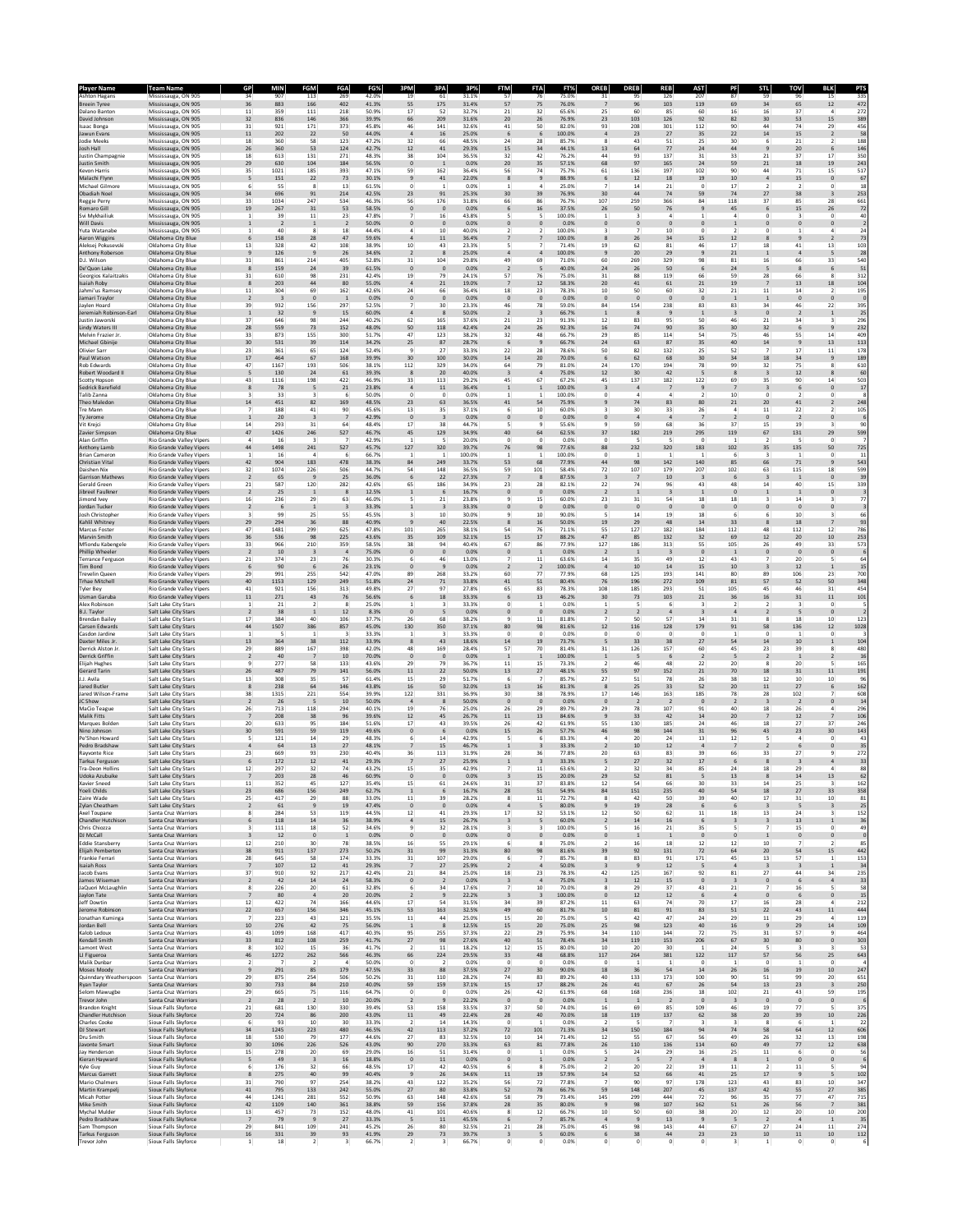| <b>Ashton Hagans</b>                              | Team Namı<br>Mississauga, ON 905                            | 34                                                 | MIN<br>907                     | 113                            | 269                           | 42.0%          | 19                        | 61                            | 31.1%           | 57                                      | 76<br>75.0%                                        | ORFP<br>31                   | <b>DREB</b><br>95               | 126                           | 207                        | PF<br>87                         | 59                                       | 96                             | 15                             | 33                     |
|---------------------------------------------------|-------------------------------------------------------------|----------------------------------------------------|--------------------------------|--------------------------------|-------------------------------|----------------|---------------------------|-------------------------------|-----------------|-----------------------------------------|----------------------------------------------------|------------------------------|---------------------------------|-------------------------------|----------------------------|----------------------------------|------------------------------------------|--------------------------------|--------------------------------|------------------------|
| Breein Tyree<br>Dalano Banton                     | Mississauga, ON 905                                         | 36<br>11                                           | 883<br>359                     | 166<br>111                     | 402<br>218                    | 41.3%<br>50.9% | 55<br>17                  | 175<br>52                     | 31.4%<br>32.7%  | 57<br>75<br>21<br>32                    | 76.0%<br>65.6%                                     | -7<br>25                     | 96<br>60                        | 103<br>85                     | 119<br>60                  | 69<br>16                         | 34<br>16                                 | 65<br>37                       | $12\,$<br>$\mathbf{A}$         | 472<br>272             |
| David Johnson                                     | Mississauga, ON 905<br>Mississauga, ON 905                  | 32                                                 | 836                            | 146                            | 366                           | 39.9%          | 66                        | 209                           | 31.6%           | 20<br>26                                | 76.9%                                              | 23                           | 103                             | 126                           | 92                         | 82                               | 30                                       | 53                             | 15                             | 389                    |
| Isaac Bonga<br>awun Evans                         | Mississauga, ON 905<br>Mississauga, ON 905                  | 31<br>$11\,$                                       | 921<br>202                     | 171<br>22                      | 373<br>50                     | 45.8%<br>44.0% | 46                        | 141<br>16                     | 32.6%<br>25.0%  | 41<br>50<br>6                           | 82.0%<br>100.0%                                    | 93                           | 208<br>23                       | 301<br>27                     | $112\,$<br>35              | 90<br>22                         | 44<br>14                                 | 74<br>15                       | 29<br>$\overline{2}$           | 456<br>58              |
| odie Meeks<br>losh Hall                           | Mississauga, ON 905<br>Mississauga, ON 905                  | 18<br>26                                           | 360<br>360                     | 58<br>53                       | 123<br>124                    | 47.2%<br>42.7% | 32<br>12                  | 66<br>41                      | 48.5%<br>29.3%  | 24<br>15                                | 28<br>85.7%<br>34<br>44.1%                         | 8<br>13                      | 43<br>64                        | 51<br>77                      | 25<br>24                   | 30<br>44                         | 6<br>$\overline{9}$                      | 21<br>20                       | 6                              | 188<br>146             |
| Iustin Champagnie<br>ustin Smith                  | Mississauga, ON 905<br>Mississauga, ON 905                  | 18<br>29                                           | 613<br>630                     | 131<br>104                     | 271<br>184                    | 48.3%<br>56.5% | 38<br>$\circ$             | 104<br>$\overline{1}$         | 36.5%<br>0.0%   | 32<br>42<br>20                          | 76.2%<br>57.1%<br>35                               | 44<br>68                     | 93<br>97                        | 137<br>165                    | 31<br>24                   | 33<br>59                         | $^{21}$<br>$21\,$                        | 37<br>$18\,$                   | 17<br>19                       | 350<br>243             |
| Cevon Harris                                      | Mississauga, ON 905                                         | 35                                                 | 1021                           | 185                            | 393                           | 47.1%          | 59                        | 162                           | 36.4%           | 56                                      | 74<br>75.7%                                        | 61                           | 136                             | 197                           | 102                        | 90                               | 44                                       | 71                             | 15                             | 517                    |
| Malachi Flynn<br>Michael Gilmore                  | Mississauga, ON 905<br>Mississauga, ON 905                  | 5<br>6                                             | 151<br>55                      | 22<br>8                        | 73<br>13                      | 30.1%<br>61.5% | $\mathbf{S}$              | 41<br>$\mathbf{1}$            | 22.0%<br>0.0%   | 8                                       | 88.9%<br>25.0%                                     | 6                            | 12<br>14                        | 18<br>21                      | 19<br>$\Omega$             | $10\,$<br>17                     | $\overline{\mathbf{4}}$<br>$\mathcal{L}$ | 15<br>$\mathcal{P}$            | $\pmb{0}$<br>$\Omega$          | 67<br>18               |
| Obadiah Noel<br>Reggie Perr                       | Mississauga, ON 905<br>Mississauga, ON 905                  | 34<br>33                                           | 696<br>1034                    | 91<br>247                      | 214<br>534                    | 42.5%<br>46.3% | 23<br>56                  | 91<br>176                     | 25.3%<br>31.8%  | 30<br>66                                | 76.9%<br>39<br>76.7%<br>86                         | 30<br>107                    | 44<br>259                       | 74<br>366                     | 59<br>84                   | 74<br>$118\,$                    | 27<br>37                                 | 38<br>85                       | 3<br>28                        | 253<br>661             |
| tomaro Gill<br>švi Mykhailiuk                     | Mississauga, ON 905<br>Mississauga, ON 905                  | 19<br>1                                            | 267<br>39                      | 31<br>11                       | 53<br>23                      | 58.5%<br>47.8% | $\theta$                  | $\theta$<br>16                | 0.0%<br>43.8%   |                                         | 37.5%<br>100.0%                                    | 26<br>1                      | 50<br>3                         | 76<br>4                       |                            | 45<br>$\overline{a}$             | 0                                        | 15<br>3                        | 26<br>0                        | 72<br>40               |
| Will Davis<br>uta Watanabe                        | Mississauga, ON 905<br>Mississauga, ON 905                  | $\mathbf{1}$<br>$\mathbf{1}$                       | $\overline{2}$<br>40           | $\mathbf{1}$<br>8              | $\overline{2}$<br>18          | 50.0%<br>44.4% | 4                         | $\overline{0}$<br>10          | 0.0%<br>40.0%   | $\mathbf 0$<br>2                        | 0.0%<br>100.0%                                     | $\mathbf{0}$<br>3            | $\pmb{0}$<br>7                  | $\mathbf 0$<br>10             | $\mathbf{0}$<br>$^{\circ}$ | $\mathbf 1$<br>$\overline{2}$    | $^{\circ}$                               | $\mathbf 0$<br>$\mathbf{1}$    | $\mathbf 0$<br>$\overline{a}$  | $\frac{2}{24}$         |
| <b>Aaron Wiggins</b>                              | Oklahoma City Blue                                          | 6                                                  | 158                            | 28                             | 47                            | 59.6%          |                           | $\bf{11}$                     | 36.4%           |                                         | 100.0%                                             |                              | 26                              | 34                            | 15                         | 12                               |                                          | 9                              |                                | 73                     |
| Aleksej Pokusevsk<br>Anthony Roberson             | Oklahoma City Blue<br>Oklahoma City Blue                    | 13<br>9                                            | 328<br>126                     | 42<br>$\overline{9}$           | 108<br>26                     | 38.9%<br>34.6% | 10<br>-2                  | 43<br>8                       | 23.3%<br>25.0%  | $\overline{4}$                          | 71.4%<br>100.0%                                    | 19<br>$\overline{9}$         | 62<br>20                        | 81<br>29                      | 46<br>$9$                  | 17<br>21                         | 18<br>$\mathbf{1}$                       | 41<br>$\overline{a}$           | 13<br>5                        | 103<br>28              |
| D.J. Wilson<br>De'Quon Lake                       | Oklahoma City Blue<br>Oklahoma City Blue                    | 31<br>8                                            | 861<br>159                     | 214<br>24                      | 405<br>39                     | 52.8%<br>61.5% | 31<br>$\circ$             | 104<br>$\overline{0}$         | 29.8%<br>0.0%   | 49<br>$\overline{2}$                    | 69<br>71.0%<br>40.0%                               | 60<br>24                     | 269<br>26                       | 329<br>50                     | 98<br>6                    | 81<br>24                         | 16<br>5                                  | 66<br>8                        | 33<br>6                        | 540<br>51              |
| Georgios Kalaitzaki:<br>saiah Roby                | Oklahoma City Blue<br>Oklahoma City Blue                    | $_{\rm 31}$<br>8                                   | 610<br>203                     | 98<br>44                       | 231<br>80                     | 42.4%<br>55.0% | 19                        | 79<br>21                      | 24.1%<br>19.0%  | 57<br>12                                | 75.0%<br>76<br>58.3%                               | 31<br>20                     | 88<br>41                        | 119<br>61                     | 66<br>21                   | 59<br>19                         | 28                                       | 66<br>13                       | R<br>18                        | 312<br>104             |
| ahmi'us Ramsey<br>lamari Traylor                  | Oklahoma City Blue<br>Oklahoma City Blue                    | 11<br>$\overline{2}$                               | 304<br>$\overline{\mathbf{3}}$ | 69<br>$\mathbf{0}$             | 162<br>$\overline{1}$         | 42.6%<br>0.0%  | 24<br>$\circ$             | 66<br>$\overline{\mathbf{0}}$ | 36.4%<br>0.0%   | 18<br>$\mathbf{0}$                      | 23<br>78.3%<br>0.0%<br>$\circ$                     | 10<br>$\mathbf{0}$           | 50<br>$\mathbf{0}$              | 60<br>$\mathbf{0}$            | 32<br>$\mathbf{0}$         | 21<br>1                          | 11<br>$\mathbf{1}$                       | 14<br>$\mathbf{0}$             | 2<br>$\mathbf{0}$              | 195                    |
| lavlen Hoard                                      | Oklahoma City Blue<br>Oklahoma City Blue                    | 39<br>$\mathbf{1}$                                 | 932                            | 156<br>$\overline{9}$          | 297<br>15                     | 52.5%          |                           | 30<br>8                       | 23.3%<br>50.0%  | 46<br>$\overline{2}$                    | 78<br>59.0%                                        | 84<br>$\overline{1}$         | 154<br>8                        | 238<br>$9$                    | 83<br>$\mathbf 1$          | 83<br>$\overline{\mathbf{3}}$    | 34<br>$\circ$                            | 46<br>$\overline{2}$           | 22<br>$\,$ 1                   | 395<br>25              |
| eremiah Robinson-Earl<br>ustin Jaworsk            | Oklahoma City Blue                                          | 37                                                 | 32<br>646                      | 98                             | 244                           | 60.0%<br>40.2% | 62                        | 165                           | 37.6%           | 21                                      | 66.7%<br>23<br>91.3%                               | 12                           | 83                              | 95                            | 50                         | 46                               | $^{21}$                                  | 34                             |                                | 296                    |
| Lindy Waters III<br>Melvin Frazier Jr.            | Oklahoma City Blue<br>Oklahoma City Blue                    | 28<br>33                                           | 559<br>873                     | $73\,$<br>155                  | 152<br>300                    | 48.0%<br>51.7% | 50<br>47                  | 118<br>123                    | 42.4%<br>38.2%  | 24<br>26<br>32                          | 92.3%<br>48<br>66.7%                               | 16<br>29                     | 74<br>85                        | 90<br>114                     | 35<br>54                   | 30<br>75                         | 32<br>46                                 | 6<br>55                        | 9<br>14                        | 232<br>409             |
| Michael Gbinije<br>Olivier Sar                    | Oklahoma City Blue<br>Oklahoma City Blue                    | 30<br>23                                           | 531<br>361                     | 39<br>65                       | 114<br>124                    | 34.2%<br>52.4% | 25<br>$\circ$             | 87<br>27                      | 28.7%<br>33.3%  | - 6<br>22<br>28                         | 66.7%<br>78.6%                                     | 24<br>50                     | 63<br>82                        | 87<br>132                     | 35<br>25                   | 40<br>52                         | 14<br>$\overline{7}$                     | 9<br>17                        | 13<br>$11$                     | 113<br>178             |
| aul Watson<br>Rob Edwards                         | Oklahoma City Blue<br>Oklahoma City Blue                    | 17<br>47                                           | 464<br>1167                    | 67<br>193                      | 168<br>506                    | 39.9%<br>38.1% | 30<br>112                 | 100<br>329                    | 30.0%<br>34.0%  | 14<br>20<br>64                          | 70.0%<br>81.0%<br>79                               | 24                           | 62<br>170                       | 68<br>194                     | 30<br>78                   | 34<br>99                         | 18<br>32                                 | 34<br>75                       | 9                              | 189<br>610             |
| Robert Woodard<br><b>Scotty Hooson</b>            | Oklahoma City Blue<br>Oklahoma City Blue                    | $\overline{\phantom{a}}$<br>43                     | 130<br>1116                    | 24<br>198                      | 61<br>422                     | 39.3%<br>46.9% | 8<br>33                   | 20<br>113                     | 40.0%<br>29.2%  | $\overline{\mathbf{3}}$<br>45<br>67     | 75.0%<br>67.2%                                     | 12<br>45                     | 30<br>137                       | 42<br>182                     | 5<br>122                   | 8<br>69                          | $\overline{\mathbf{3}}$<br>35            | 12<br>90                       | 8<br>14                        | 60<br>503              |
| Sedrick Barefield                                 | Oklahoma City Blue                                          | 8                                                  | 78                             | 5                              | $21\,$                        | 23.8%          | $\overline{a}$            | $\bf{11}$                     | 36.4%           | $\mathbf 1$                             | 100.0%                                             | $\overline{\mathbf{3}}$      | $\overline{a}$                  | $\overline{7}$                | $\overline{9}$             | $\overline{7}$                   | $\overline{\mathbf{3}}$                  | $\epsilon$                     | $\pmb{0}$                      | 17                     |
| alib Zanna<br>'heo Maledor                        | Oklahoma City Blue<br>Oklahoma City Blue                    | 3<br>14                                            | 33<br>451                      | 82                             | 6<br>169                      | 50.0%<br>48.5% | 23                        | $\circ$<br>63                 | 0.0%<br>36.5%   | 41<br>54                                | 100.0%<br>75.9%                                    | $\overline{9}$               | 74                              | 83                            | 80                         | 10<br>21                         | $\circ$<br>20                            | 41                             |                                | 248                    |
| Tre Mann<br>Ty Jerome                             | Oklahoma City Blue<br>Oklahoma City Blue                    | $\overline{7}$<br>$\mathbf{1}$                     | 188<br>20                      | 41<br>$\overline{\mathbf{3}}$  | 90<br>-7                      | 45.6%<br>42.9% | 13<br>$\circ$             | 35<br>$\overline{\mathbf{3}}$ | 37.1%<br>0.0%   | $\Omega$                                | 10<br>60.0%<br>0.0%                                | 3<br>0                       | 30<br>$\overline{4}$            | 33<br>4                       | 26                         | $\overline{a}$<br>$\overline{2}$ | 11<br>$\circ$                            | 22<br>$\overline{2}$           |                                | 105                    |
| Vit Krejci<br>avier Simpso                        | Oklahoma City Blue<br>Oklahoma City Blue                    | 14<br>47                                           | 293<br>1426                    | 31<br>246                      | 64<br>527                     | 48.4%<br>46.7% | 17<br>45                  | 38<br>129                     | 44.7%<br>34.9%  | 40                                      | 55.6%<br>62.5%                                     | ۹                            | 59<br>182                       | 68<br>219                     | 36<br>295                  | 37<br>119                        | 15<br>67                                 | 19<br>131                      | $\mathbf{R}$<br>29             | 90<br>599              |
| Alan Griffin<br>Anthony Lamb                      | Rio Grande Valley Vipers<br>Rio Grande Valley Vipers        | 4<br>44                                            | 16<br>1498                     | 241                            | 527                           | 42.9%<br>45.7% | 127                       | 5<br>320                      | 20.0%<br>39.7%  | $^{\circ}$<br>76                        | 0.0%<br>$^{\circ}$<br>77.6%<br>98                  | 0<br>88                      | 5<br>232                        | 5<br>320                      | $^{\circ}$<br>183          | 1<br>102                         | $\overline{2}$<br>35                     | 5<br>135                       | $^{\circ}$<br>50               | 725                    |
| <b>Brian Cameron</b><br>Christian Vital           | Rio Grande Valley Vipers<br>Rio Grande Valley Vipers        | $\mathbf{1}$<br>42                                 | 16<br>904                      | $\mathfrak{a}$<br>183          | - 6<br>478                    | 66.7%<br>38.3% | 1<br>84                   | $\overline{1}$<br>249         | 100.0%<br>33.7% | $\mathbf{1}$<br>53<br>68                | 100.0%<br>-1<br>77.9%                              | $^{\circ}$<br>44             | $\mathbf{1}$<br>98              | 1<br>142                      | $\mathbf{1}$<br>140        | -6<br>85                         | $\overline{\mathbf{3}}$<br>66            | 1<br>$71\,$                    | $^{\circ}$<br>$\overline{9}$   | 11<br>543              |
| Daishen Nix<br><b>Garrison Mathews</b>            | Rio Grande Valley Vipers<br><b>Rio Grande Valley Vipers</b> | 32<br>$\overline{2}$                               | 1074<br>65                     | 226                            | 506<br>25                     | 44.7%<br>36.0% | 54<br>6                   | 148<br>$22\,$                 | 36.5%<br>27.3%  | 59<br>101                               | 58.4%<br>87.5%                                     | 72<br>$\overline{3}$         | 107<br>7                        | 179<br>10                     | 207                        | 102<br>6                         | 63<br>$\overline{\mathbf{3}}$            | 115<br>$\mathbf{1}$            | 18<br>$\circ$                  | 599<br>39              |
| Gerald Green                                      | Rio Grande Valley Vipers                                    | 21                                                 | 587                            | 120                            | 282<br>8                      | 42.6%<br>12.5% | 65                        | 186                           | 34.9%           | 23                                      | 28<br>82.1%<br>0.0%                                | 22                           | 74<br>$\mathbf{1}$              | 96                            | 43                         | 48                               | 14                                       | 40                             | 15                             | 339                    |
| libreel Faulkne<br>limond Ive                     | Rio Grande Valley Vipers<br>Rio Grande Valley Viper         | $\overline{2}$<br>$16\,$                           | 25<br>236                      | <sup>1</sup><br>29             | 63                            | 46.0%          |                           | 6<br>21                       | 16.7%<br>23.8%  | $\Omega$                                | $\mathbf{0}$<br>60.0%<br>15                        | $\overline{2}$<br>23         | 31                              | $\overline{\mathbf{3}}$<br>54 | $\overline{1}$<br>$18\,$   | $\mathbf{0}$<br>18               | $\mathbf{1}$                             | $\mathbf{1}$<br>14             | $\mathbf{0}$                   | $7^{\circ}$            |
| ordan Tucker<br>losh Christophe                   | Rio Grande Valley Vipers<br>Rio Grande Valley Vipers        | $\overline{2}$<br>3                                | 6<br>99                        | $\mathbf{1}$<br>25             | $\overline{\mathbf{3}}$<br>55 | 33.3%<br>45.5% |                           | $\overline{\mathbf{3}}$<br>10 | 33.3%<br>30.0%  |                                         | 0.0%<br>90.0%<br>10                                | $\mathbf{0}$                 | $\bf{0}$<br>14                  | $\pmb{0}$<br>19               | $\bf{0}$<br>18             | $\mathbf{0}$<br>-6               |                                          | $\mathbf{0}$<br>10             | $\bf{0}$                       | 66                     |
| Kahlil Whitney<br>Marcus Foster                   | Rio Grande Valley Vipers<br>Rio Grande Valley Viper:        | 29<br>47                                           | 294<br>1481                    | 36<br>299                      | 88<br>625                     | 40.9%<br>47.8% | 101                       | 40<br>265                     | 22.5%<br>38.1%  | 8<br>54                                 | 50.0%<br>16<br>76<br>71.1%                         | 19<br>55                     | 29<br>127                       | 48<br>182                     | 14<br>184                  | 33<br>112                        | 8<br>48                                  | 18<br>112                      | 12                             | 93<br>786              |
| Marvin Smith<br>Mfiondu Kabengele                 | Rio Grande Valley Vipers<br>Rio Grande Valley Vipers        | 36<br>33                                           | 536<br>966                     | 98<br>210                      | 225<br>359                    | 43.6%<br>58.5% | 35<br>38                  | 109<br>94                     | 32.1%<br>40.4%  | 15<br>67<br>86                          | 88.2%<br>17<br>77.9%                               | 47<br>127                    | 85<br>186                       | 132<br>313                    | 32<br>55                   | 69<br>105                        | 12<br>26                                 | 20<br>49                       | $10\,$<br>33                   | 253<br>573             |
| Phillip Wheeler<br>Terrance Ferguson              | <b>Rio Grande Valley Vipers</b><br>Rio Grande Valley Vipers | $\overline{2}$<br>21                               | 10<br>374                      | 3<br>23                        | $\overline{4}$<br>76          | 75.0%<br>30.3% | $\circ$                   | $\mathbf{0}$<br>46            | 0.0%<br>13.0%   | $\mathbf 0$                             | 0.0%<br>11<br>63.6%                                | $\overline{2}$<br>14         | $\overline{1}$<br>35            | $\overline{\mathbf{3}}$<br>49 | $\mathbf{0}$<br>12         | $\,$ 1<br>43                     | $\circ$                                  | $\mathbf 0$<br>20              | $\pmb{0}$<br>5                 | 64                     |
| <b>Tim Bond</b><br>Frevelin Queen                 | Rio Grande Valley Vipers<br>Rio Grande Valley Viper         | 6<br>29                                            | 90<br>991                      | -6<br>255                      | 26<br>542                     | 23.1%<br>47.0% | $\circ$<br>89             | $\overline{9}$<br>268         | 0.0%<br>33.2%   | 60                                      | 100.0%<br>77.9%<br>77                              | $\overline{a}$<br>68         | 10<br>125                       | 14<br>193                     | 15<br>141                  | 10<br>80                         | 89                                       | 12<br>106                      | 1<br>23                        | 15<br>700              |
| rhae Mitchell                                     | Rio Grande Valley Vipers                                    | 40                                                 | 1153                           | 129                            | 249                           | 51.8%          | 24                        | 71                            | 33.8%           | 41<br>51                                | 80.4%                                              | 76                           | 196                             | 272                           | 109                        | 81                               | 57                                       | 52                             | 50                             | 348                    |
| lyler Bey<br>Usman Garub                          | Rio Grande Valley Vipers<br>Rio Grande Valley Vipers        | 41<br>11                                           | 921<br>271                     | 156<br>43                      | 313<br>76                     | 49.8%<br>56.6% | 27                        | 97<br>18                      | 27.8%<br>33.3%  | 65<br>6                                 | 83<br>78.3%<br>46.2%<br>13                         | 108<br>30                    | 185<br>73                       | 293<br>103                    | 51<br>21                   | 105<br>36                        | 45<br>16                                 | 46<br>31                       | 31<br>$11\,$                   | 454<br>101             |
| Alex Robinson<br><b>B.J. Taylor</b>               | Salt Lake City Stars<br>Salt Lake City Stars                | $\mathbf{1}$<br>$\overline{2}$                     | 21<br>38                       | $\overline{2}$<br>$\mathbf{1}$ | -8<br>12                      | 25.0%<br>8.3%  | 1                         | $\overline{\mathbf{3}}$<br>5  | 33.3%<br>0.0%   | $^{\circ}$<br>$\mathbf{0}$              | 0.0%<br>0.0%                                       | $\mathbf{1}$                 | 5<br>$\overline{2}$             | 6<br>$\overline{a}$           | 3                          | $\overline{2}$<br>$\overline{4}$ | $\overline{2}$                           | $\overline{\mathbf{3}}$<br>5   | $^{\circ}$<br>$\mathbf{0}$     |                        |
| Brendan Bailey<br>Carsen Edward:                  | Salt Lake City Stars<br>Salt Lake City Stars                | 17<br>44                                           | 384<br>1507                    | 40<br>386                      | 106<br>857                    | 37.7%<br>45.0% | 26<br>130                 | 68<br>350                     | 38.2%<br>37.1%  | 80                                      | $11$<br>81.8%<br>81.6%<br>98                       | 12                           | 50<br>116                       | 57<br>128                     | 14<br>179                  | 31<br>91                         | 8<br>58                                  | 18<br>136                      | 10<br>$12\,$                   | 123<br>1028            |
| Casdon Jardine<br>Daxter Miles Jr                 | Salt Lake City Stars<br>Salt Lake City Stars                | $\mathbf{1}$<br>13                                 | 364                            | $\mathbf{1}$<br>38             | 112                           | 33.3%<br>33.9% |                           | 43                            | 33.3%<br>18.6%  | $\Omega$<br>14                          | 0.0%<br>$\Omega$<br>73.7%<br>19                    | $^{\circ}$                   | $^{\circ}$<br>33                | $\Omega$<br>38                | $\Omega$<br>27             | $\mathbf{1}$<br>54               | $^{\circ}$<br>14                         | $\mathbf{1}$<br>10             | $\Omega$                       | 104                    |
| Derrick Alston J<br>Derrick Griffin               | Salt Lake City Stars<br>Salt Lake City Stars                | 29<br>$\overline{2}$                               | 889<br>40                      | 167                            | 398<br>10                     | 42.0%<br>70.0% | 48<br>$\mathbf{C}$        | 169<br>$\circ$                | 28.4%<br>0.0%   | 57                                      | 70<br>81.4%<br>100.0%                              | 31<br>$\mathbf{1}$           | 126                             | 157                           | 60<br>$\overline{2}$       | 45<br>5                          | 23<br>$\overline{2}$                     | 39<br>$\mathbf{1}$             | R                              | 480<br>16              |
| <b>Elijah Hughes</b><br>Gerard Tarin              | Salt Lake City Stars<br>Salt Lake City Stars                | 9<br>26                                            | 277<br>487                     | 58<br>79                       | 133<br>141                    | 43.6%<br>56.0% | 29<br>11                  | 79<br>22                      | 36.7%<br>50.0%  | 11<br>13                                | 73.3%<br>15<br>27<br>48.1%                         | 55                           | 46<br>97                        | 48<br>152                     | 22<br>21                   | 20<br>70                         | 8<br>18                                  | 20<br>31                       | 11                             | 165<br>191             |
| I.J. Avila<br>ared Butler                         | Salt Lake City Stars<br>Salt Lake City Stars                | 13<br>$\bf8$                                       | 308<br>238                     | 35<br>64                       | 57<br>146                     | 61.4%<br>43.8% | 15<br>16                  | 29<br>50                      | 51.7%<br>32.0%  | 6<br>13                                 | 85.7%<br>81.3%                                     | 27<br>8                      | 51<br>25                        | 78<br>33                      | 26<br>52                   | 38<br>20                         | 12<br>$11\,$                             | 10<br>27                       | 10<br>6                        | 96<br>162              |
| ared Wilson-Frame                                 | Salt Lake City Stars                                        | 38                                                 | 1315                           | 221                            | 554                           | 39.9%          | 122                       | 331                           | 36.9%           | 30<br>38                                | 78.9%                                              | 17<br>$\Omega$               | 146                             | 163<br>$\overline{2}$         | 185                        | 78                               | 28                                       | 102                            |                                | 608                    |
| IC Show<br>MaCio Teague                           | Salt Lake City Stars<br>Salt Lake City Stars                | $\,$ 2 $\,$<br>26                                  | 26<br>713                      | 118                            | 10<br>294                     | 50.0%<br>40.1% | $\overline{4}$<br>19      | 8<br>76                       | 50.0%<br>25.0%  | $\mathbf{0}$<br>26                      | $\mathbf{0}$<br>0.0%<br>29<br>89.7%                | 29                           | $\overline{2}$<br>78            | 107                           | $\bf{0}$<br>91             | $\overline{2}$<br>40             | $\overline{\mathbf{3}}$<br>18            | $\sqrt{2}$<br>26               | $\mathbf 0$                    | 14<br>296              |
| Malik Fitts<br>Marques Bolder                     | Salt Lake City Stars<br>Salt Lake City Stars                | 7<br>20                                            | 208<br>633                     | 38<br>95                       | 96<br>184                     | 39.6%<br>51.6% | 12<br>17                  | 45<br>43                      | 26.7%<br>39.5%  | 11<br>26                                | 13<br>84.6%<br>42<br>61.9%                         | $\overline{9}$<br>55         | 33<br>130                       | 42<br>185                     | 14<br>24                   | 20<br>46                         | 18                                       | 12<br>27                       | 37                             | 106<br>246             |
| Nino Johnson<br>Pe'Shon Howard                    | Salt Lake City Stars<br>Salt Lake City Stars                | 30<br>5                                            | 591<br>121                     | 59<br>14                       | 119<br>29                     | 49.6%<br>48.3% | $\circ$                   | $\epsilon$<br>14              | 0.0%<br>42.9%   | 15                                      | 57.7%<br>83.3%                                     | 46<br>4                      | 98<br>20                        | 144<br>24                     | 31<br>13                   | 96<br>12                         | 43                                       | 23<br>$\overline{a}$           | 30<br>0                        | 143<br>43              |
| Pedro Bradshaw<br>lawonte Rice                    | Salt Lake City Stars<br>Salt Lake City Stars                | $\overline{4}$<br>23                               | 64<br>669                      | 13<br>93                       | 27<br>230                     | 48.1%<br>40.4% | 36                        | 15<br>113                     | 46.7%<br>31.9%  | $\mathbf{1}$<br>28<br>36                | 33.3%<br>77.8%                                     | $\overline{2}$<br>20         | 10<br>63                        | 12<br>83                      | $\overline{a}$<br>39       | $\overline{7}$<br>66             | $\overline{2}$<br>33                     | 6<br>27                        | 9                              | 35<br>272              |
| <b>Tarkus Ferguson</b><br><b>Tra-Deon Hollins</b> | Salt Lake City Stars<br>Salt Lake City Stars                | $\boldsymbol{6}$<br>12                             | 172<br>297                     | 12<br>32                       | 41<br>74                      | 29.3%<br>43.2% | $\overline{7}$<br>15      | 27<br>35                      | 25.9%<br>42.9%  | $\mathbf 1$                             | 33.3%<br>11<br>63.6%                               | 5<br>$\overline{a}$          | 27<br>32                        | 32<br>34                      | 17<br>85                   | 6<br>24                          | 8<br>18                                  | $\overline{\mathbf{3}}$<br>29  |                                | 33<br>88               |
| Udoka Azubuike                                    | Salt Lake City Stars                                        | $\overline{7}$                                     | 203                            | 28                             | 46                            | 60.9%          | $\circ$                   | $\mathbf{0}$                  | 0.0%            |                                         | 20.0%<br>15                                        | 29                           | 52                              | 81                            | 5                          | 13                               | 8                                        | $\bf{^{14}}$                   | 13                             | 62<br>162              |
| roeli Childs                                      | Salt Lake City Stars                                        | 23                                                 | 686                            | 156                            | 249                           | 62.7%          | $\overline{1}$            | 6                             | 24.69<br>16.7%  | 28<br>51                                | 83.89<br>54.9%                                     | 84                           | 151                             | 235                           | 40                         | 33.<br>54                        | $18\,$                                   | 25<br>27                       | 33                             | 358                    |
| Zaire Wade<br>Zylan Cheatham                      | Salt Lake City Stars<br>Salt Lake City Stars                | 25<br>$\overline{2}$                               | 417<br>61                      | 29<br>9                        | 88<br>19                      | 33.0%<br>47.4% | $11$<br>$\circ$           | 39<br>$\mathbf{0}$            | 28.2%<br>0.0%   | 11<br><sub>R</sub>                      | 72.7%<br>80.0%                                     | 8<br>$\overline{9}$          | 42<br>19                        | 50<br>28                      | 39<br>6                    | 40<br>6                          | 17<br>$\overline{\mathbf{3}}$            | 31<br>5                        | 10<br>$\overline{\mathbf{3}}$  | 83<br>25               |
| Axel Toupane<br>Chandler Hutchison                | Santa Cruz Warriors<br>Santa Cruz Warriors                  | 8<br>6                                             | 284<br>118                     | 53<br>14                       | 119<br>36                     | 44.5%<br>38.9% | 12<br>$\overline{4}$      | 41<br>15                      | 29.3%<br>26.7%  | 17<br>$\overline{\mathbf{3}}$           | 53.1%<br>32<br>60.0%<br>5                          | 12<br>$\overline{2}$         | 50<br>14                        | 62<br>16                      | 11<br>6                    | 18<br>$\overline{\mathbf{3}}$    | 13<br>$\overline{\mathbf{3}}$            | 24<br>13                       | 3<br>$\mathbf{1}$              | 152<br>$\frac{36}{49}$ |
| Chris Chiozza<br>DJ McCall                        | Santa Cruz Warriors<br>Santa Cruz Warriors                  | $\overline{\mathbf{3}}$<br>$\overline{\mathbf{3}}$ | 111<br>12                      | 18<br>$\mathbf 0$              | 52<br>$\,$ 1                  | 34.6%<br>0.0%  | $\overline{9}$<br>$\circ$ | 32<br>$\mathbf{0}$            | 28.1%<br>0.0%   | $\overline{\mathbf{3}}$<br>$\mathbf{0}$ | 100.0%<br>3<br>0.0%<br>$\mathbf{0}$                | 5<br>$\mathbf{0}$            | 16<br>$\,$ 1 $\,$               | 21<br>$\,$ 1                  | 35<br>$\mathbf 0$          | -5<br>$\mathbf{0}$               | $\overline{7}$<br>$\mathbf{1}$           | 15<br>$\mathbf{0}$             | $\circ$<br>$\mathbf{0}$        | $\overline{0}$         |
| Eddie Stansberry<br>Elijah Pemberton              | Santa Cruz Warriors<br>Santa Cruz Warriors                  | 12<br>38                                           | 210<br>911                     | 30<br>137                      | 78<br>273                     | 38.5%<br>50.2% | 16<br>$31\,$              | 55<br>99                      | 29.1%<br>31.3%  | 6<br>$80\,$<br>98                       | 8<br>75.0%<br>81.6%                                | $\boldsymbol{2}$<br>39       | 16<br>92                        | 18<br>131                     | 12<br>$72\,$               | 12<br>$64\,$                     | 10<br>$20\,$                             | $\overline{\phantom{a}}$<br>54 | $\overline{a}$<br>15           | 85<br>442              |
| Frankie Ferrari<br>Isaiah Ross                    | Santa Cruz Warriors<br>Santa Cruz Warriors                  | 28<br>$\overline{7}$                               | 645<br>107                     | 58<br>12                       | 174<br>41                     | 33.3%<br>29.3% | 31<br>$\overline{7}$      | 107<br>27                     | 29.0%<br>25.9%  | 6<br>$\overline{2}$                     | $\overline{7}$<br>85.7%<br>50.0%<br>$\overline{4}$ | 8<br>$\overline{\mathbf{3}}$ | 83<br>9                         | 91<br>12                      | 171<br>5                   | 45<br>$\overline{4}$             | 13<br>$\overline{\mathbf{3}}$            | 57<br>$\overline{\mathbf{3}}$  | $\mathbf{1}$<br><sup>1</sup>   | 153<br>34              |
| Jacob Evans                                       | Santa Cruz Warriors                                         | 37                                                 | 910                            | 92                             | 217                           | 42.4%          | 21                        | 84                            | 25.0%           | 18                                      | 23<br>78.3%                                        | 42                           | 125                             | 167                           | 92                         | 81                               | 27                                       | 44                             | 34                             | 235                    |
| ames Wiseman<br>laQuori McLaughlin                | Santa Cruz Warriors<br>Santa Cruz Warriors                  | $\overline{2}$<br>8                                | 42<br>226                      | 14<br>20                       | 24<br>61                      | 58.3%<br>32.8% | $\circ$<br>6              | $\overline{2}$<br>34          | 0.0%<br>17.6%   | $\overline{\mathbf{3}}$                 | 75.0%<br>10<br>70.0%                               | $\overline{\mathbf{3}}$<br>8 | 12<br>29                        | 15<br>37                      | $\mathbf 0$<br>43          | $\overline{\mathbf{3}}$<br>21    | $\circ$<br>7                             | 6<br>16                        | $\overline{a}$<br>5            | 33<br>58               |
| Jaylon Tate<br>Jeff Dowtin                        | Santa Cruz Warriors<br>Santa Cruz Warriors                  | $\overline{7}$<br>12                               | 80<br>422                      | $\overline{4}$<br>74           | 20<br>166                     | 20.0%<br>44.6% | $\overline{2}$<br>17      | 9<br>54                       | 22.2%<br>31.5%  | $\overline{\mathbf{3}}$<br>34<br>39     | 100.0%<br>$\overline{\mathbf{3}}$<br>87.2%         | $\mathbf{0}$<br>11           | 12<br>63                        | 12<br>74                      | 6<br>70                    | $\overline{4}$<br>17             | $\mathbf{0}$<br>16                       | 6<br>28                        | $\mathbf{0}$<br>$\overline{a}$ | 15<br>212              |
| erome Robinson<br>Ionathan Kuminga                | Santa Cruz Warriors<br>Santa Cruz Warriors                  | 22<br>$\overline{7}$                               | 657<br>223                     | 156<br>43                      | 346<br>121                    | 45.1%<br>35.5% | 53<br>$11\,$              | 163<br>44                     | 32.5%<br>25.0%  | 49<br>60<br>15<br>20                    | 81.7%<br>75.0%                                     | 10<br>5                      | 81<br>42                        | 91<br>47                      | 83<br>24                   | 51<br>29                         | 22<br>$11$                               | 43<br>29                       | $11\,$<br>$\ddot{a}$           | 444<br>119             |
| Jordan Bell<br>Kalob Ledoux                       | Santa Cruz Warriors<br>Santa Cruz Warriors                  | $10\,$<br>43                                       | 276<br>1099                    | $42\,$<br>168                  | 75<br>417                     | 56.0%<br>40.3% | $\overline{1}$<br>95      | 8<br>255                      | 12.5%<br>37.3%  | $15\,$<br>22<br>29                      | 20<br>75.0%<br>75.9%                               | 25<br>34                     | 98<br>110                       | 123<br>144                    | $40\,$<br>72               | $16\,$<br>75                     | $\mathsf 9$<br>31                        | 29<br>57                       | $14\,$<br>9                    | 109<br>464             |
| Kendall Smith<br>Lamont West                      | Santa Cruz Warriors<br>Santa Cruz Warriors                  | 33<br>8                                            | 812<br>102                     | 108<br>15                      | 259<br>36                     | 41.7%<br>41.7% | 27<br>$\overline{2}$      | 98<br>11                      | 27.6%<br>18.2%  | 40<br>51<br>12<br>15                    | 78.4%<br>80.0%                                     | 34<br>10                     | 119<br>20                       | 153<br>30                     | 206<br>$\overline{1}$      | 67<br>24                         | 30<br>5                                  | 80<br>$\mathbf{R}$             | $\mathbf{0}$<br>$\mathbf{R}$   | 303<br>53              |
| LJ Figueroa<br>Malik Dunbar                       | Santa Cruz Warriors<br>Santa Cruz Warriors                  | 46<br>$\overline{2}$                               | 1272                           | 262<br>$\overline{2}$          | 566<br>$\overline{4}$         | 46.3%<br>50.0% | 66<br>$\circ$             | 224<br>$\overline{2}$         | 29.5%<br>0.0%   | 33<br>48<br>$\circ$                     | 68.8%<br>0.0%<br>$^{\circ}$                        | 117<br>0                     | 264<br>1                        | 381<br>1                      | 122<br>$\mathbf{0}$        | 117<br>$\mathbf{1}$              | 57<br>$\circ$                            | 56<br>$\mathbf{1}$             | 25<br>$\mathbf 0$              | 643                    |
| Moses Moody                                       | Santa Cruz Warriors<br>Santa Cruz Warriors                  | 9<br>29                                            | 291<br>875                     | 85<br>254                      | 179<br>506                    | 47.5%<br>50.2% | 33<br>31                  | 88<br>110                     | 37.5%<br>28.2%  | 27<br>74<br>83                          | 90.0%<br>30<br>89.2%                               | 18<br>40                     | 36<br>133                       | 54<br>173                     | 14<br>100                  | 26<br>90                         | 16<br>51                                 | 19<br>99                       | 10<br>20                       | 247<br>651             |
| Quinndary Weatherspoon<br>Ryan Taylor             | Santa Cruz Warriors                                         | 30                                                 | 733                            | 84                             | 210                           | 40.0%          | 59                        | 159                           | 37.1%           | 15<br>17                                | 88.2%                                              | 26                           | 41                              | 67                            | 26                         | 54                               | 13                                       | 23                             | $\overline{\mathbf{3}}$        | 250                    |
| Selom Mawugbe<br>Trevor John                      | Santa Cruz Warriors<br>Santa Cruz Warriors                  | 29<br>$\overline{2}$                               | 665<br>28                      | 75<br>$\overline{2}$           | 116<br>$10$                   | 64.7%<br>20.0% | $\circ$<br>$\overline{2}$ | $\mathbf 0$<br>$\overline{9}$ | 0.0%<br>22.2%   | 26<br>42<br>$\mathbf{0}$                | 61.9%<br>0.0%<br>$\mathbf{0}$                      | 68<br>$\overline{1}$         | 168<br>$\overline{1}$           | 236<br>$\sqrt{2}$             | 18<br>$\mathbb O$          | 102<br>$\sqrt{3}$                | 21<br>$\mathbb O$                        | 43<br>$\mathbb O$              | 59<br>$\mathbb O$              | 195<br>$\epsilon$      |
| Brandon Knight<br>Chandler Hutchison              | Sioux Falls Skyforce<br>Sioux Falls Skyforce                | 21<br>20                                           | 681<br>724                     | 130<br>86                      | 330<br>200                    | 39.4%<br>43.0% | 53<br>11                  | 158<br>49                     | 33.5%<br>22.4%  | 37<br>28<br>40                          | 50<br>74.0%<br>70.0%                               | 16<br>18                     | 69<br>119                       | 85<br>137                     | 109<br>62                  | 46<br>38                         | 19<br>20                                 | 77<br>39                       | 5<br>10                        | 375<br>226             |
| Charles Cooke<br>DJ Stewart                       | Sioux Falls Skyforce<br>Sioux Falls Skyforce                | 6<br>34                                            | 93<br>1245                     | 10<br>223                      | 30<br>480                     | 33.3%<br>46.5% | $\overline{2}$<br>42      | 14<br>113                     | 14.3%<br>37.2%  | $\Omega$<br>72<br>101                   | $\overline{1}$<br>0.0%<br>71.3%                    | $\overline{2}$<br>34         | $\overline{\phantom{a}}$<br>150 | $\overline{7}$<br>184         | $\mathbf{3}$<br>94         | $\mathbf{R}$<br>74               | $\boldsymbol{\mathcal{R}}$<br>58         | 6<br>64                        | $\vert$ 1<br>12                | 22<br>606              |
| Dru Smith<br>Javonte Smart                        | Sioux Falls Skyforce<br>Sioux Falls Skyforce                | 18<br>30 <sup>2</sup>                              | 530<br>1096                    | 79<br>226                      | 177<br>526                    | 44.6%<br>43.0% | 27<br>90                  | 83<br>270                     | 32.5%<br>33.3%  | 10<br>14<br>63<br>81                    | 71.4%<br>77.8%                                     | 12<br>26                     | 55<br>110                       | 67<br>136                     | 56<br>114                  | 49<br>60                         | 26<br>49                                 | 32<br>77                       | 13<br>12                       | 198<br>638             |
| Jav Henderson<br>Kieran Hayward                   | Sioux Falls Skyforce<br>Sioux Falls Skyforce                | 15<br>$\mathsf S$                                  | 278<br>49                      | 20<br>$\overline{\mathbf{3}}$  | 69<br>16                      | 29.0%<br>18.8% | 16<br>$\mathbf{0}$        | 51<br>$11\,$                  | 31.4%<br>0.0%   | $\overline{0}$<br>$\mathbf 0$           | <sup>1</sup><br>0.0%<br>0.0%<br>$\mathbf{1}$       | 5<br>$\overline{2}$          | 24<br>5                         | 29<br>$\overline{7}$          | 16<br>$\overline{4}$       | 25<br>8                          | 11<br>$\mathbf{1}$                       | 6<br>$\mathbf 0$               | $\circ$<br>$\mathbf 0$         | 56<br>$\epsilon$       |
| Kyle Guy<br>Marcus Garrett                        | Sioux Falls Skyforce<br>Sioux Falls Skyforce                | 6<br>8                                             | 176<br>275                     | 32<br>$40\,$                   | 66<br>99                      | 48.5%<br>40.4% | 17<br>$\overline{9}$      | 42<br>$26\,$                  | 40.5%<br>34.6%  | 6<br>$11\,$<br>19                       | 8<br>75.0%<br>57.9%                                | $\boldsymbol{2}$<br>$14\,$   | 20<br>52                        | 22<br>66                      | 19<br>$41\,$               | $11\,$<br>$25\,$                 | $\overline{2}$<br>17                     | 11<br>$\,9$                    | 5<br>5                         | 90<br>102              |
| Mario Chalmers                                    | Sioux Falls Skyforce                                        | 31                                                 | 790                            | 97                             | 254                           | 38.2%          | 43                        | 122                           | 35.2%           | 56                                      | 72<br>77.8%                                        | $\overline{7}$               | 90                              | 97                            | 178                        | 123                              | 43                                       | 83                             | 10                             | 347                    |
| Martin Krampelj<br>Micah Potter                   | Sioux Falls Skyforce<br>Sioux Falls Skyforce                | 41<br>44                                           | 795<br>1241                    | 133<br>281                     | 242<br>552                    | 55.0%<br>50.9% | 27<br>63                  | 80<br>148                     | 33.8%<br>42.6%  | 52<br>78<br>58<br>79                    | 66.7%<br>73.4%                                     | 59<br>145                    | 148<br>299                      | 207<br>444                    | 45<br>72                   | 137<br>96                        | 42<br>35                                 | 55<br>77                       | 27<br>47                       | 385<br>715             |
| Mike Smith<br>Mychal Mulder                       | Sioux Falls Skyforce<br>Sioux Falls Skyforce                | 42<br>13                                           | 1109<br>457                    | 140<br>73                      | 361<br>152                    | 38.8%<br>48.0% | 59<br>41                  | 156<br>101                    | 37.8%<br>40.6%  | 28<br>8                                 | 35<br>80.0%<br>12<br>66.7%                         | $\overline{9}$<br>10         | 98<br>50                        | 107<br>60                     | 162<br>38                  | 51<br>20                         | 26<br>12                                 | 56<br>20                       | $\overline{7}$<br>10           | 381<br>200             |
| Pedro Bradshaw<br>Sam Thompson                    | Sioux Falls Skyforce<br>Sioux Falls Skyforce                | $\overline{7}$<br>29                               | 79<br>841                      | $\overline{9}$<br>109          | 27<br>241                     | 33.3%<br>45.2% | 5<br>26                   | 11<br>80                      | 45.5%<br>32.5%  | 6<br>21                                 | $\overline{7}$<br>85.7%<br>28<br>75.0%             | $\overline{4}$<br>45         | 9<br>98                         | 13<br>143                     | 9<br>44                    | 5<br>67                          | $\overline{2}$<br>27                     | $\overline{4}$<br>24           | <sup>1</sup><br>11             | $\frac{35}{274}$       |
| Tarkus Ferguson<br>Trevor John                    | Sioux Falls Skyforce<br>Sioux Falls Skyforce                | $16\,$<br>$\,$ 1 $\,$                              | 331<br>$18\,$                  | 39<br>$\sqrt{2}$               | 93<br>$_{\rm 3}$              | 41.9%<br>66.7% | 29<br>$\mathbf 2$         | $73\,$<br>$\mathbf{3}$        | 39.7%<br>66.7%  | $\overline{\mathbf{3}}$<br>$\mathbf 0$  | 60.0%<br>5<br>$\mathbf 0$<br>0.0%                  | 6<br>0                       | 38<br>$\mathbf 0$               | 44<br>0                       | 23<br>$\mathbf 0$          | 23<br>$\mathbf 3$                | 10<br>$\,$ 1 $\,$                        | $11\,$<br>0                    | 10<br>$\mathsf{o}\xspace$      | 112<br>6               |
|                                                   |                                                             |                                                    |                                |                                |                               |                |                           |                               |                 |                                         |                                                    |                              |                                 |                               |                            |                                  |                                          |                                |                                |                        |